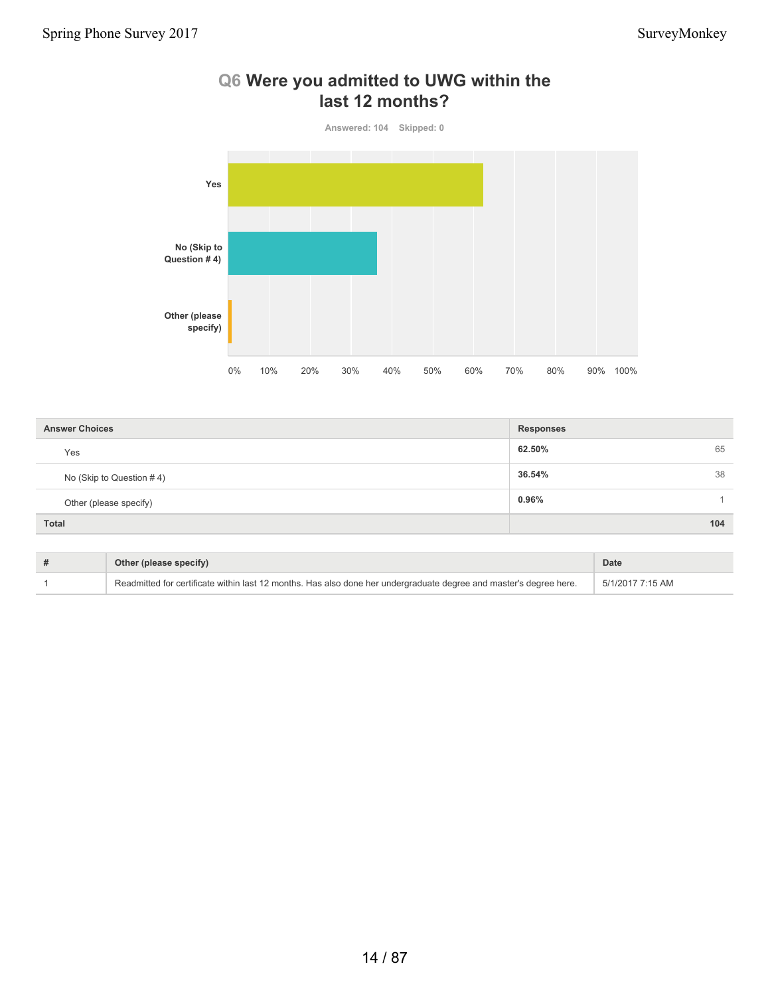

### **Q6 Were you admitted to UWG within the last 12 months?**

| <b>Answer Choices</b>    | <b>Responses</b> |
|--------------------------|------------------|
| Yes                      | 62.50%<br>65     |
| No (Skip to Question #4) | 36.54%<br>38     |
| Other (please specify)   | 0.96%            |
| Total                    | 104              |

| Other (please specify)                                                                                             | Date             |
|--------------------------------------------------------------------------------------------------------------------|------------------|
| Readmitted for certificate within last 12 months. Has also done her undergraduate degree and master's degree here. | 5/1/2017 7:15 AM |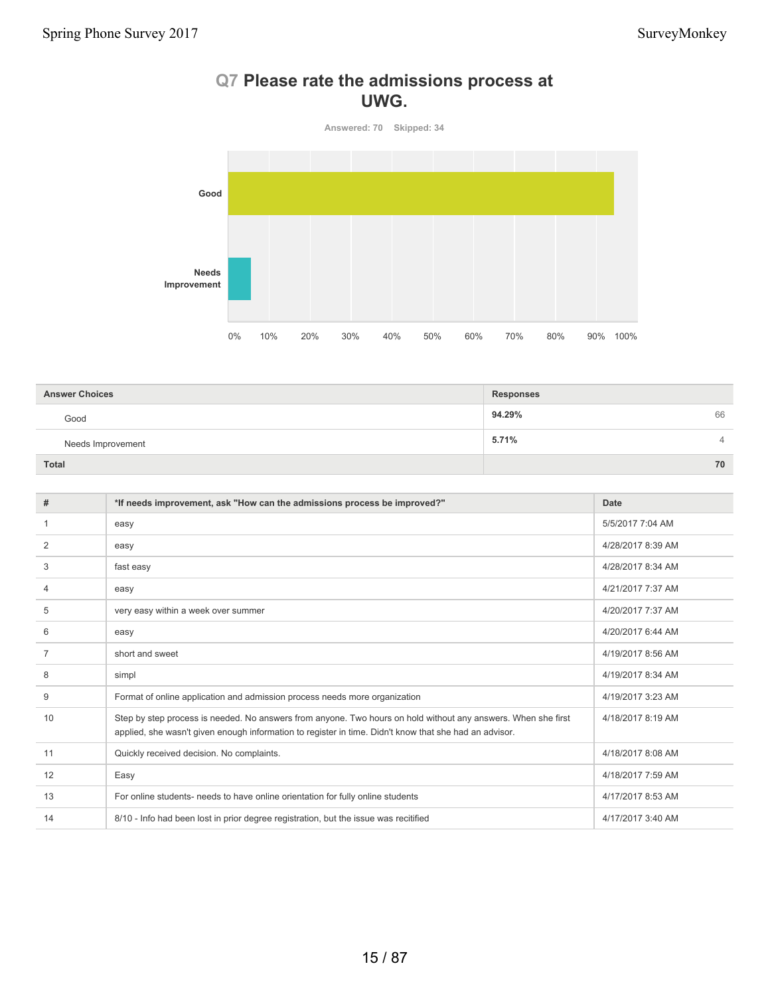# **Q7 Please rate the admissions process at UWG.**

**Answered: 70 Skipped: 34**



| <b>Answer Choices</b> | <b>Responses</b> |
|-----------------------|------------------|
| Good                  | 94.29%<br>66     |
| Needs Improvement     | 5.71%<br>4       |
| <b>Total</b>          | 70               |

| #              | *If needs improvement, ask "How can the admissions process be improved?"                                                                                                                                                | <b>Date</b>       |
|----------------|-------------------------------------------------------------------------------------------------------------------------------------------------------------------------------------------------------------------------|-------------------|
|                | easy                                                                                                                                                                                                                    | 5/5/2017 7:04 AM  |
| 2              | easy                                                                                                                                                                                                                    | 4/28/2017 8:39 AM |
| 3              | fast easy                                                                                                                                                                                                               | 4/28/2017 8:34 AM |
| 4              | easy                                                                                                                                                                                                                    | 4/21/2017 7:37 AM |
| 5              | very easy within a week over summer                                                                                                                                                                                     | 4/20/2017 7:37 AM |
| 6              | easy                                                                                                                                                                                                                    | 4/20/2017 6:44 AM |
| $\overline{7}$ | short and sweet                                                                                                                                                                                                         | 4/19/2017 8:56 AM |
| 8              | simpl                                                                                                                                                                                                                   | 4/19/2017 8:34 AM |
| 9              | Format of online application and admission process needs more organization                                                                                                                                              | 4/19/2017 3:23 AM |
| 10             | Step by step process is needed. No answers from anyone. Two hours on hold without any answers. When she first<br>applied, she wasn't given enough information to register in time. Didn't know that she had an advisor. | 4/18/2017 8:19 AM |
| 11             | Quickly received decision. No complaints.                                                                                                                                                                               | 4/18/2017 8:08 AM |
| 12             | Easy                                                                                                                                                                                                                    | 4/18/2017 7:59 AM |
| 13             | For online students- needs to have online orientation for fully online students                                                                                                                                         | 4/17/2017 8:53 AM |
| 14             | 8/10 - Info had been lost in prior degree registration, but the issue was recitified                                                                                                                                    | 4/17/2017 3:40 AM |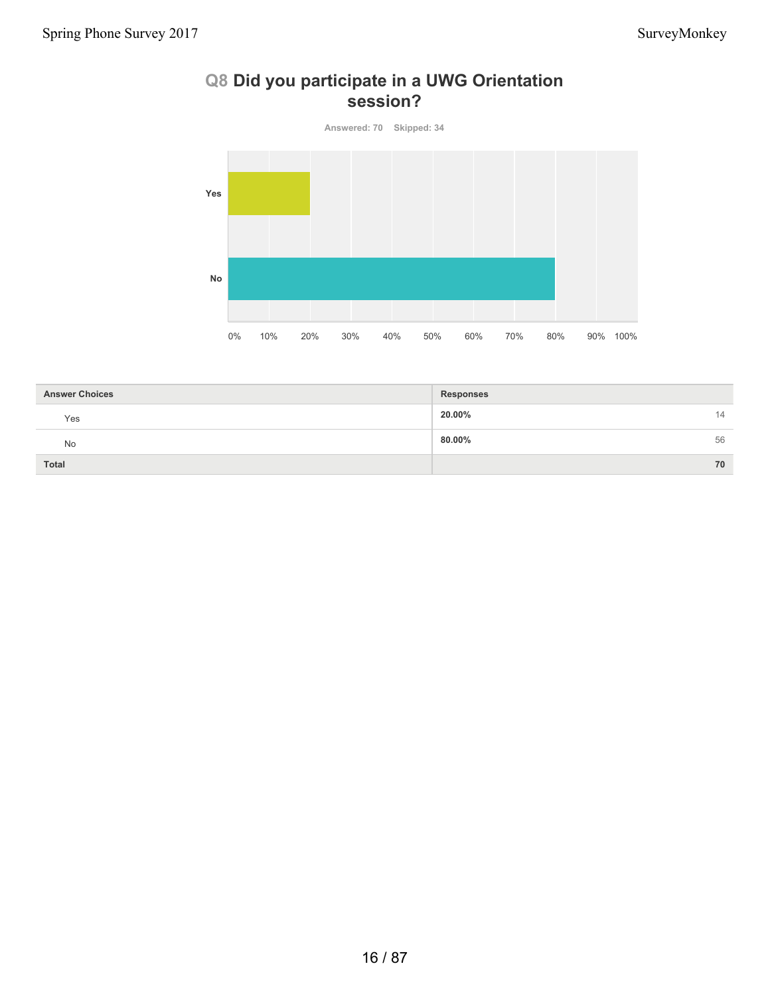# **Q8 Did you participate in a UWG Orientation session?**

**Answered: 70 Skipped: 34**



| <b>Answer Choices</b> | <b>Responses</b> |    |
|-----------------------|------------------|----|
| Yes                   | 20.00%           | 14 |
| <b>No</b>             | 80.00%           | 56 |
| <b>Total</b>          |                  | 70 |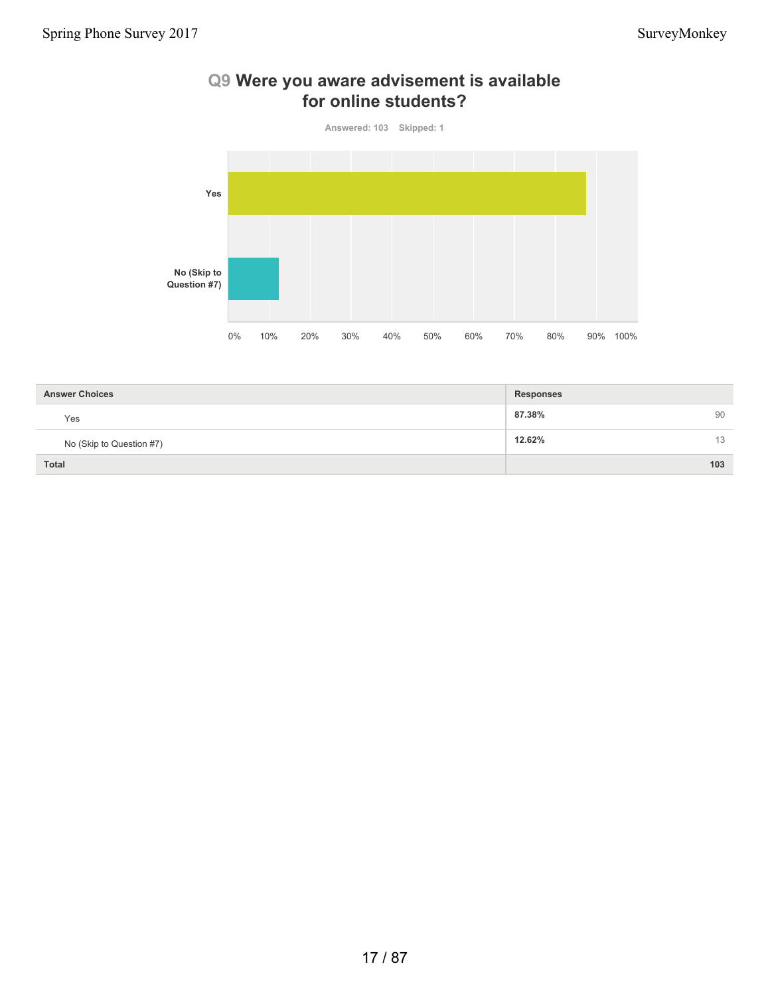

### **Q9 Were you aware advisement is available for online students?**

| <b>Answer Choices</b>    | <b>Responses</b> |
|--------------------------|------------------|
| Yes                      | 87.38%<br>90     |
| No (Skip to Question #7) | 12.62%<br>13     |
| <b>Total</b>             | 103              |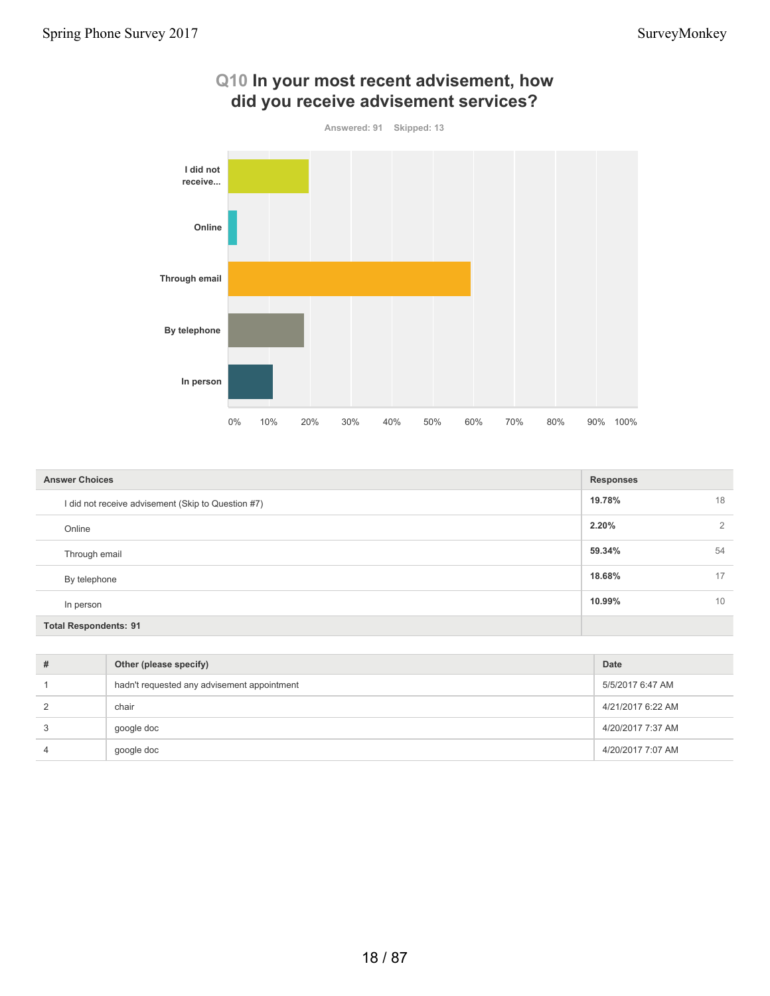

| Q10 In your most recent advisement, how |
|-----------------------------------------|
| did you receive advisement services?    |

| <b>Answer Choices</b>                              | <b>Responses</b>        |
|----------------------------------------------------|-------------------------|
| I did not receive advisement (Skip to Question #7) | 19.78%<br>18            |
| Online                                             | 2.20%<br>$\overline{2}$ |
| Through email                                      | 59.34%<br>54            |
| By telephone                                       | 18.68%<br>17            |
| In person                                          | 10.99%<br>10            |
| <b>Total Respondents: 91</b>                       |                         |

| # | Other (please specify)                      | Date              |
|---|---------------------------------------------|-------------------|
|   | hadn't requested any advisement appointment | 5/5/2017 6:47 AM  |
|   | chair                                       | 4/21/2017 6:22 AM |
|   | google doc                                  | 4/20/2017 7:37 AM |
| 4 | google doc                                  | 4/20/2017 7:07 AM |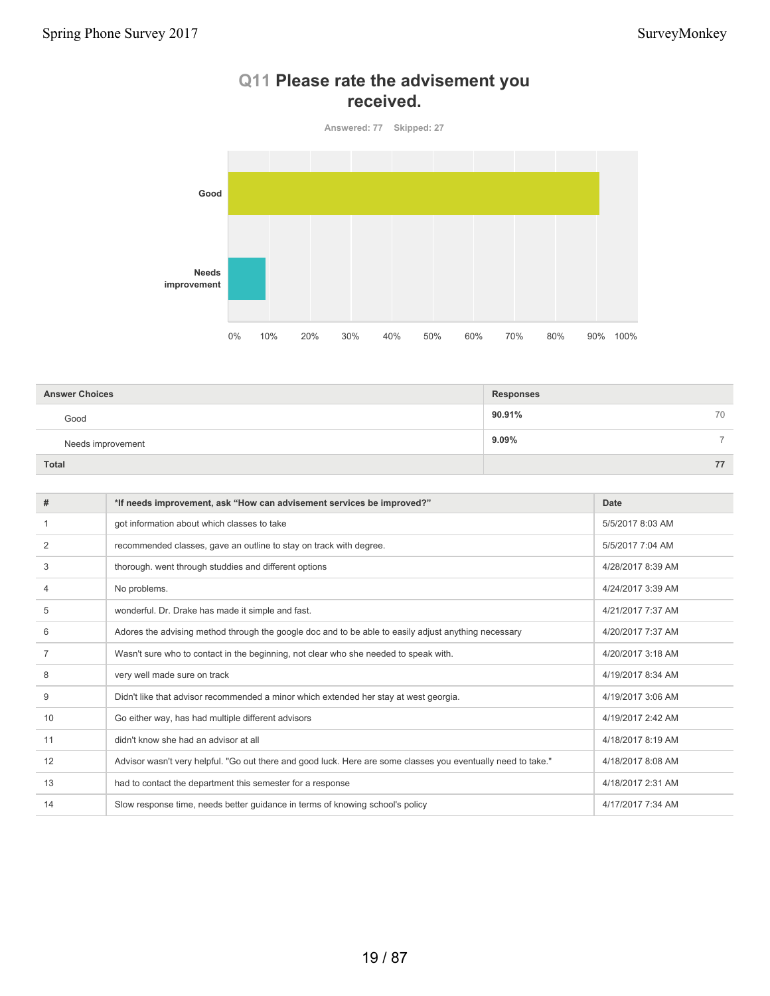

# **Q11 Please rate the advisement you received.**

| <b>Answer Choices</b> | <b>Responses</b> |    |
|-----------------------|------------------|----|
| Good                  | 90.91%           | 70 |
| Needs improvement     | $9.09\%$         | -  |
| Total                 |                  | 77 |

| #  | *If needs improvement, ask "How can advisement services be improved?"                                         | Date              |
|----|---------------------------------------------------------------------------------------------------------------|-------------------|
|    | got information about which classes to take                                                                   | 5/5/2017 8:03 AM  |
| 2  | recommended classes, gave an outline to stay on track with degree.                                            | 5/5/2017 7:04 AM  |
| 3  | thorough. went through studdies and different options                                                         | 4/28/2017 8:39 AM |
| 4  | No problems.                                                                                                  | 4/24/2017 3:39 AM |
| 5  | wonderful. Dr. Drake has made it simple and fast.                                                             | 4/21/2017 7:37 AM |
| 6  | Adores the advising method through the google doc and to be able to easily adjust anything necessary          | 4/20/2017 7:37 AM |
|    | Wasn't sure who to contact in the beginning, not clear who she needed to speak with.                          | 4/20/2017 3:18 AM |
| 8  | very well made sure on track                                                                                  | 4/19/2017 8:34 AM |
| 9  | Didn't like that advisor recommended a minor which extended her stay at west georgia.                         | 4/19/2017 3:06 AM |
| 10 | Go either way, has had multiple different advisors                                                            | 4/19/2017 2:42 AM |
| 11 | didn't know she had an advisor at all                                                                         | 4/18/2017 8:19 AM |
| 12 | Advisor wasn't very helpful. "Go out there and good luck. Here are some classes you eventually need to take." | 4/18/2017 8:08 AM |
| 13 | had to contact the department this semester for a response                                                    | 4/18/2017 2:31 AM |
| 14 | Slow response time, needs better guidance in terms of knowing school's policy                                 | 4/17/2017 7:34 AM |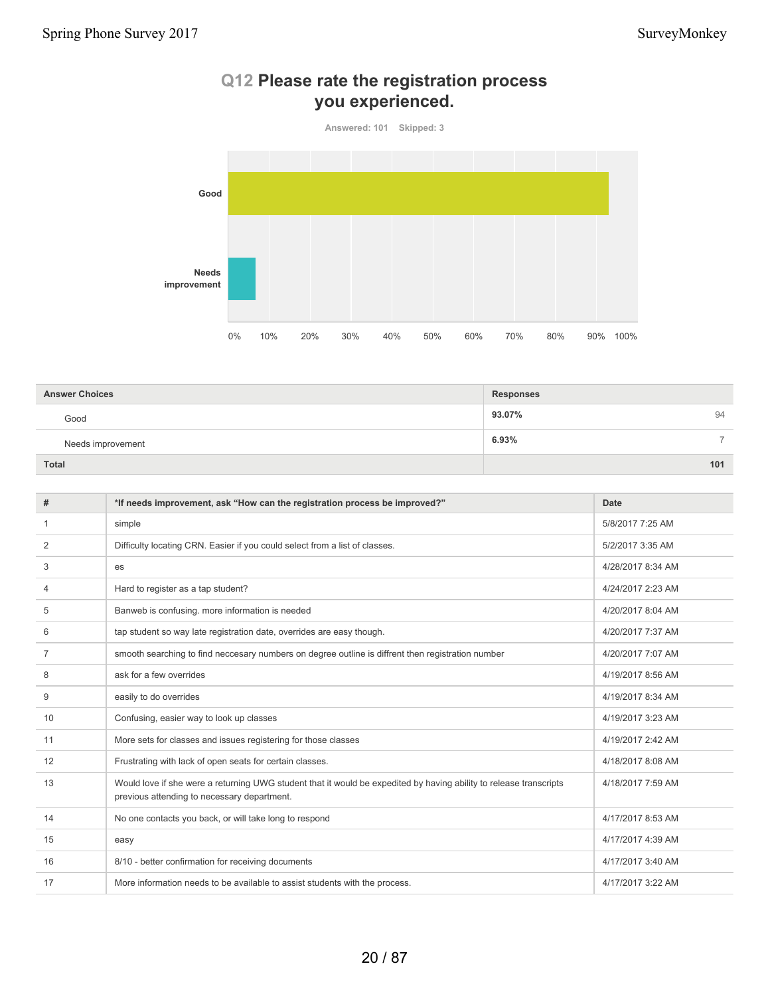

# **Q12 Please rate the registration process you experienced.**

| <b>Answer Choices</b> | <b>Responses</b> |  |
|-----------------------|------------------|--|
| Good                  | 93.07%<br>94     |  |
| Needs improvement     | 6.93%<br>⇁       |  |
| Total                 | 101              |  |

| #              | *If needs improvement, ask "How can the registration process be improved?"                                                                                        | Date              |
|----------------|-------------------------------------------------------------------------------------------------------------------------------------------------------------------|-------------------|
| 1              | simple                                                                                                                                                            | 5/8/2017 7:25 AM  |
| 2              | Difficulty locating CRN. Easier if you could select from a list of classes.                                                                                       | 5/2/2017 3:35 AM  |
| 3              | es                                                                                                                                                                | 4/28/2017 8:34 AM |
| 4              | Hard to register as a tap student?                                                                                                                                | 4/24/2017 2:23 AM |
| 5              | Banweb is confusing. more information is needed                                                                                                                   | 4/20/2017 8:04 AM |
| 6              | tap student so way late registration date, overrides are easy though.                                                                                             | 4/20/2017 7:37 AM |
| $\overline{7}$ | smooth searching to find neccesary numbers on degree outline is diffrent then registration number                                                                 | 4/20/2017 7:07 AM |
| 8              | ask for a few overrides                                                                                                                                           | 4/19/2017 8:56 AM |
| 9              | easily to do overrides                                                                                                                                            | 4/19/2017 8:34 AM |
| 10             | Confusing, easier way to look up classes                                                                                                                          | 4/19/2017 3:23 AM |
| 11             | More sets for classes and issues registering for those classes                                                                                                    | 4/19/2017 2:42 AM |
| 12             | Frustrating with lack of open seats for certain classes.                                                                                                          | 4/18/2017 8:08 AM |
| 13             | Would love if she were a returning UWG student that it would be expedited by having ability to release transcripts<br>previous attending to necessary department. | 4/18/2017 7:59 AM |
| 14             | No one contacts you back, or will take long to respond                                                                                                            | 4/17/2017 8:53 AM |
| 15             | easy                                                                                                                                                              | 4/17/2017 4:39 AM |
| 16             | 8/10 - better confirmation for receiving documents                                                                                                                | 4/17/2017 3:40 AM |
| 17             | More information needs to be available to assist students with the process.                                                                                       | 4/17/2017 3:22 AM |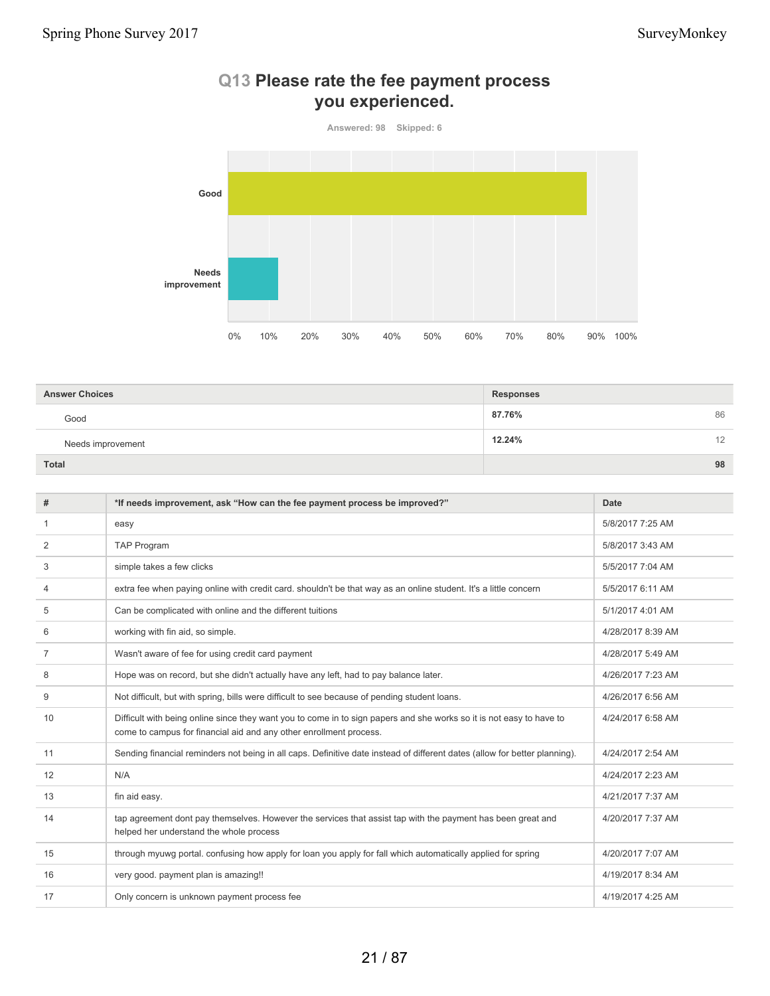

#### **Q13 Please rate the fee payment process you experienced.**

| <b>Answer Choices</b> | <b>Responses</b> |
|-----------------------|------------------|
| Good                  | 87.76%<br>86     |
| Needs improvement     | 12.24%<br>12     |
| <b>Total</b>          | 98               |

| #  | *If needs improvement, ask "How can the fee payment process be improved?"                                                                                                                  | <b>Date</b>       |
|----|--------------------------------------------------------------------------------------------------------------------------------------------------------------------------------------------|-------------------|
| 1  | easy                                                                                                                                                                                       | 5/8/2017 7:25 AM  |
| 2  | <b>TAP Program</b>                                                                                                                                                                         | 5/8/2017 3:43 AM  |
| 3  | simple takes a few clicks                                                                                                                                                                  | 5/5/2017 7:04 AM  |
| 4  | extra fee when paying online with credit card. shouldn't be that way as an online student. It's a little concern                                                                           | 5/5/2017 6:11 AM  |
| 5  | Can be complicated with online and the different tuitions                                                                                                                                  | 5/1/2017 4:01 AM  |
| 6  | working with fin aid, so simple.                                                                                                                                                           | 4/28/2017 8:39 AM |
| 7  | Wasn't aware of fee for using credit card payment                                                                                                                                          | 4/28/2017 5:49 AM |
| 8  | Hope was on record, but she didn't actually have any left, had to pay balance later.                                                                                                       | 4/26/2017 7:23 AM |
| 9  | Not difficult, but with spring, bills were difficult to see because of pending student loans.                                                                                              | 4/26/2017 6:56 AM |
| 10 | Difficult with being online since they want you to come in to sign papers and she works so it is not easy to have to<br>come to campus for financial aid and any other enrollment process. | 4/24/2017 6:58 AM |
| 11 | Sending financial reminders not being in all caps. Definitive date instead of different dates (allow for better planning).                                                                 | 4/24/2017 2:54 AM |
| 12 | N/A                                                                                                                                                                                        | 4/24/2017 2:23 AM |
| 13 | fin aid easy.                                                                                                                                                                              | 4/21/2017 7:37 AM |
| 14 | tap agreement dont pay themselves. However the services that assist tap with the payment has been great and<br>helped her understand the whole process                                     | 4/20/2017 7:37 AM |
| 15 | through myuwg portal. confusing how apply for loan you apply for fall which automatically applied for spring                                                                               | 4/20/2017 7:07 AM |
| 16 | very good. payment plan is amazing!!                                                                                                                                                       | 4/19/2017 8:34 AM |
| 17 | Only concern is unknown payment process fee                                                                                                                                                | 4/19/2017 4:25 AM |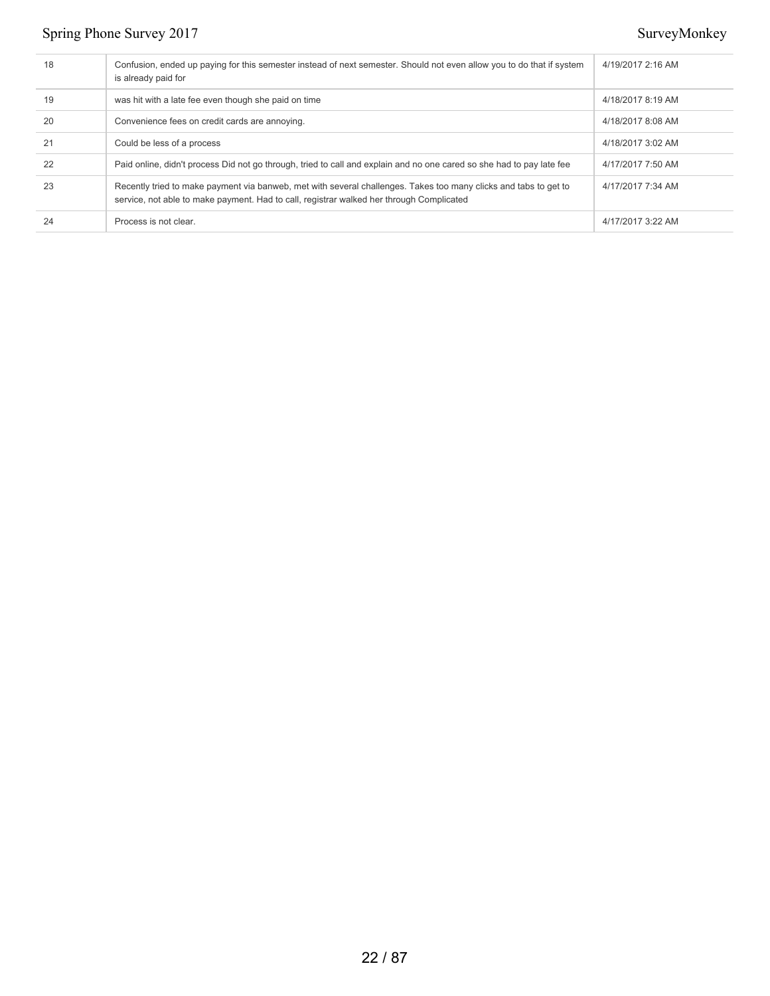| 18 | Confusion, ended up paying for this semester instead of next semester. Should not even allow you to do that if system<br>is already paid for                                                                 | 4/19/2017 2:16 AM |
|----|--------------------------------------------------------------------------------------------------------------------------------------------------------------------------------------------------------------|-------------------|
| 19 | was hit with a late fee even though she paid on time                                                                                                                                                         | 4/18/2017 8:19 AM |
| 20 | Convenience fees on credit cards are annoying.                                                                                                                                                               | 4/18/2017 8:08 AM |
| 21 | Could be less of a process                                                                                                                                                                                   | 4/18/2017 3:02 AM |
| 22 | Paid online, didn't process Did not go through, tried to call and explain and no one cared so she had to pay late fee                                                                                        | 4/17/2017 7:50 AM |
| 23 | Recently tried to make payment via banweb, met with several challenges. Takes too many clicks and tabs to get to<br>service, not able to make payment. Had to call, registrar walked her through Complicated | 4/17/2017 7:34 AM |
| 24 | Process is not clear.                                                                                                                                                                                        | 4/17/2017 3:22 AM |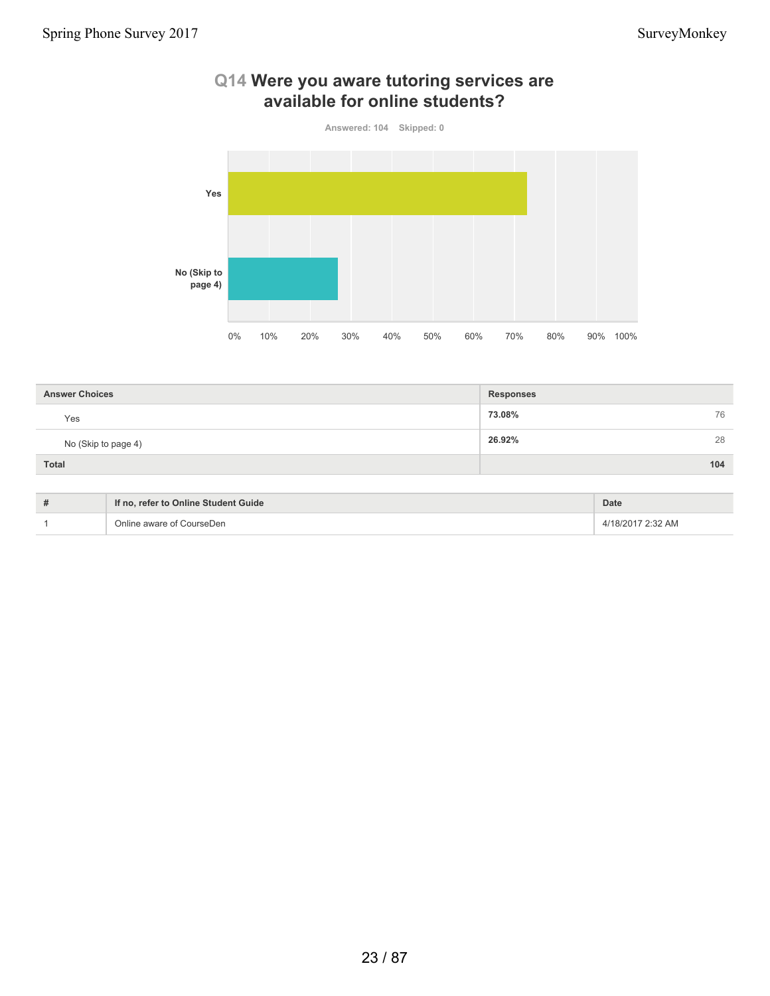

# **Q14 Were you aware tutoring services are available for online students?**

| <b>Answer Choices</b> | <b>Responses</b> |
|-----------------------|------------------|
| Yes                   | 73.08%<br>76     |
| No (Skip to page 4)   | 28<br>26.92%     |
| Total                 | 104              |

| # | If no, refer to Online Student Guide | <b>Date</b>       |
|---|--------------------------------------|-------------------|
|   | Online aware of CourseDen            | 4/18/2017 2:32 AM |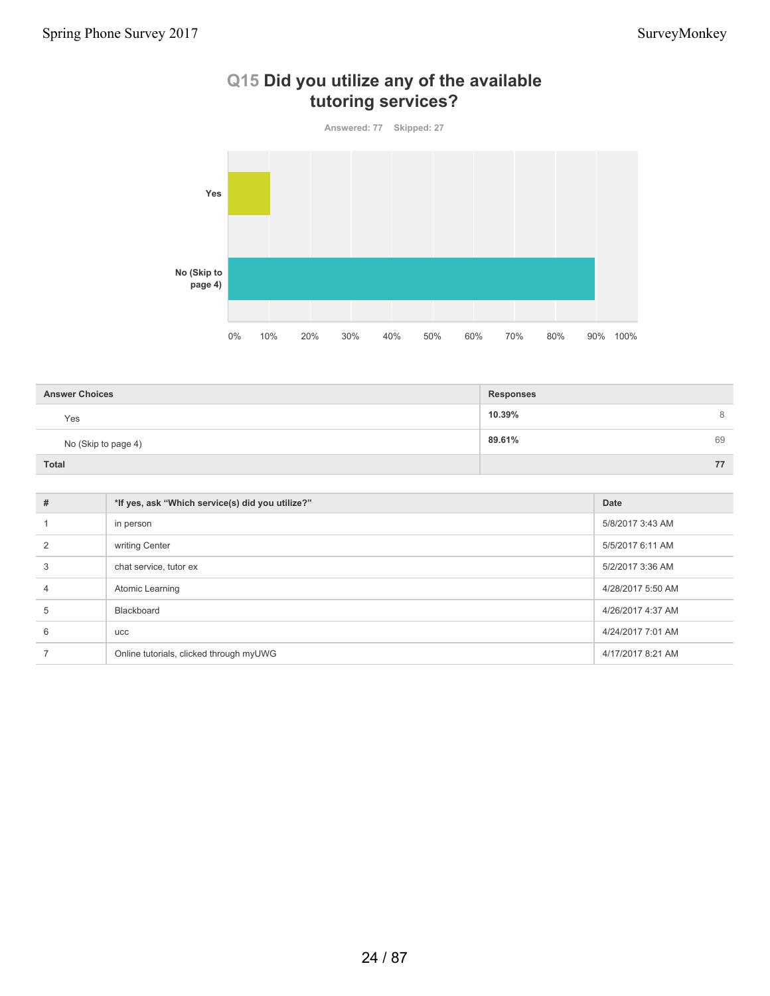

# **Q15 Did you utilize any of the available tutoring services?**

| <b>Answer Choices</b> | <b>Responses</b> |    |
|-----------------------|------------------|----|
| Yes                   | 10.39%           | 8  |
| No (Skip to page 4)   | 89.61%           | 69 |
| <b>Total</b>          |                  | 77 |

| #              | *If yes, ask "Which service(s) did you utilize?" | Date              |
|----------------|--------------------------------------------------|-------------------|
|                | in person                                        | 5/8/2017 3:43 AM  |
| $\overline{2}$ | writing Center                                   | 5/5/2017 6:11 AM  |
| 3              | chat service, tutor ex                           | 5/2/2017 3:36 AM  |
| $\overline{4}$ | Atomic Learning                                  | 4/28/2017 5:50 AM |
| 5              | Blackboard                                       | 4/26/2017 4:37 AM |
| 6              | ucc                                              | 4/24/2017 7:01 AM |
|                | Online tutorials, clicked through myUWG          | 4/17/2017 8:21 AM |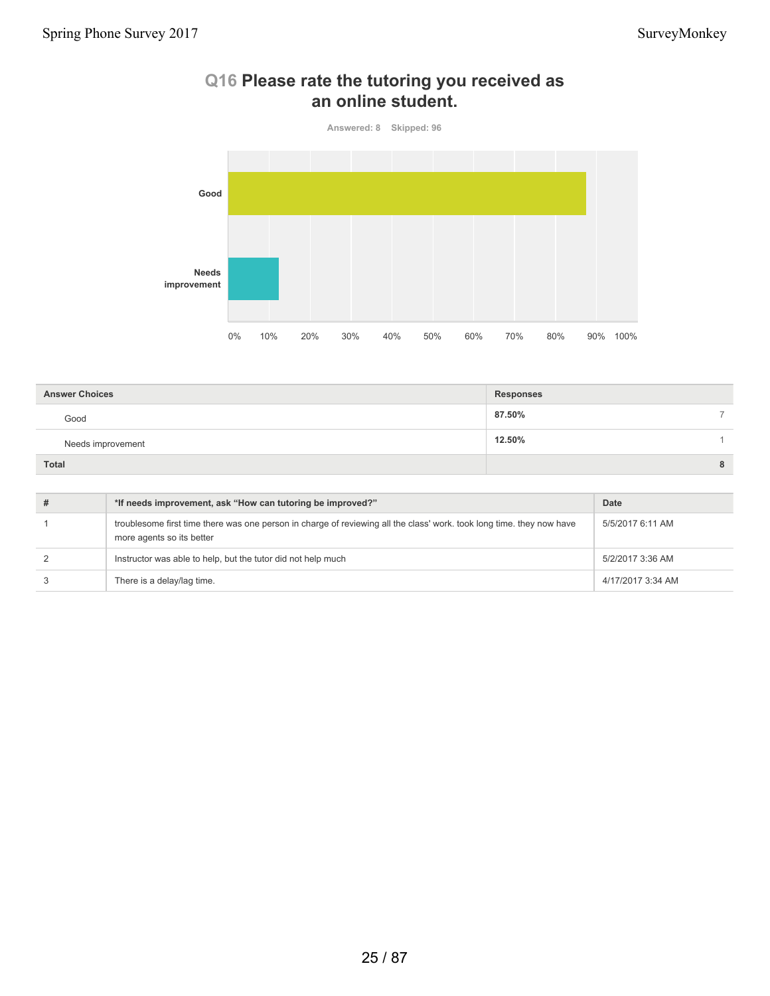

### **Q16 Please rate the tutoring you received as an online student.**

| <b>Answer Choices</b> | <b>Responses</b>        |  |
|-----------------------|-------------------------|--|
| Good                  | 87.50%<br>$\rightarrow$ |  |
| Needs improvement     | 12.50%                  |  |
| <b>Total</b>          | 8                       |  |

| *If needs improvement, ask "How can tutoring be improved?"                                                                                         | Date              |
|----------------------------------------------------------------------------------------------------------------------------------------------------|-------------------|
| troublesome first time there was one person in charge of reviewing all the class' work, took long time, they now have<br>more agents so its better | 5/5/2017 6:11 AM  |
| Instructor was able to help, but the tutor did not help much                                                                                       | 5/2/2017 3:36 AM  |
| There is a delay/lag time.                                                                                                                         | 4/17/2017 3:34 AM |
|                                                                                                                                                    |                   |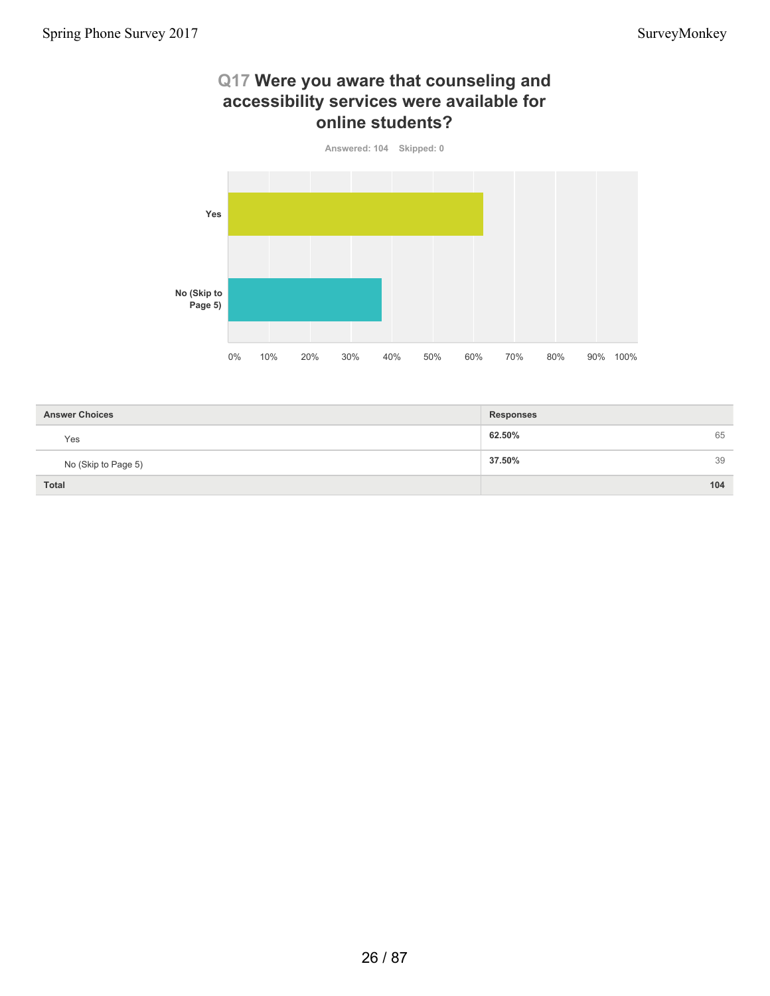### **Q17 Were you aware that counseling and accessibility services were available for online students?**



| <b>Answer Choices</b> | <b>Responses</b> |
|-----------------------|------------------|
| Yes                   | 65<br>62.50%     |
| No (Skip to Page 5)   | 39<br>37.50%     |
| <b>Total</b>          | 104              |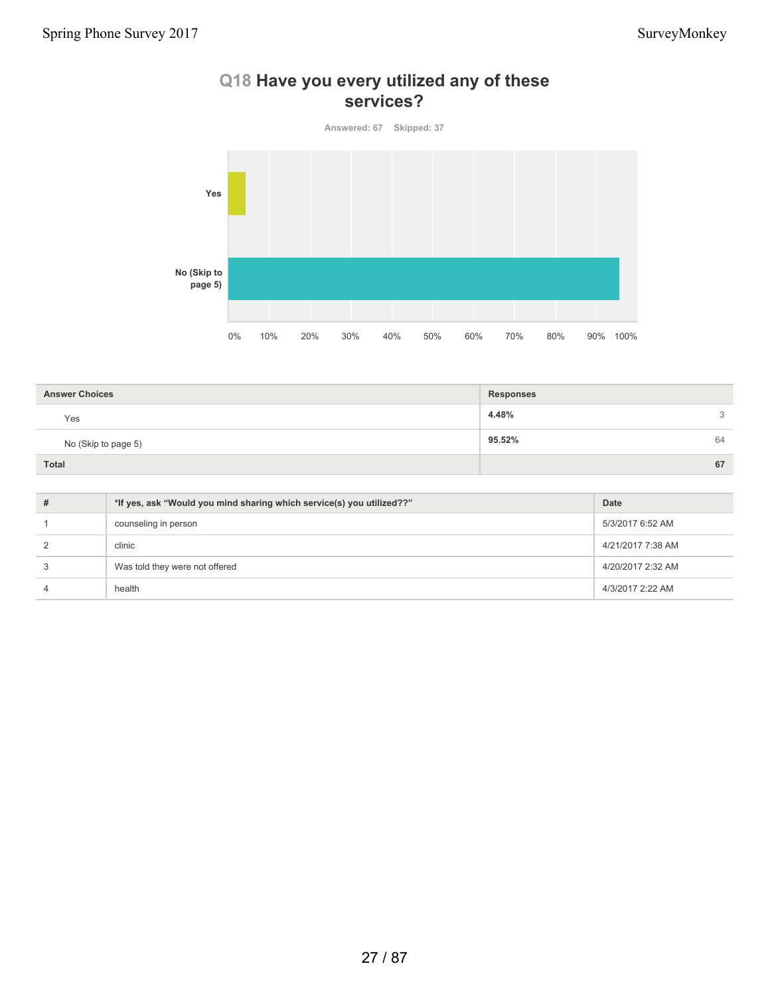# **services? Answered: 67 Skipped: 37 Yes No (Skip to page 5)**

0% 10% 20% 30% 40% 50% 60% 70% 80% 90% 100%

**Q18 Have you every utilized any of these**

| <b>Answer Choices</b> | <b>Responses</b> |    |
|-----------------------|------------------|----|
| Yes                   | 4.48%            | 3  |
| No (Skip to page 5)   | 95.52%           | 64 |
| Total                 |                  | 67 |

| # | *If yes, ask "Would you mind sharing which service(s) you utilized??" | Date              |
|---|-----------------------------------------------------------------------|-------------------|
|   | counseling in person                                                  | 5/3/2017 6:52 AM  |
|   | clinic                                                                | 4/21/2017 7:38 AM |
|   | Was told they were not offered                                        | 4/20/2017 2:32 AM |
|   | health                                                                | 4/3/2017 2:22 AM  |
|   |                                                                       |                   |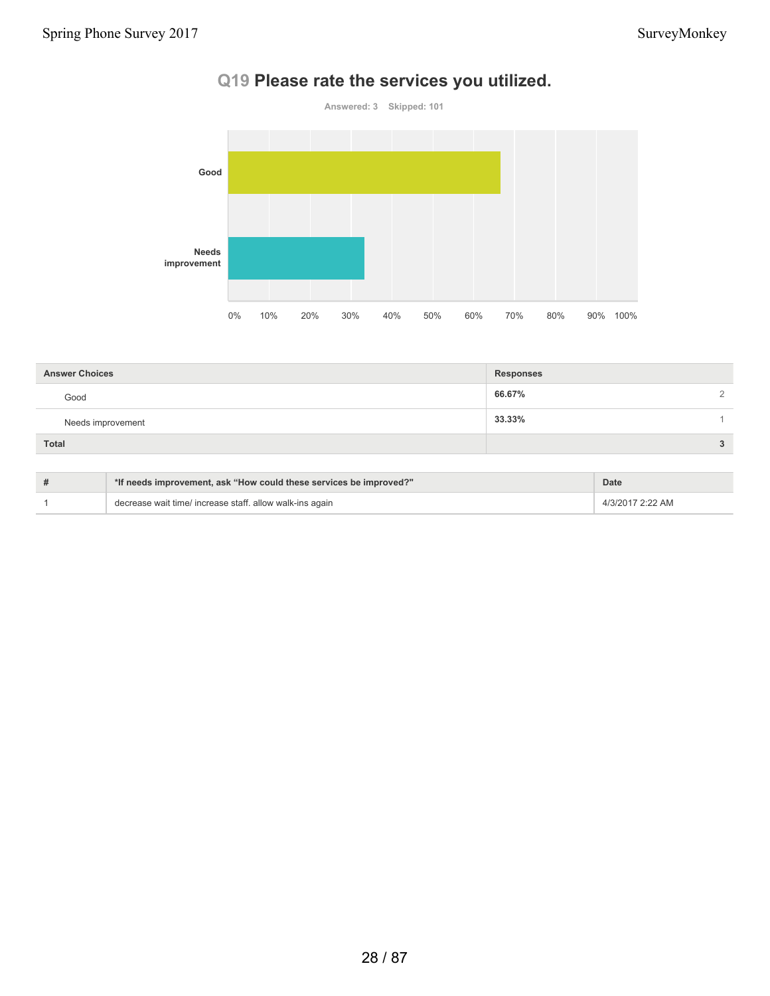# **Q19 Please rate the services you utilized.**



| <b>Answer Choices</b> | <b>Responses</b> |          |
|-----------------------|------------------|----------|
| Good                  | 66.67%           | $\Omega$ |
| Needs improvement     | 33.33%           |          |
| <b>Total</b>          |                  | 3        |

| *If needs improvement, ask "How could these services be improved?" | Date             |
|--------------------------------------------------------------------|------------------|
| decrease wait time/ increase staff. allow walk-ins again           | 4/3/2017 2:22 AM |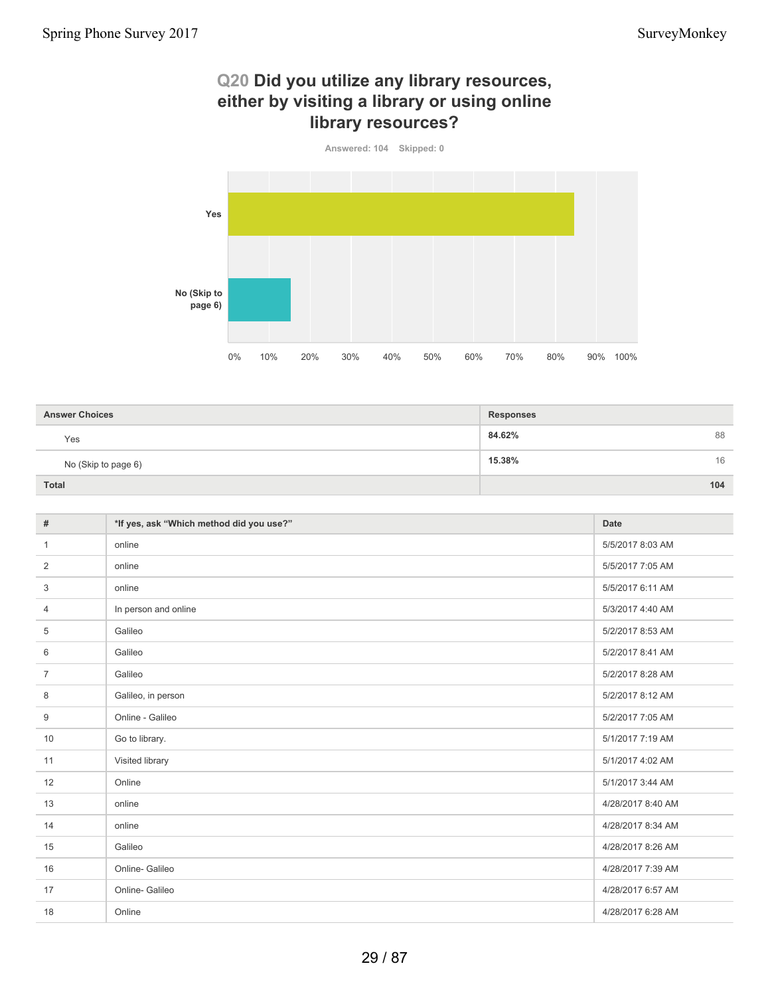### **Q20 Did you utilize any library resources, either by visiting a library or using online library resources?**



| <b>Answer Choices</b> | <b>Responses</b> |
|-----------------------|------------------|
| Yes                   | 88<br>84.62%     |
| No (Skip to page 6)   | 15.38%<br>16     |
| Total                 | 104              |

| $\#$           | *If yes, ask "Which method did you use?" | <b>Date</b>       |
|----------------|------------------------------------------|-------------------|
| $\mathbf{1}$   | online                                   | 5/5/2017 8:03 AM  |
| 2              | online                                   | 5/5/2017 7:05 AM  |
| 3              | online                                   | 5/5/2017 6:11 AM  |
| 4              | In person and online                     | 5/3/2017 4:40 AM  |
| 5              | Galileo                                  | 5/2/2017 8:53 AM  |
| 6              | Galileo                                  | 5/2/2017 8:41 AM  |
| $\overline{7}$ | Galileo                                  | 5/2/2017 8:28 AM  |
| 8              | Galileo, in person                       | 5/2/2017 8:12 AM  |
| 9              | Online - Galileo                         | 5/2/2017 7:05 AM  |
| 10             | Go to library.                           | 5/1/2017 7:19 AM  |
| 11             | Visited library                          | 5/1/2017 4:02 AM  |
| 12             | Online                                   | 5/1/2017 3:44 AM  |
| 13             | online                                   | 4/28/2017 8:40 AM |
| 14             | online                                   | 4/28/2017 8:34 AM |
| 15             | Galileo                                  | 4/28/2017 8:26 AM |
| 16             | Online- Galileo                          | 4/28/2017 7:39 AM |
| 17             | Online- Galileo                          | 4/28/2017 6:57 AM |
| 18             | Online                                   | 4/28/2017 6:28 AM |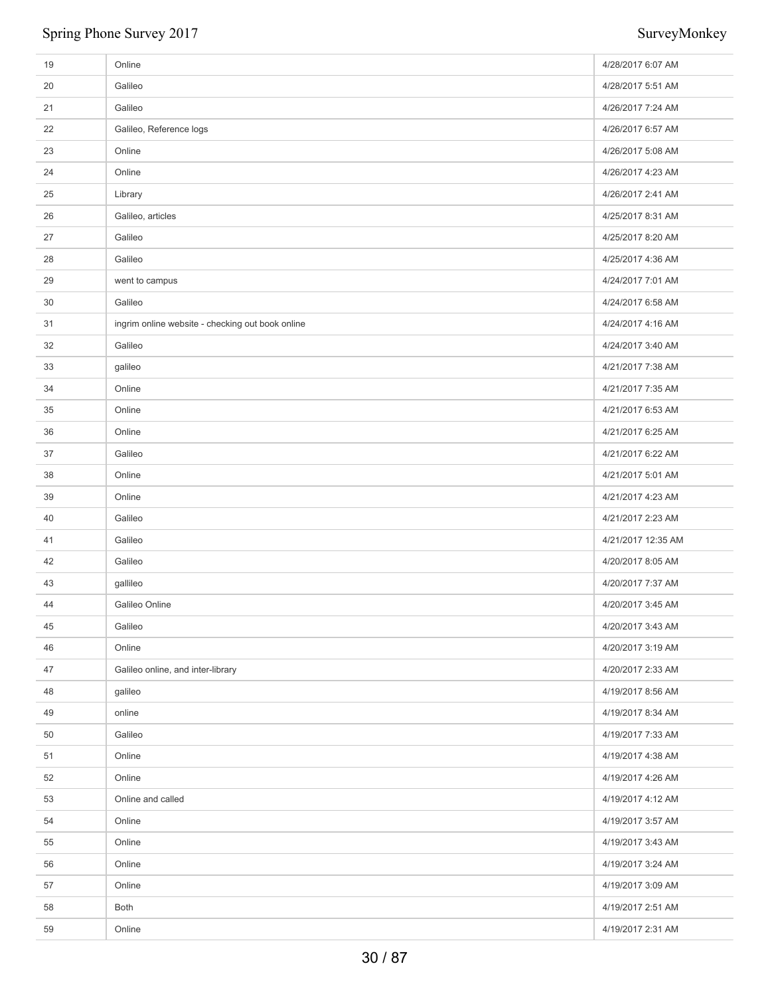| 19 | Online                                           | 4/28/2017 6:07 AM  |
|----|--------------------------------------------------|--------------------|
| 20 | Galileo                                          | 4/28/2017 5:51 AM  |
| 21 | Galileo                                          | 4/26/2017 7:24 AM  |
| 22 | Galileo, Reference logs                          | 4/26/2017 6:57 AM  |
| 23 | Online                                           | 4/26/2017 5:08 AM  |
| 24 | Online                                           | 4/26/2017 4:23 AM  |
| 25 | Library                                          | 4/26/2017 2:41 AM  |
| 26 | Galileo, articles                                | 4/25/2017 8:31 AM  |
| 27 | Galileo                                          | 4/25/2017 8:20 AM  |
| 28 | Galileo                                          | 4/25/2017 4:36 AM  |
| 29 | went to campus                                   | 4/24/2017 7:01 AM  |
| 30 | Galileo                                          | 4/24/2017 6:58 AM  |
| 31 | ingrim online website - checking out book online | 4/24/2017 4:16 AM  |
| 32 | Galileo                                          | 4/24/2017 3:40 AM  |
| 33 | galileo                                          | 4/21/2017 7:38 AM  |
| 34 | Online                                           | 4/21/2017 7:35 AM  |
| 35 | Online                                           | 4/21/2017 6:53 AM  |
| 36 | Online                                           | 4/21/2017 6:25 AM  |
| 37 | Galileo                                          | 4/21/2017 6:22 AM  |
| 38 | Online                                           | 4/21/2017 5:01 AM  |
| 39 | Online                                           | 4/21/2017 4:23 AM  |
| 40 | Galileo                                          | 4/21/2017 2:23 AM  |
| 41 | Galileo                                          | 4/21/2017 12:35 AM |
| 42 | Galileo                                          | 4/20/2017 8:05 AM  |
| 43 | gallileo                                         | 4/20/2017 7:37 AM  |
| 44 | Galileo Online                                   | 4/20/2017 3:45 AM  |
| 45 | Galileo                                          | 4/20/2017 3:43 AM  |
| 46 | Online                                           | 4/20/2017 3:19 AM  |
| 47 | Galileo online, and inter-library                | 4/20/2017 2:33 AM  |
| 48 | galileo                                          | 4/19/2017 8:56 AM  |
| 49 | online                                           | 4/19/2017 8:34 AM  |
| 50 | Galileo                                          | 4/19/2017 7:33 AM  |
| 51 | Online                                           | 4/19/2017 4:38 AM  |
| 52 | Online                                           | 4/19/2017 4:26 AM  |
| 53 | Online and called                                | 4/19/2017 4:12 AM  |
| 54 | Online                                           | 4/19/2017 3:57 AM  |
| 55 | Online                                           | 4/19/2017 3:43 AM  |
| 56 | Online                                           | 4/19/2017 3:24 AM  |
| 57 | Online                                           | 4/19/2017 3:09 AM  |
| 58 | Both                                             | 4/19/2017 2:51 AM  |
| 59 | Online                                           | 4/19/2017 2:31 AM  |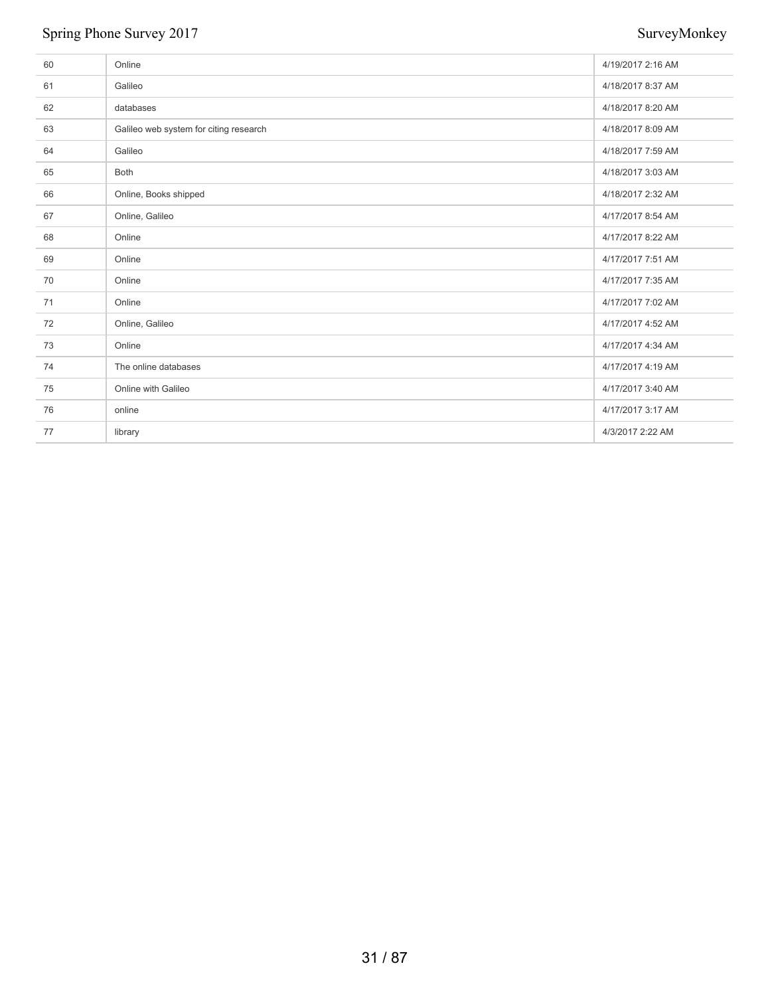| 60 | Online                                 | 4/19/2017 2:16 AM |
|----|----------------------------------------|-------------------|
| 61 | Galileo                                | 4/18/2017 8:37 AM |
| 62 | databases                              | 4/18/2017 8:20 AM |
| 63 | Galileo web system for citing research | 4/18/2017 8:09 AM |
| 64 | Galileo                                | 4/18/2017 7:59 AM |
| 65 | Both                                   | 4/18/2017 3:03 AM |
| 66 | Online, Books shipped                  | 4/18/2017 2:32 AM |
| 67 | Online, Galileo                        | 4/17/2017 8:54 AM |
| 68 | Online                                 | 4/17/2017 8:22 AM |
| 69 | Online                                 | 4/17/2017 7:51 AM |
| 70 | Online                                 | 4/17/2017 7:35 AM |
| 71 | Online                                 | 4/17/2017 7:02 AM |
| 72 | Online, Galileo                        | 4/17/2017 4:52 AM |
| 73 | Online                                 | 4/17/2017 4:34 AM |
| 74 | The online databases                   | 4/17/2017 4:19 AM |
| 75 | Online with Galileo                    | 4/17/2017 3:40 AM |
| 76 | online                                 | 4/17/2017 3:17 AM |
| 77 | library                                | 4/3/2017 2:22 AM  |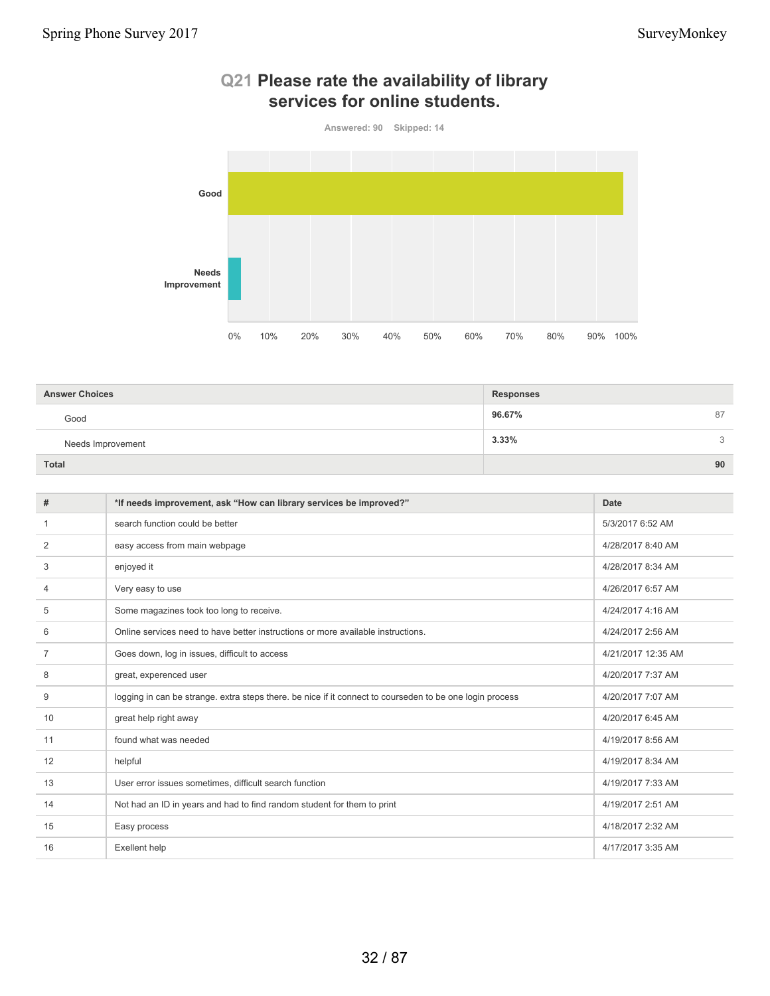

# **Q21 Please rate the availability of library services for online students.**

| <b>Answer Choices</b> | <b>Responses</b> |
|-----------------------|------------------|
| Good                  | 96.67%<br>87     |
| Needs Improvement     | 3.33%<br>3       |
| <b>Total</b>          | 90               |

| #              | *If needs improvement, ask "How can library services be improved?"                                       | Date               |
|----------------|----------------------------------------------------------------------------------------------------------|--------------------|
|                | search function could be better                                                                          | 5/3/2017 6:52 AM   |
| 2              | easy access from main webpage                                                                            | 4/28/2017 8:40 AM  |
| 3              | enjoyed it                                                                                               | 4/28/2017 8:34 AM  |
| 4              | Very easy to use                                                                                         | 4/26/2017 6:57 AM  |
| 5              | Some magazines took too long to receive.                                                                 | 4/24/2017 4:16 AM  |
| 6              | Online services need to have better instructions or more available instructions.                         | 4/24/2017 2:56 AM  |
| $\overline{7}$ | Goes down, log in issues, difficult to access                                                            | 4/21/2017 12:35 AM |
| 8              | great, experenced user                                                                                   | 4/20/2017 7:37 AM  |
| 9              | logging in can be strange, extra steps there, be nice if it connect to courseden to be one login process | 4/20/2017 7:07 AM  |
| 10             | great help right away                                                                                    | 4/20/2017 6:45 AM  |
| 11             | found what was needed                                                                                    | 4/19/2017 8:56 AM  |
| 12             | helpful                                                                                                  | 4/19/2017 8:34 AM  |
| 13             | User error issues sometimes, difficult search function                                                   | 4/19/2017 7:33 AM  |
| 14             | Not had an ID in years and had to find random student for them to print                                  | 4/19/2017 2:51 AM  |
| 15             | Easy process                                                                                             | 4/18/2017 2:32 AM  |
| 16             | Exellent help                                                                                            | 4/17/2017 3:35 AM  |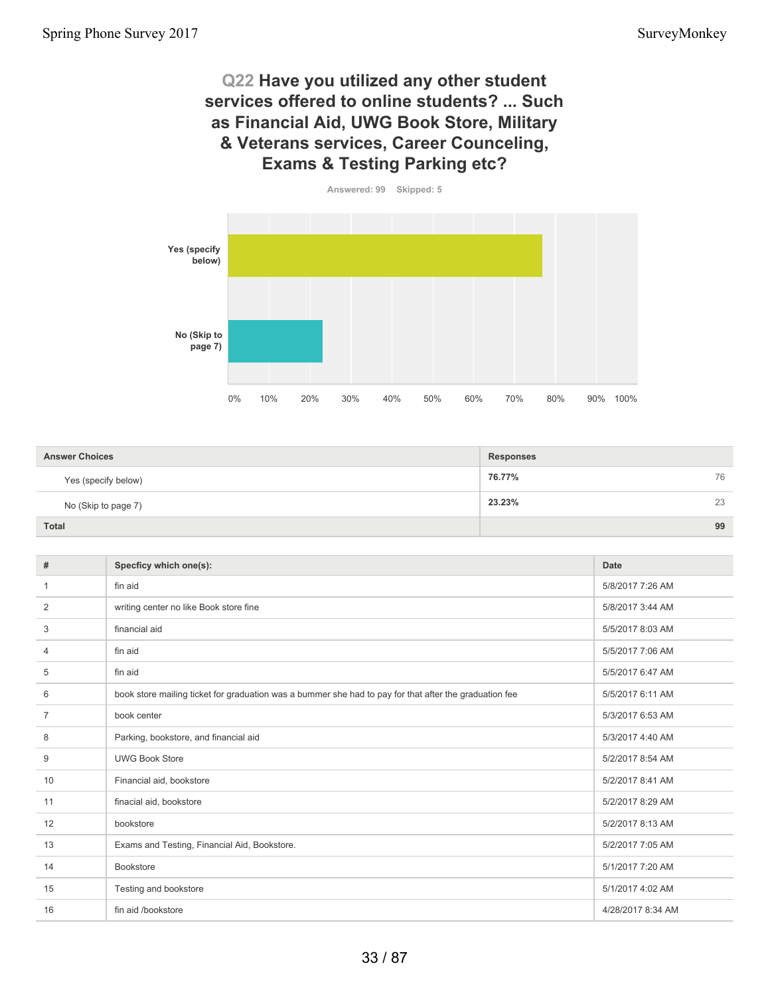### **Q22 Have you utilized any other student services offered to online students? ... Such as Financial Aid, UWG Book Store, Military & Veterans services, Career Counceling, Exams & Testing Parking etc?**



| <b>Answer Choices</b> | <b>Responses</b> |    |
|-----------------------|------------------|----|
|                       |                  |    |
| Yes (specify below)   | 76.77%           | 76 |
| No (Skip to page 7)   | 23.23%           | 23 |
| <b>Total</b>          |                  | 99 |

| #              | Specficy which one(s):                                                                                 | Date              |
|----------------|--------------------------------------------------------------------------------------------------------|-------------------|
|                | fin aid                                                                                                | 5/8/2017 7:26 AM  |
| $\overline{2}$ | writing center no like Book store fine                                                                 | 5/8/2017 3:44 AM  |
| 3              | financial aid                                                                                          | 5/5/2017 8:03 AM  |
| $\overline{4}$ | fin aid                                                                                                | 5/5/2017 7:06 AM  |
| 5              | fin aid                                                                                                | 5/5/2017 6:47 AM  |
| 6              | book store mailing ticket for graduation was a bummer she had to pay for that after the graduation fee | 5/5/2017 6:11 AM  |
| $\overline{7}$ | book center                                                                                            | 5/3/2017 6:53 AM  |
| 8              | Parking, bookstore, and financial aid                                                                  | 5/3/2017 4:40 AM  |
| 9              | <b>UWG Book Store</b>                                                                                  | 5/2/2017 8:54 AM  |
| 10             | Financial aid, bookstore                                                                               | 5/2/2017 8:41 AM  |
| 11             | finacial aid, bookstore                                                                                | 5/2/2017 8:29 AM  |
| 12             | bookstore                                                                                              | 5/2/2017 8:13 AM  |
| 13             | Exams and Testing, Financial Aid, Bookstore.                                                           | 5/2/2017 7:05 AM  |
| 14             | <b>Bookstore</b>                                                                                       | 5/1/2017 7:20 AM  |
| 15             | Testing and bookstore                                                                                  | 5/1/2017 4:02 AM  |
| 16             | fin aid /bookstore                                                                                     | 4/28/2017 8:34 AM |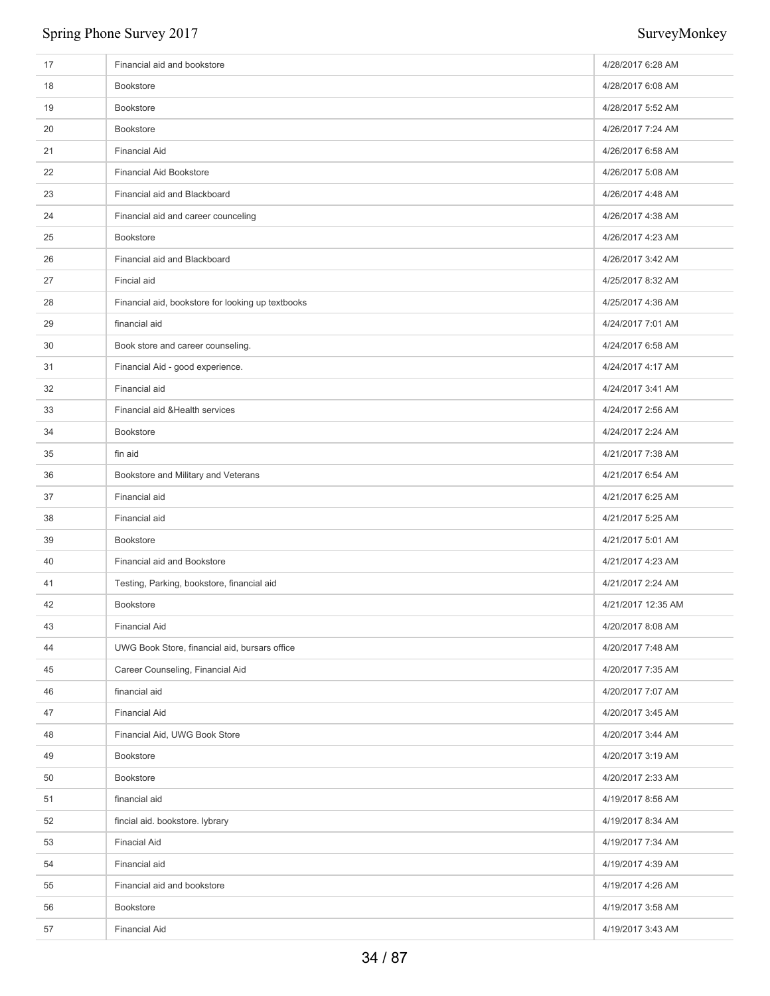| 17 | Financial aid and bookstore                       | 4/28/2017 6:28 AM  |
|----|---------------------------------------------------|--------------------|
| 18 | <b>Bookstore</b>                                  | 4/28/2017 6:08 AM  |
| 19 | Bookstore                                         | 4/28/2017 5:52 AM  |
| 20 | Bookstore                                         | 4/26/2017 7:24 AM  |
| 21 | <b>Financial Aid</b>                              | 4/26/2017 6:58 AM  |
| 22 | <b>Financial Aid Bookstore</b>                    | 4/26/2017 5:08 AM  |
| 23 | Financial aid and Blackboard                      | 4/26/2017 4:48 AM  |
| 24 | Financial aid and career counceling               | 4/26/2017 4:38 AM  |
| 25 | Bookstore                                         | 4/26/2017 4:23 AM  |
| 26 | Financial aid and Blackboard                      | 4/26/2017 3:42 AM  |
| 27 | Fincial aid                                       | 4/25/2017 8:32 AM  |
| 28 | Financial aid, bookstore for looking up textbooks | 4/25/2017 4:36 AM  |
| 29 | financial aid                                     | 4/24/2017 7:01 AM  |
| 30 | Book store and career counseling.                 | 4/24/2017 6:58 AM  |
| 31 | Financial Aid - good experience.                  | 4/24/2017 4:17 AM  |
| 32 | Financial aid                                     | 4/24/2017 3:41 AM  |
| 33 | Financial aid & Health services                   | 4/24/2017 2:56 AM  |
| 34 | Bookstore                                         | 4/24/2017 2:24 AM  |
| 35 | fin aid                                           | 4/21/2017 7:38 AM  |
| 36 | Bookstore and Military and Veterans               | 4/21/2017 6:54 AM  |
| 37 | Financial aid                                     | 4/21/2017 6:25 AM  |
| 38 | Financial aid                                     | 4/21/2017 5:25 AM  |
| 39 | Bookstore                                         | 4/21/2017 5:01 AM  |
| 40 | Financial aid and Bookstore                       | 4/21/2017 4:23 AM  |
| 41 | Testing, Parking, bookstore, financial aid        | 4/21/2017 2:24 AM  |
| 42 | <b>Bookstore</b>                                  | 4/21/2017 12:35 AM |
| 43 | <b>Financial Aid</b>                              | 4/20/2017 8:08 AM  |
| 44 | UWG Book Store, financial aid, bursars office     | 4/20/2017 7:48 AM  |
| 45 | Career Counseling, Financial Aid                  | 4/20/2017 7:35 AM  |
| 46 | financial aid                                     | 4/20/2017 7:07 AM  |
| 47 | <b>Financial Aid</b>                              | 4/20/2017 3:45 AM  |
| 48 | Financial Aid, UWG Book Store                     | 4/20/2017 3:44 AM  |
| 49 | Bookstore                                         | 4/20/2017 3:19 AM  |
| 50 | Bookstore                                         | 4/20/2017 2:33 AM  |
| 51 | financial aid                                     | 4/19/2017 8:56 AM  |
| 52 | fincial aid. bookstore. lybrary                   | 4/19/2017 8:34 AM  |
| 53 | <b>Finacial Aid</b>                               | 4/19/2017 7:34 AM  |
| 54 | Financial aid                                     | 4/19/2017 4:39 AM  |
| 55 | Financial aid and bookstore                       | 4/19/2017 4:26 AM  |
| 56 | Bookstore                                         | 4/19/2017 3:58 AM  |
| 57 | <b>Financial Aid</b>                              | 4/19/2017 3:43 AM  |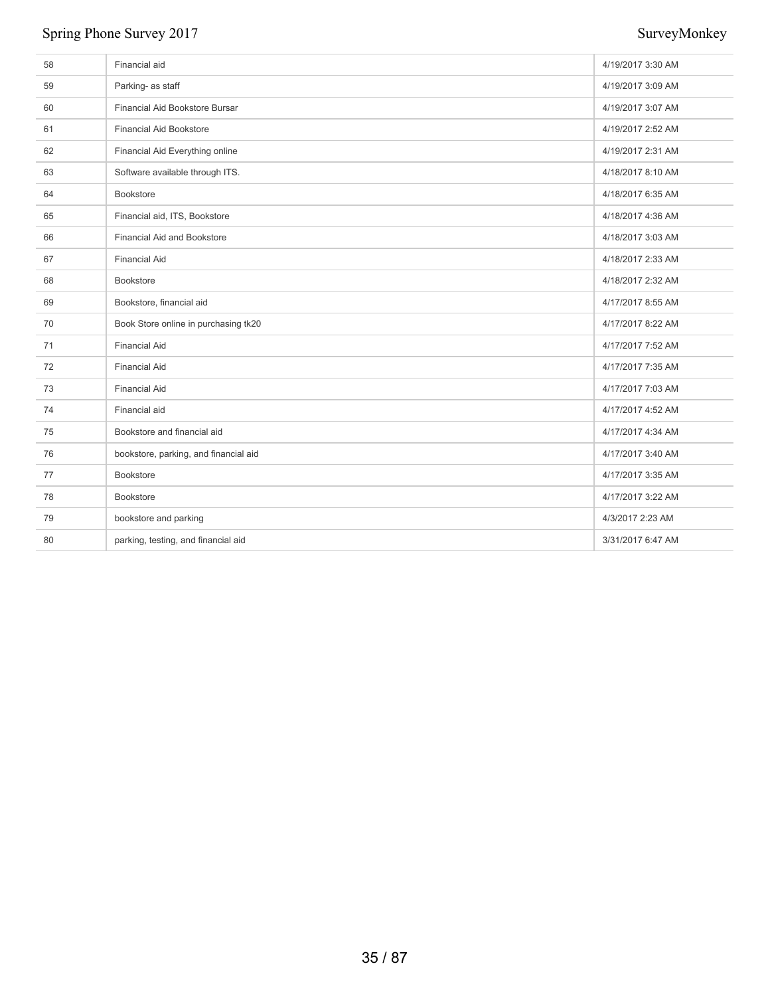| 58 | Financial aid                         | 4/19/2017 3:30 AM |
|----|---------------------------------------|-------------------|
| 59 | Parking- as staff                     | 4/19/2017 3:09 AM |
| 60 | Financial Aid Bookstore Bursar        | 4/19/2017 3:07 AM |
| 61 | <b>Financial Aid Bookstore</b>        | 4/19/2017 2:52 AM |
| 62 | Financial Aid Everything online       | 4/19/2017 2:31 AM |
| 63 | Software available through ITS.       | 4/18/2017 8:10 AM |
| 64 | <b>Bookstore</b>                      | 4/18/2017 6:35 AM |
| 65 | Financial aid, ITS, Bookstore         | 4/18/2017 4:36 AM |
| 66 | <b>Financial Aid and Bookstore</b>    | 4/18/2017 3:03 AM |
| 67 | <b>Financial Aid</b>                  | 4/18/2017 2:33 AM |
| 68 | <b>Bookstore</b>                      | 4/18/2017 2:32 AM |
| 69 | Bookstore, financial aid              | 4/17/2017 8:55 AM |
| 70 | Book Store online in purchasing tk20  | 4/17/2017 8:22 AM |
| 71 | <b>Financial Aid</b>                  | 4/17/2017 7:52 AM |
| 72 | <b>Financial Aid</b>                  | 4/17/2017 7:35 AM |
| 73 | <b>Financial Aid</b>                  | 4/17/2017 7:03 AM |
| 74 | Financial aid                         | 4/17/2017 4:52 AM |
| 75 | Bookstore and financial aid           | 4/17/2017 4:34 AM |
| 76 | bookstore, parking, and financial aid | 4/17/2017 3:40 AM |
| 77 | Bookstore                             | 4/17/2017 3:35 AM |
| 78 | Bookstore                             | 4/17/2017 3:22 AM |
| 79 | bookstore and parking                 | 4/3/2017 2:23 AM  |
| 80 | parking, testing, and financial aid   | 3/31/2017 6:47 AM |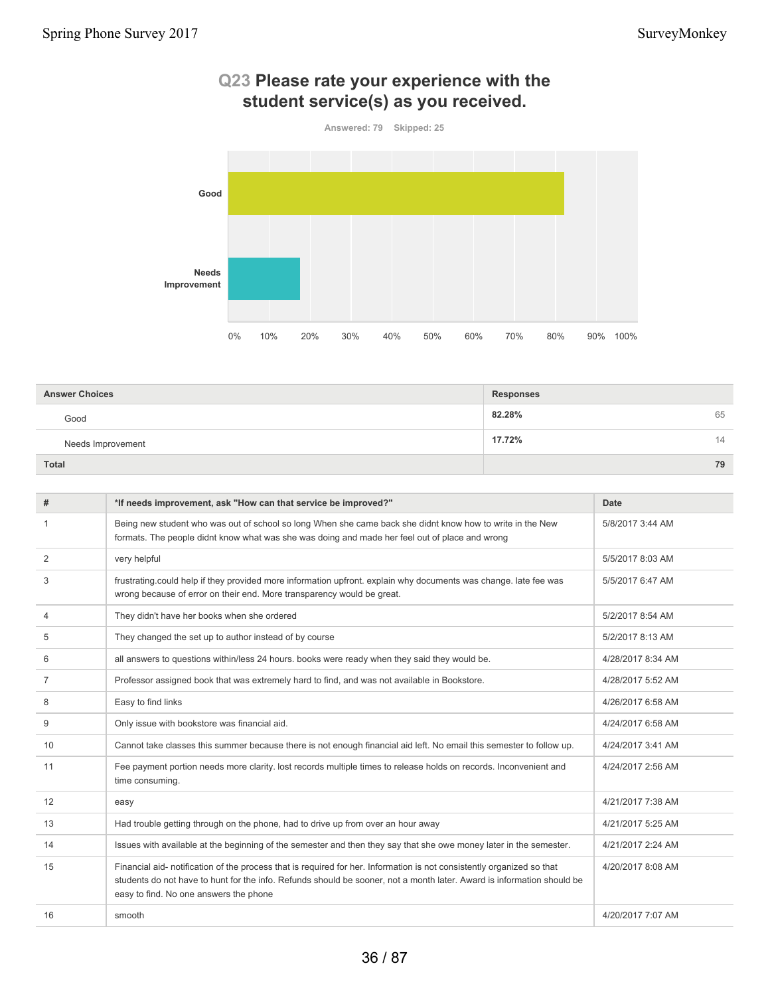

# **Q23 Please rate your experience with the student service(s) as you received.**

| <b>Answer Choices</b> | <b>Responses</b> |
|-----------------------|------------------|
| Good                  | 82.28%<br>65     |
| Needs Improvement     | 17.72%<br>14     |
| <b>Total</b>          | 79               |

| #              | *If needs improvement, ask "How can that service be improved?"                                                                                                                                                                                                                             | Date              |
|----------------|--------------------------------------------------------------------------------------------------------------------------------------------------------------------------------------------------------------------------------------------------------------------------------------------|-------------------|
|                | Being new student who was out of school so long When she came back she didnt know how to write in the New<br>formats. The people didnt know what was she was doing and made her feel out of place and wrong                                                                                | 5/8/2017 3:44 AM  |
| 2              | very helpful                                                                                                                                                                                                                                                                               | 5/5/2017 8:03 AM  |
| 3              | frustrating.could help if they provided more information upfront. explain why documents was change. late fee was<br>wrong because of error on their end. More transparency would be great.                                                                                                 | 5/5/2017 6:47 AM  |
| 4              | They didn't have her books when she ordered                                                                                                                                                                                                                                                | 5/2/2017 8:54 AM  |
| 5              | They changed the set up to author instead of by course                                                                                                                                                                                                                                     | 5/2/2017 8:13 AM  |
| 6              | all answers to questions within/less 24 hours. books were ready when they said they would be.                                                                                                                                                                                              | 4/28/2017 8:34 AM |
| $\overline{7}$ | Professor assigned book that was extremely hard to find, and was not available in Bookstore.                                                                                                                                                                                               | 4/28/2017 5:52 AM |
| 8              | Easy to find links                                                                                                                                                                                                                                                                         | 4/26/2017 6:58 AM |
| 9              | Only issue with bookstore was financial aid.                                                                                                                                                                                                                                               | 4/24/2017 6:58 AM |
| 10             | Cannot take classes this summer because there is not enough financial aid left. No email this semester to follow up.                                                                                                                                                                       | 4/24/2017 3:41 AM |
| 11             | Fee payment portion needs more clarity. lost records multiple times to release holds on records. Inconvenient and<br>time consuming.                                                                                                                                                       | 4/24/2017 2:56 AM |
| 12             | easy                                                                                                                                                                                                                                                                                       | 4/21/2017 7:38 AM |
| 13             | Had trouble getting through on the phone, had to drive up from over an hour away                                                                                                                                                                                                           | 4/21/2017 5:25 AM |
| 14             | Issues with available at the beginning of the semester and then they say that she owe money later in the semester.                                                                                                                                                                         | 4/21/2017 2:24 AM |
| 15             | Financial aid- notification of the process that is required for her. Information is not consistently organized so that<br>students do not have to hunt for the info. Refunds should be sooner, not a month later. Award is information should be<br>easy to find. No one answers the phone | 4/20/2017 8:08 AM |
| 16             | smooth                                                                                                                                                                                                                                                                                     | 4/20/2017 7:07 AM |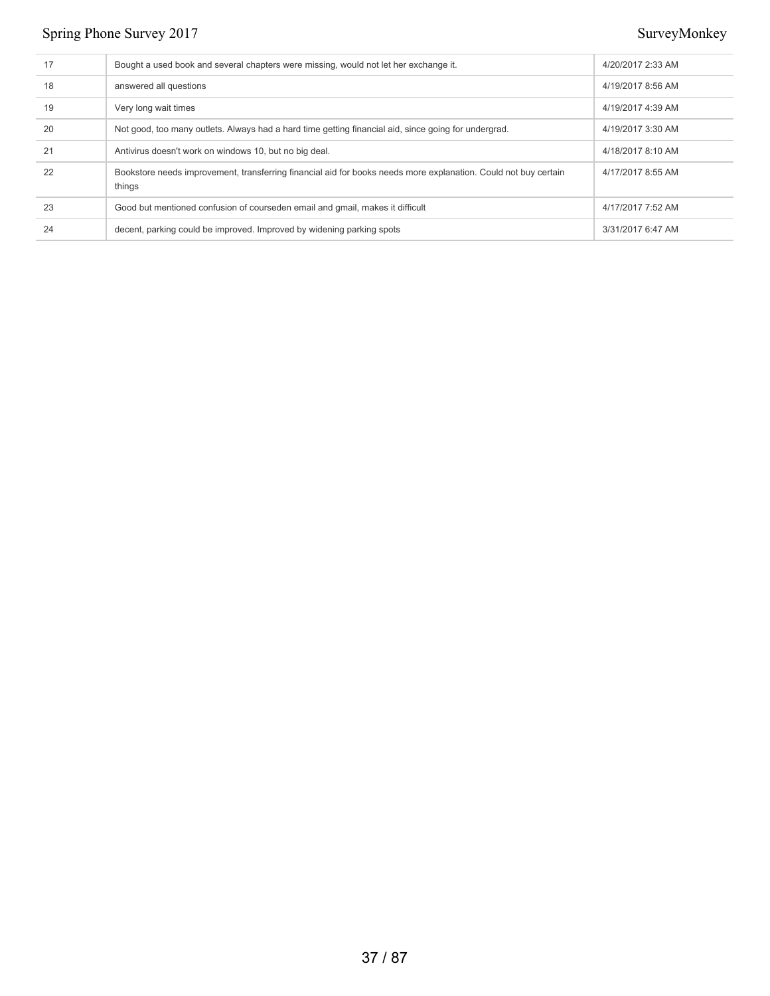| 17 | Bought a used book and several chapters were missing, would not let her exchange it.                                      | 4/20/2017 2:33 AM |
|----|---------------------------------------------------------------------------------------------------------------------------|-------------------|
| 18 | answered all questions                                                                                                    | 4/19/2017 8:56 AM |
| 19 | Very long wait times                                                                                                      | 4/19/2017 4:39 AM |
| 20 | Not good, too many outlets. Always had a hard time getting financial aid, since going for undergrad.                      | 4/19/2017 3:30 AM |
| 21 | Antivirus doesn't work on windows 10, but no big deal.                                                                    | 4/18/2017 8:10 AM |
| 22 | Bookstore needs improvement, transferring financial aid for books needs more explanation. Could not buy certain<br>things | 4/17/2017 8:55 AM |
| 23 | Good but mentioned confusion of courseden email and gmail, makes it difficult                                             | 4/17/2017 7:52 AM |
| 24 | decent, parking could be improved. Improved by widening parking spots                                                     | 3/31/2017 6:47 AM |
|    |                                                                                                                           |                   |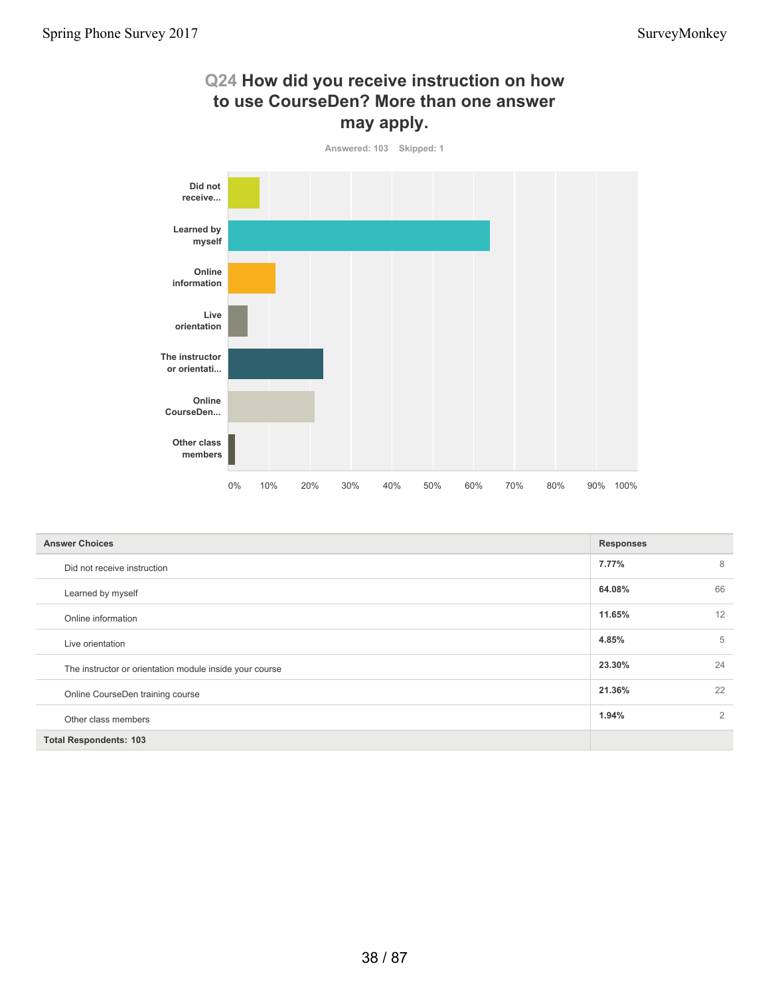# **Q24 How did you receive instruction on how to use CourseDen? More than one answer may apply.**



| <b>Answer Choices</b>                                   | <b>Responses</b> |    |
|---------------------------------------------------------|------------------|----|
| Did not receive instruction                             | 7.77%            | 8  |
| Learned by myself                                       | 64.08%           | 66 |
| Online information                                      | 11.65%           | 12 |
| Live orientation                                        | 4.85%            | 5  |
| The instructor or orientation module inside your course | 23.30%           | 24 |
| Online CourseDen training course                        | 21.36%           | 22 |
| Other class members                                     | 1.94%            | 2  |
| <b>Total Respondents: 103</b>                           |                  |    |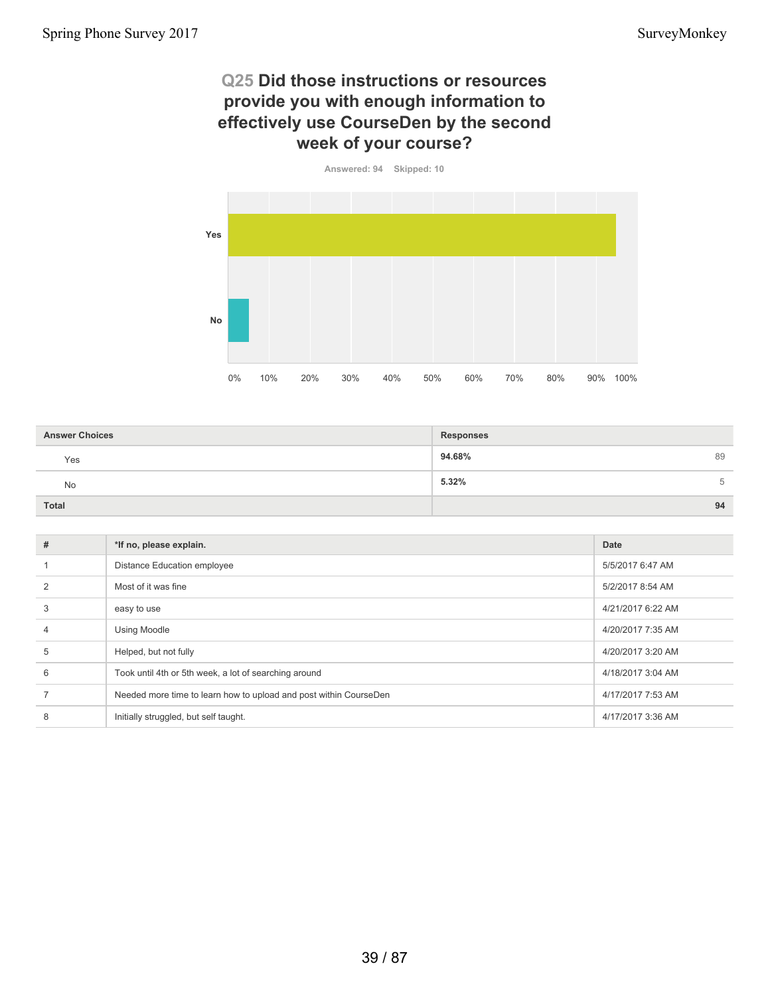### **Q25 Did those instructions or resources provide you with enough information to effectively use CourseDen by the second week of your course?**



| <b>Answer Choices</b> | <b>Responses</b> |
|-----------------------|------------------|
| Yes                   | 94.68%<br>89     |
| No                    | 5.32%<br>b       |
| <b>Total</b>          | 94               |

| #              | *If no, please explain.                                           | Date              |
|----------------|-------------------------------------------------------------------|-------------------|
|                | <b>Distance Education employee</b>                                | 5/5/2017 6:47 AM  |
| $\mathfrak{p}$ | Most of it was fine                                               | 5/2/2017 8:54 AM  |
| 3              | easy to use                                                       | 4/21/2017 6:22 AM |
| $\overline{4}$ | <b>Using Moodle</b>                                               | 4/20/2017 7:35 AM |
| 5              | Helped, but not fully                                             | 4/20/2017 3:20 AM |
| 6              | Took until 4th or 5th week, a lot of searching around             | 4/18/2017 3:04 AM |
|                | Needed more time to learn how to upload and post within CourseDen | 4/17/2017 7:53 AM |
| 8              | Initially struggled, but self taught.                             | 4/17/2017 3:36 AM |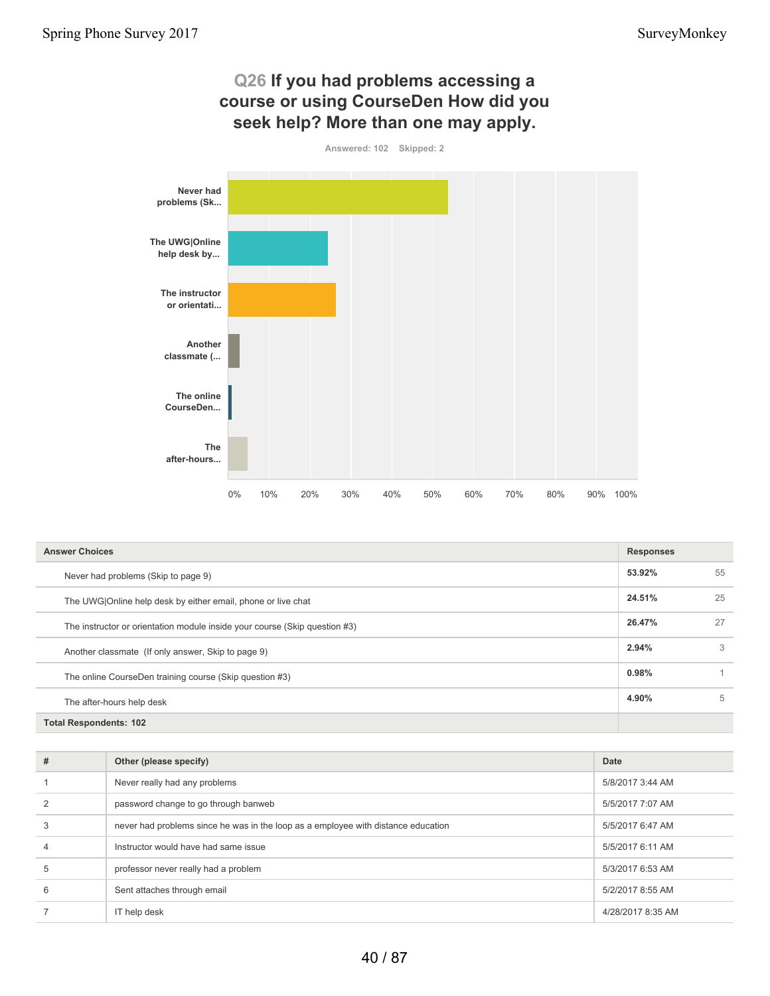

| <b>Answer Choices</b>                                                      |        | <b>Responses</b> |  |
|----------------------------------------------------------------------------|--------|------------------|--|
| Never had problems (Skip to page 9)                                        | 53.92% | 55               |  |
| The UWG Online help desk by either email, phone or live chat               | 24.51% | 25               |  |
| The instructor or orientation module inside your course (Skip question #3) | 26.47% | 27               |  |
| Another classmate (If only answer, Skip to page 9)                         | 2.94%  | 3                |  |
| The online CourseDen training course (Skip question #3)                    |        |                  |  |
| The after-hours help desk                                                  | 4.90%  | 5                |  |
| <b>Total Respondents: 102</b>                                              |        |                  |  |

| #              | Other (please specify)                                                            | Date              |
|----------------|-----------------------------------------------------------------------------------|-------------------|
|                | Never really had any problems                                                     | 5/8/2017 3:44 AM  |
|                | password change to go through banweb                                              | 5/5/2017 7:07 AM  |
| 3              | never had problems since he was in the loop as a employee with distance education | 5/5/2017 6:47 AM  |
| $\overline{4}$ | Instructor would have had same issue                                              | 5/5/2017 6:11 AM  |
| 5              | professor never really had a problem                                              | 5/3/2017 6:53 AM  |
| 6              | Sent attaches through email                                                       | 5/2/2017 8:55 AM  |
|                | IT help desk                                                                      | 4/28/2017 8:35 AM |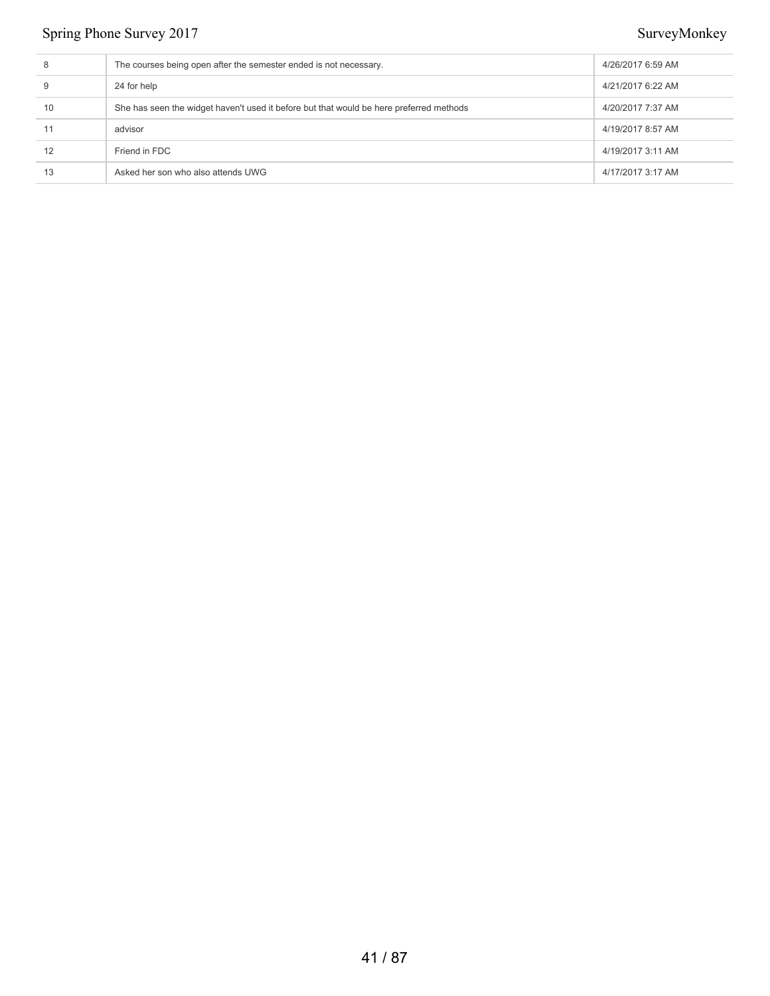| 8  | The courses being open after the semester ended is not necessary.                       | 4/26/2017 6:59 AM |
|----|-----------------------------------------------------------------------------------------|-------------------|
| 9  | 24 for help                                                                             | 4/21/2017 6:22 AM |
| 10 | She has seen the widget haven't used it before but that would be here preferred methods | 4/20/2017 7:37 AM |
| 11 | advisor                                                                                 | 4/19/2017 8:57 AM |
| 12 | Friend in FDC                                                                           | 4/19/2017 3:11 AM |
| 13 | Asked her son who also attends UWG                                                      | 4/17/2017 3:17 AM |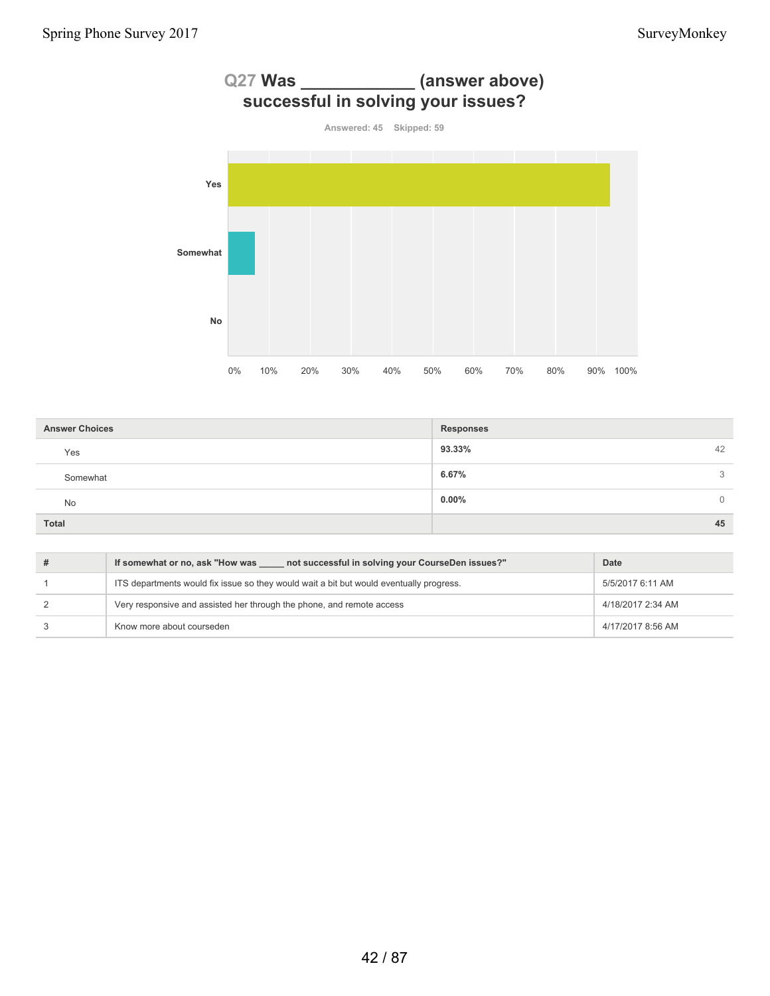

| <b>Answer Choices</b> | <b>Responses</b>     |
|-----------------------|----------------------|
| Yes                   | 93.33%<br>42         |
| Somewhat              | 6.67%<br>3           |
| No                    | $0.00\%$<br>$\Omega$ |
| <b>Total</b>          | 45                   |

| not successful in solving your CourseDen issues?"<br>If somewhat or no, ask "How was    | Date              |
|-----------------------------------------------------------------------------------------|-------------------|
| ITS departments would fix issue so they would wait a bit but would eventually progress. | 5/5/2017 6:11 AM  |
| Very responsive and assisted her through the phone, and remote access                   | 4/18/2017 2:34 AM |
| Know more about courseden                                                               | 4/17/2017 8:56 AM |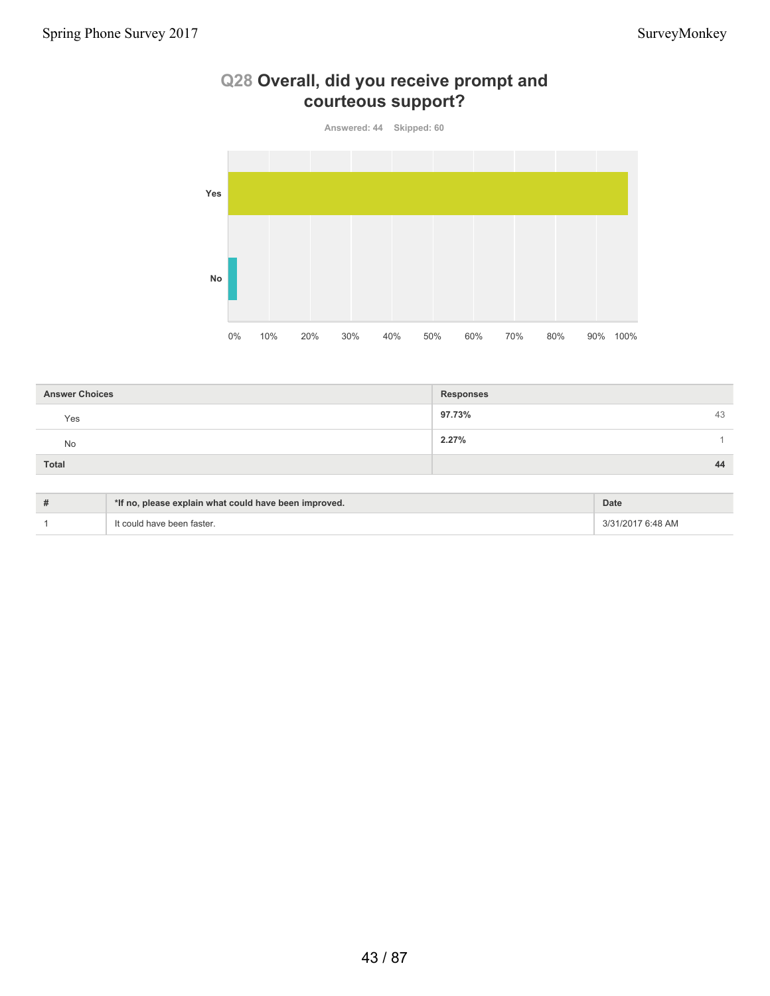

# **Q28 Overall, did you receive prompt and courteous support?**

| <b>Answer Choices</b> | <b>Responses</b> |
|-----------------------|------------------|
| Yes                   | 97.73%<br>43     |
| <b>No</b>             | 2.27%            |
| Total                 | 44               |

| # | *If no, please explain what could have been improved. | <b>Date</b>       |
|---|-------------------------------------------------------|-------------------|
|   | It could have been faster.                            | 3/31/2017 6:48 AM |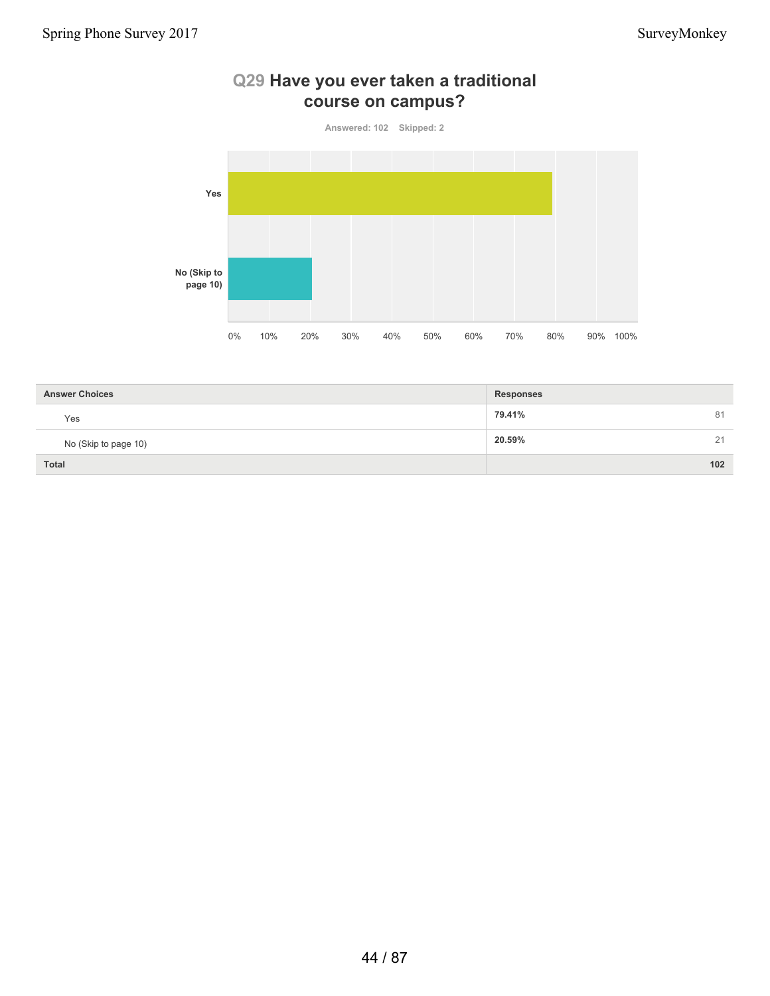

#### **Q29 Have you ever taken a traditional course on campus?**

| <b>Answer Choices</b> | <b>Responses</b> |
|-----------------------|------------------|
| Yes                   | 79.41%<br>81     |
| No (Skip to page 10)  | 20.59%<br>21     |
| <b>Total</b>          | 102              |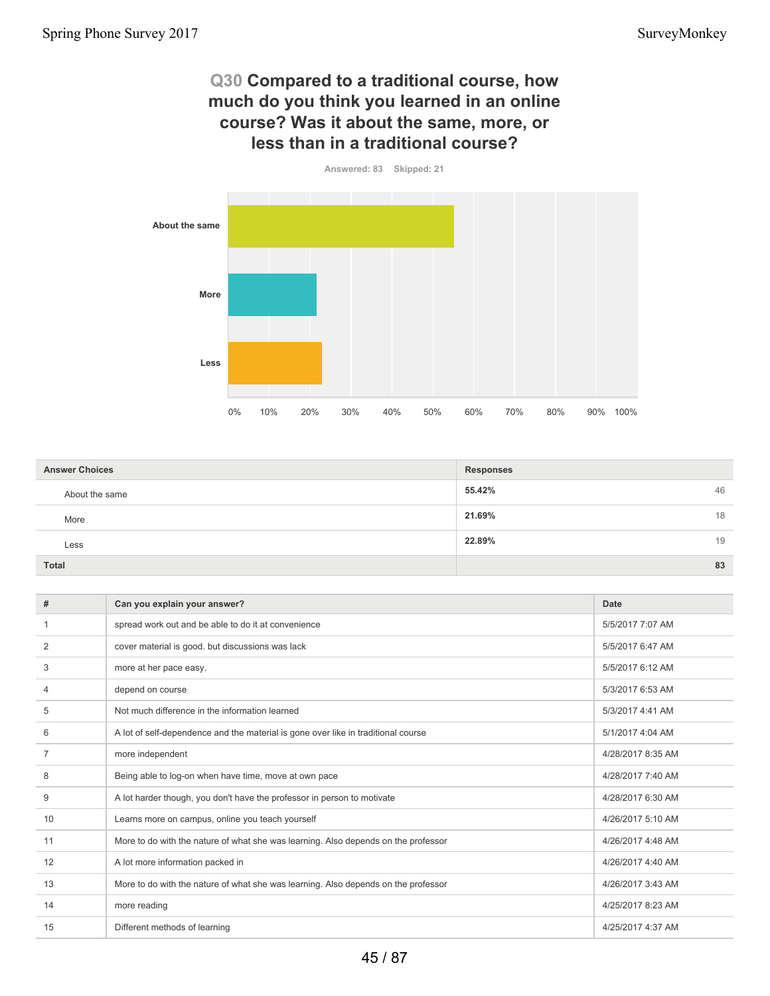#### **Q30 Compared to a traditional course, how much do you think you learned in an online course? Was it about the same, more, or less than in a traditional course?**



| <b>Answer Choices</b> | <b>Responses</b> |  |
|-----------------------|------------------|--|
| About the same        | 55.42%<br>46     |  |
| More                  | 21.69%<br>18     |  |
| Less                  | 22.89%<br>19     |  |
| <b>Total</b>          | 83               |  |

| #              | Can you explain your answer?                                                       | <b>Date</b>       |
|----------------|------------------------------------------------------------------------------------|-------------------|
|                | spread work out and be able to do it at convenience                                | 5/5/2017 7:07 AM  |
| $\overline{2}$ | cover material is good. but discussions was lack                                   | 5/5/2017 6:47 AM  |
| 3              | more at her pace easy.                                                             | 5/5/2017 6:12 AM  |
| 4              | depend on course                                                                   | 5/3/2017 6:53 AM  |
| 5              | Not much difference in the information learned                                     | 5/3/2017 4:41 AM  |
| 6              | A lot of self-dependence and the material is gone over like in traditional course  | 5/1/2017 4:04 AM  |
| $\overline{7}$ | more independent                                                                   | 4/28/2017 8:35 AM |
| 8              | Being able to log-on when have time, move at own pace                              | 4/28/2017 7:40 AM |
| 9              | A lot harder though, you don't have the professor in person to motivate            | 4/28/2017 6:30 AM |
| 10             | Learns more on campus, online you teach yourself                                   | 4/26/2017 5:10 AM |
| 11             | More to do with the nature of what she was learning. Also depends on the professor | 4/26/2017 4:48 AM |
| 12             | A lot more information packed in                                                   | 4/26/2017 4:40 AM |
| 13             | More to do with the nature of what she was learning. Also depends on the professor | 4/26/2017 3:43 AM |
| 14             | more reading                                                                       | 4/25/2017 8:23 AM |
| 15             | Different methods of learning                                                      | 4/25/2017 4:37 AM |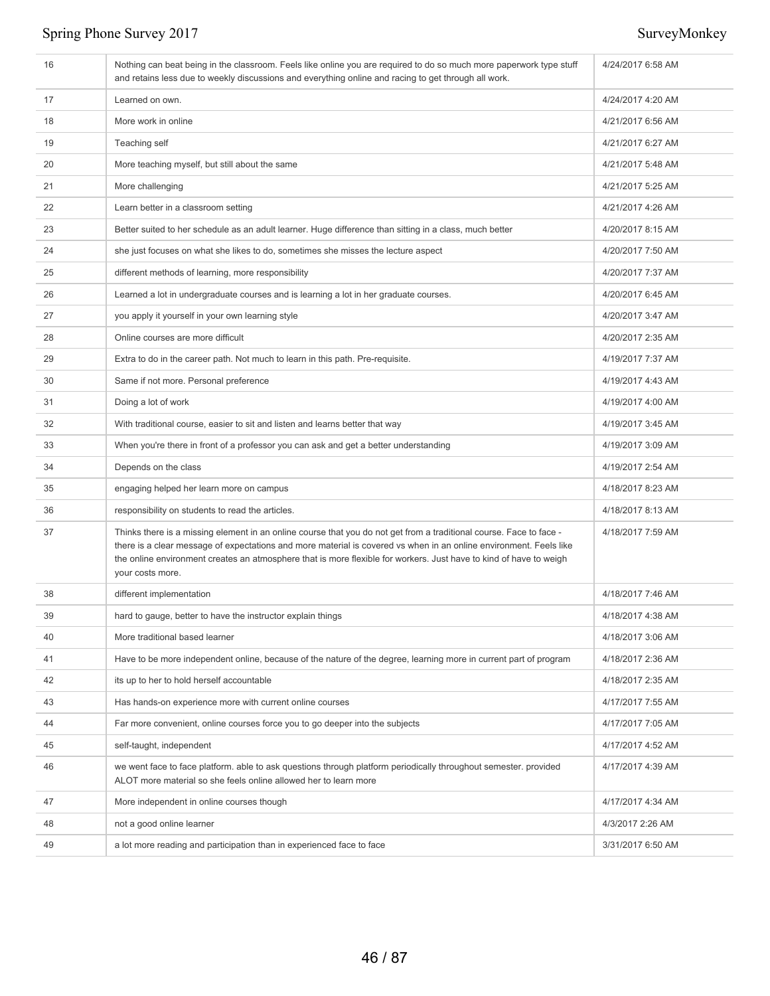| 16 | Nothing can beat being in the classroom. Feels like online you are required to do so much more paperwork type stuff<br>and retains less due to weekly discussions and everything online and racing to get through all work.                                                                                                                                                         | 4/24/2017 6:58 AM |
|----|-------------------------------------------------------------------------------------------------------------------------------------------------------------------------------------------------------------------------------------------------------------------------------------------------------------------------------------------------------------------------------------|-------------------|
| 17 | Learned on own.                                                                                                                                                                                                                                                                                                                                                                     | 4/24/2017 4:20 AM |
| 18 | More work in online                                                                                                                                                                                                                                                                                                                                                                 | 4/21/2017 6:56 AM |
| 19 | Teaching self                                                                                                                                                                                                                                                                                                                                                                       | 4/21/2017 6:27 AM |
| 20 | More teaching myself, but still about the same                                                                                                                                                                                                                                                                                                                                      | 4/21/2017 5:48 AM |
| 21 | More challenging                                                                                                                                                                                                                                                                                                                                                                    | 4/21/2017 5:25 AM |
| 22 | Learn better in a classroom setting                                                                                                                                                                                                                                                                                                                                                 | 4/21/2017 4:26 AM |
| 23 | Better suited to her schedule as an adult learner. Huge difference than sitting in a class, much better                                                                                                                                                                                                                                                                             | 4/20/2017 8:15 AM |
| 24 | she just focuses on what she likes to do, sometimes she misses the lecture aspect                                                                                                                                                                                                                                                                                                   | 4/20/2017 7:50 AM |
| 25 | different methods of learning, more responsibility                                                                                                                                                                                                                                                                                                                                  | 4/20/2017 7:37 AM |
| 26 | Learned a lot in undergraduate courses and is learning a lot in her graduate courses.                                                                                                                                                                                                                                                                                               | 4/20/2017 6:45 AM |
| 27 | you apply it yourself in your own learning style                                                                                                                                                                                                                                                                                                                                    | 4/20/2017 3:47 AM |
| 28 | Online courses are more difficult                                                                                                                                                                                                                                                                                                                                                   | 4/20/2017 2:35 AM |
| 29 | Extra to do in the career path. Not much to learn in this path. Pre-requisite.                                                                                                                                                                                                                                                                                                      | 4/19/2017 7:37 AM |
| 30 | Same if not more. Personal preference                                                                                                                                                                                                                                                                                                                                               | 4/19/2017 4:43 AM |
| 31 | Doing a lot of work                                                                                                                                                                                                                                                                                                                                                                 | 4/19/2017 4:00 AM |
| 32 | With traditional course, easier to sit and listen and learns better that way                                                                                                                                                                                                                                                                                                        | 4/19/2017 3:45 AM |
| 33 | When you're there in front of a professor you can ask and get a better understanding                                                                                                                                                                                                                                                                                                | 4/19/2017 3:09 AM |
| 34 | Depends on the class                                                                                                                                                                                                                                                                                                                                                                | 4/19/2017 2:54 AM |
| 35 | engaging helped her learn more on campus                                                                                                                                                                                                                                                                                                                                            | 4/18/2017 8:23 AM |
| 36 | responsibility on students to read the articles.                                                                                                                                                                                                                                                                                                                                    | 4/18/2017 8:13 AM |
| 37 | Thinks there is a missing element in an online course that you do not get from a traditional course. Face to face -<br>there is a clear message of expectations and more material is covered vs when in an online environment. Feels like<br>the online environment creates an atmosphere that is more flexible for workers. Just have to kind of have to weigh<br>your costs more. | 4/18/2017 7:59 AM |
| 38 | different implementation                                                                                                                                                                                                                                                                                                                                                            | 4/18/2017 7:46 AM |
| 39 | hard to gauge, better to have the instructor explain things                                                                                                                                                                                                                                                                                                                         | 4/18/2017 4:38 AM |
| 40 | More traditional based learner                                                                                                                                                                                                                                                                                                                                                      | 4/18/2017 3:06 AM |
| 41 | Have to be more independent online, because of the nature of the degree, learning more in current part of program                                                                                                                                                                                                                                                                   | 4/18/2017 2:36 AM |
| 42 | its up to her to hold herself accountable                                                                                                                                                                                                                                                                                                                                           | 4/18/2017 2:35 AM |
| 43 | Has hands-on experience more with current online courses                                                                                                                                                                                                                                                                                                                            | 4/17/2017 7:55 AM |
| 44 | Far more convenient, online courses force you to go deeper into the subjects                                                                                                                                                                                                                                                                                                        | 4/17/2017 7:05 AM |
| 45 | self-taught, independent                                                                                                                                                                                                                                                                                                                                                            | 4/17/2017 4:52 AM |
| 46 | we went face to face platform. able to ask questions through platform periodically throughout semester. provided<br>ALOT more material so she feels online allowed her to learn more                                                                                                                                                                                                | 4/17/2017 4:39 AM |
| 47 | More independent in online courses though                                                                                                                                                                                                                                                                                                                                           | 4/17/2017 4:34 AM |
| 48 | not a good online learner                                                                                                                                                                                                                                                                                                                                                           | 4/3/2017 2:26 AM  |
| 49 | a lot more reading and participation than in experienced face to face                                                                                                                                                                                                                                                                                                               | 3/31/2017 6:50 AM |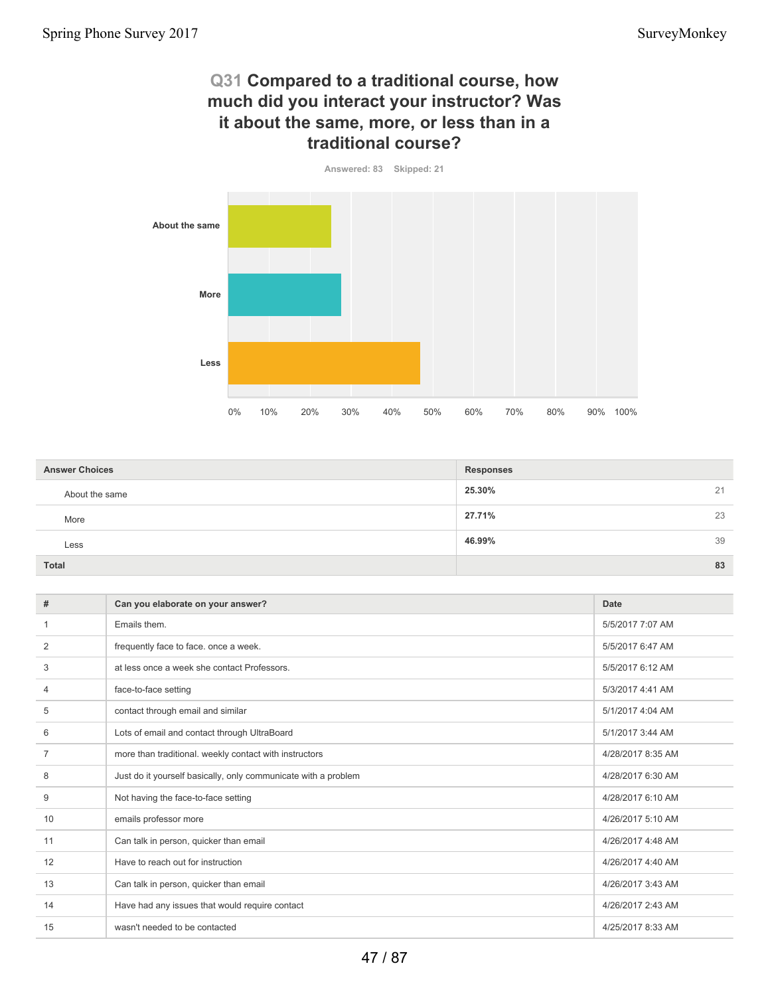### **Q31 Compared to a traditional course, how much did you interact your instructor? Was it about the same, more, or less than in a traditional course?**

**Answered: 83 Skipped: 21 About the same More Less** 0% 10% 20% 30% 40% 50% 60% 70% 80% 90% 100%

| <b>Answer Choices</b> | <b>Responses</b> |    |
|-----------------------|------------------|----|
| About the same        | 25.30%           | 21 |
| More                  | 27.71%           | 23 |
| Less                  | 46.99%           | 39 |
| Total                 |                  | 83 |
|                       |                  |    |

| #  | Can you elaborate on your answer?                              | Date              |
|----|----------------------------------------------------------------|-------------------|
|    | Emails them.                                                   | 5/5/2017 7:07 AM  |
| 2  | frequently face to face. once a week.                          | 5/5/2017 6:47 AM  |
| 3  | at less once a week she contact Professors.                    | 5/5/2017 6:12 AM  |
| 4  | face-to-face setting                                           | 5/3/2017 4:41 AM  |
| 5  | contact through email and similar                              | 5/1/2017 4:04 AM  |
| 6  | Lots of email and contact through UltraBoard                   | 5/1/2017 3:44 AM  |
| 7  | more than traditional. weekly contact with instructors         | 4/28/2017 8:35 AM |
| 8  | Just do it yourself basically, only communicate with a problem | 4/28/2017 6:30 AM |
| 9  | Not having the face-to-face setting                            | 4/28/2017 6:10 AM |
| 10 | emails professor more                                          | 4/26/2017 5:10 AM |
| 11 | Can talk in person, quicker than email                         | 4/26/2017 4:48 AM |
| 12 | Have to reach out for instruction                              | 4/26/2017 4:40 AM |
| 13 | Can talk in person, quicker than email                         | 4/26/2017 3:43 AM |
| 14 | Have had any issues that would require contact                 | 4/26/2017 2:43 AM |
| 15 | wasn't needed to be contacted                                  | 4/25/2017 8:33 AM |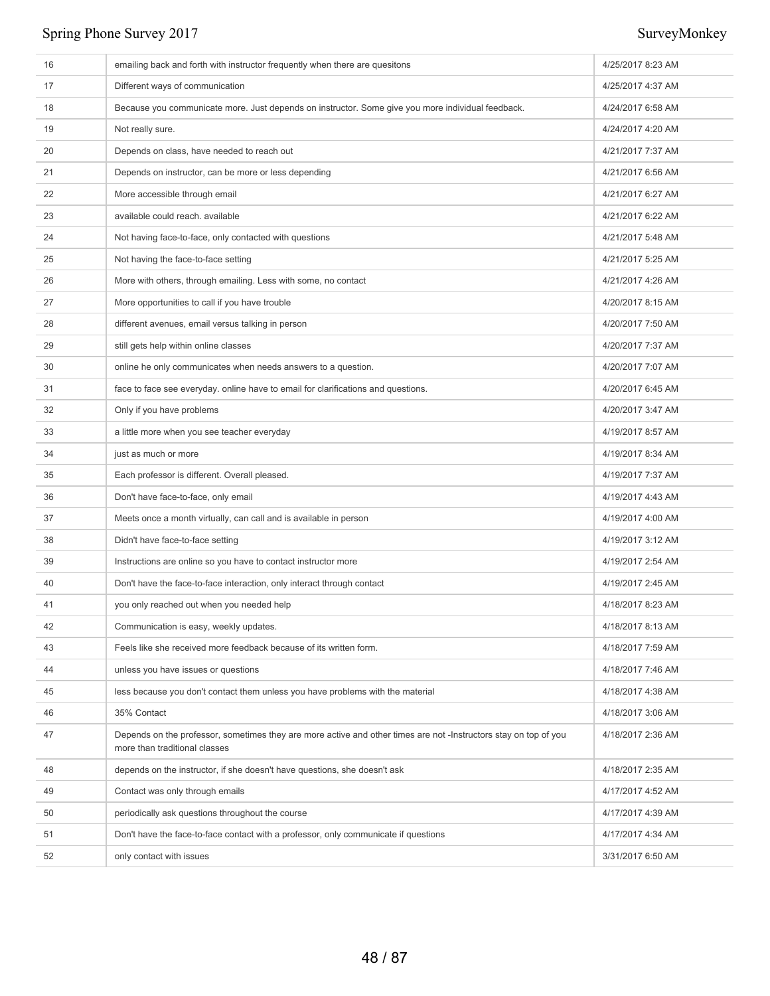| 16 | emailing back and forth with instructor frequently when there are quesitons                                                                       | 4/25/2017 8:23 AM |
|----|---------------------------------------------------------------------------------------------------------------------------------------------------|-------------------|
| 17 | Different ways of communication                                                                                                                   | 4/25/2017 4:37 AM |
| 18 | Because you communicate more. Just depends on instructor. Some give you more individual feedback.                                                 | 4/24/2017 6:58 AM |
| 19 | Not really sure.                                                                                                                                  | 4/24/2017 4:20 AM |
| 20 | Depends on class, have needed to reach out                                                                                                        | 4/21/2017 7:37 AM |
| 21 | Depends on instructor, can be more or less depending                                                                                              | 4/21/2017 6:56 AM |
| 22 | More accessible through email                                                                                                                     | 4/21/2017 6:27 AM |
| 23 | available could reach. available                                                                                                                  | 4/21/2017 6:22 AM |
| 24 | Not having face-to-face, only contacted with questions                                                                                            | 4/21/2017 5:48 AM |
| 25 | Not having the face-to-face setting                                                                                                               | 4/21/2017 5:25 AM |
| 26 | More with others, through emailing. Less with some, no contact                                                                                    | 4/21/2017 4:26 AM |
| 27 | More opportunities to call if you have trouble                                                                                                    | 4/20/2017 8:15 AM |
| 28 | different avenues, email versus talking in person                                                                                                 | 4/20/2017 7:50 AM |
| 29 | still gets help within online classes                                                                                                             | 4/20/2017 7:37 AM |
| 30 | online he only communicates when needs answers to a question.                                                                                     | 4/20/2017 7:07 AM |
| 31 | face to face see everyday. online have to email for clarifications and questions.                                                                 | 4/20/2017 6:45 AM |
| 32 | Only if you have problems                                                                                                                         | 4/20/2017 3:47 AM |
| 33 | a little more when you see teacher everyday                                                                                                       | 4/19/2017 8:57 AM |
| 34 | just as much or more                                                                                                                              | 4/19/2017 8:34 AM |
| 35 | Each professor is different. Overall pleased.                                                                                                     | 4/19/2017 7:37 AM |
| 36 | Don't have face-to-face, only email                                                                                                               | 4/19/2017 4:43 AM |
| 37 | Meets once a month virtually, can call and is available in person                                                                                 | 4/19/2017 4:00 AM |
| 38 | Didn't have face-to-face setting                                                                                                                  | 4/19/2017 3:12 AM |
| 39 | Instructions are online so you have to contact instructor more                                                                                    | 4/19/2017 2:54 AM |
| 40 | Don't have the face-to-face interaction, only interact through contact                                                                            | 4/19/2017 2:45 AM |
| 41 | you only reached out when you needed help                                                                                                         | 4/18/2017 8:23 AM |
| 42 | Communication is easy, weekly updates.                                                                                                            | 4/18/2017 8:13 AM |
| 43 | Feels like she received more feedback because of its written form.                                                                                | 4/18/2017 7:59 AM |
| 44 | unless you have issues or questions                                                                                                               | 4/18/2017 7:46 AM |
| 45 | less because you don't contact them unless you have problems with the material                                                                    | 4/18/2017 4:38 AM |
| 46 | 35% Contact                                                                                                                                       | 4/18/2017 3:06 AM |
| 47 | Depends on the professor, sometimes they are more active and other times are not -Instructors stay on top of you<br>more than traditional classes | 4/18/2017 2:36 AM |
| 48 | depends on the instructor, if she doesn't have questions, she doesn't ask                                                                         | 4/18/2017 2:35 AM |
| 49 | Contact was only through emails                                                                                                                   | 4/17/2017 4:52 AM |
| 50 | periodically ask questions throughout the course                                                                                                  | 4/17/2017 4:39 AM |
| 51 | Don't have the face-to-face contact with a professor, only communicate if questions                                                               | 4/17/2017 4:34 AM |
| 52 | only contact with issues                                                                                                                          | 3/31/2017 6:50 AM |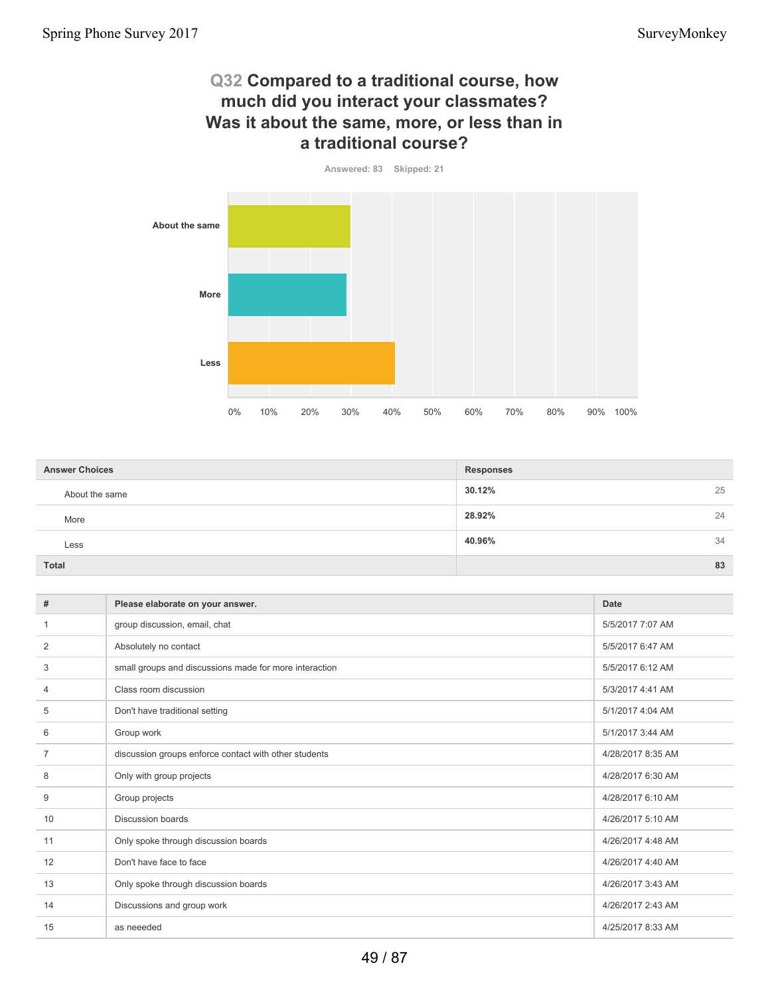#### **Q32 Compared to a traditional course, how much did you interact your classmates? Was it about the same, more, or less than in a traditional course?**

**Answered: 83 Skipped: 21**



| <b>Answer Choices</b> | <b>Responses</b> |    |
|-----------------------|------------------|----|
| About the same        | 30.12%           | 25 |
| More                  | 28.92%<br>24     |    |
| Less                  | 40.96%<br>34     |    |
| <b>Total</b>          | 83               |    |

| #  | Please elaborate on your answer.                       | <b>Date</b>       |
|----|--------------------------------------------------------|-------------------|
|    | group discussion, email, chat                          | 5/5/2017 7:07 AM  |
| 2  | Absolutely no contact                                  | 5/5/2017 6:47 AM  |
| 3  | small groups and discussions made for more interaction | 5/5/2017 6:12 AM  |
| 4  | Class room discussion                                  | 5/3/2017 4:41 AM  |
| 5  | Don't have traditional setting                         | 5/1/2017 4:04 AM  |
| 6  | Group work                                             | 5/1/2017 3:44 AM  |
|    | discussion groups enforce contact with other students  | 4/28/2017 8:35 AM |
| 8  | Only with group projects                               | 4/28/2017 6:30 AM |
| 9  | Group projects                                         | 4/28/2017 6:10 AM |
| 10 | <b>Discussion boards</b>                               | 4/26/2017 5:10 AM |
| 11 | Only spoke through discussion boards                   | 4/26/2017 4:48 AM |
| 12 | Don't have face to face                                | 4/26/2017 4:40 AM |
| 13 | Only spoke through discussion boards                   | 4/26/2017 3:43 AM |
| 14 | Discussions and group work                             | 4/26/2017 2:43 AM |
| 15 | as neeeded                                             | 4/25/2017 8:33 AM |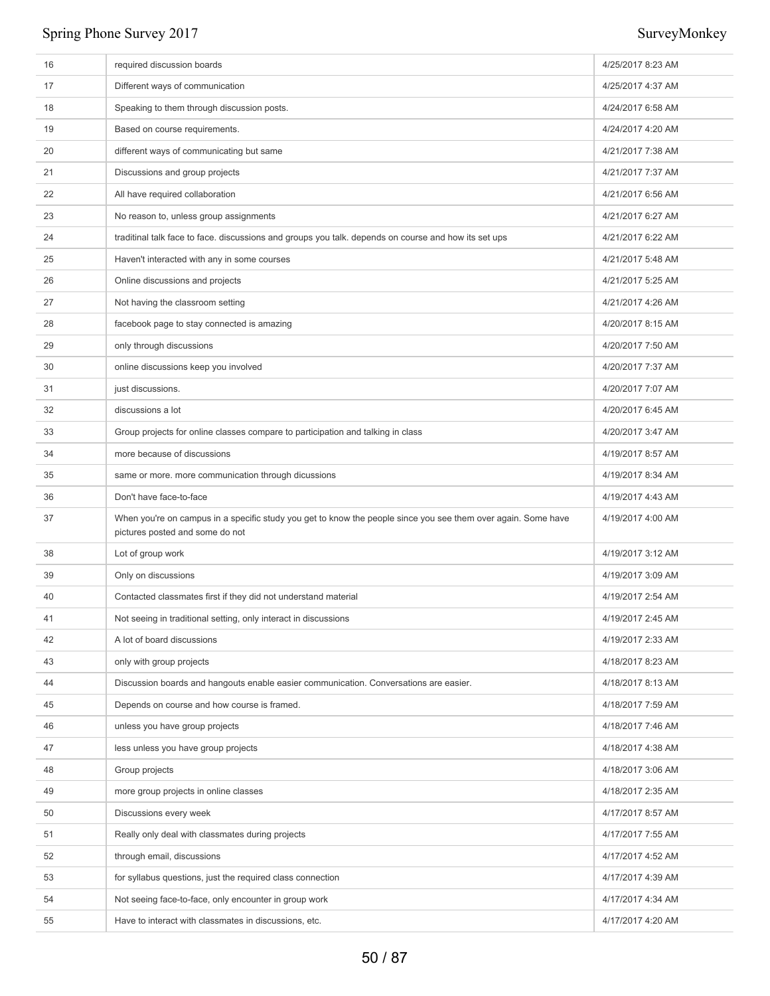| 16 | required discussion boards                                                                                                                       | 4/25/2017 8:23 AM |
|----|--------------------------------------------------------------------------------------------------------------------------------------------------|-------------------|
| 17 | Different ways of communication                                                                                                                  | 4/25/2017 4:37 AM |
| 18 | Speaking to them through discussion posts.                                                                                                       | 4/24/2017 6:58 AM |
| 19 | Based on course requirements.                                                                                                                    | 4/24/2017 4:20 AM |
| 20 | different ways of communicating but same                                                                                                         | 4/21/2017 7:38 AM |
| 21 | Discussions and group projects                                                                                                                   | 4/21/2017 7:37 AM |
| 22 | All have required collaboration                                                                                                                  | 4/21/2017 6:56 AM |
| 23 | No reason to, unless group assignments                                                                                                           | 4/21/2017 6:27 AM |
| 24 | traditinal talk face to face. discussions and groups you talk. depends on course and how its set ups                                             | 4/21/2017 6:22 AM |
| 25 | Haven't interacted with any in some courses                                                                                                      | 4/21/2017 5:48 AM |
| 26 | Online discussions and projects                                                                                                                  | 4/21/2017 5:25 AM |
| 27 | Not having the classroom setting                                                                                                                 | 4/21/2017 4:26 AM |
| 28 | facebook page to stay connected is amazing                                                                                                       | 4/20/2017 8:15 AM |
| 29 | only through discussions                                                                                                                         | 4/20/2017 7:50 AM |
| 30 | online discussions keep you involved                                                                                                             | 4/20/2017 7:37 AM |
| 31 | just discussions.                                                                                                                                | 4/20/2017 7:07 AM |
| 32 | discussions a lot                                                                                                                                | 4/20/2017 6:45 AM |
| 33 | Group projects for online classes compare to participation and talking in class                                                                  | 4/20/2017 3:47 AM |
| 34 | more because of discussions                                                                                                                      | 4/19/2017 8:57 AM |
| 35 | same or more. more communication through dicussions                                                                                              | 4/19/2017 8:34 AM |
| 36 | Don't have face-to-face                                                                                                                          | 4/19/2017 4:43 AM |
| 37 | When you're on campus in a specific study you get to know the people since you see them over again. Some have<br>pictures posted and some do not | 4/19/2017 4:00 AM |
| 38 | Lot of group work                                                                                                                                | 4/19/2017 3:12 AM |
| 39 | Only on discussions                                                                                                                              | 4/19/2017 3:09 AM |
| 40 | Contacted classmates first if they did not understand material                                                                                   | 4/19/2017 2:54 AM |
| 41 | Not seeing in traditional setting, only interact in discussions                                                                                  | 4/19/2017 2:45 AM |
| 42 | A lot of board discussions                                                                                                                       | 4/19/2017 2:33 AM |
| 43 | only with group projects                                                                                                                         | 4/18/2017 8:23 AM |
| 44 | Discussion boards and hangouts enable easier communication. Conversations are easier.                                                            | 4/18/2017 8:13 AM |
| 45 | Depends on course and how course is framed.                                                                                                      | 4/18/2017 7:59 AM |
| 46 | unless you have group projects                                                                                                                   | 4/18/2017 7:46 AM |
| 47 | less unless you have group projects                                                                                                              | 4/18/2017 4:38 AM |
| 48 | Group projects                                                                                                                                   | 4/18/2017 3:06 AM |
| 49 | more group projects in online classes                                                                                                            | 4/18/2017 2:35 AM |
| 50 | Discussions every week                                                                                                                           | 4/17/2017 8:57 AM |
| 51 | Really only deal with classmates during projects                                                                                                 | 4/17/2017 7:55 AM |
| 52 | through email, discussions                                                                                                                       | 4/17/2017 4:52 AM |
| 53 | for syllabus questions, just the required class connection                                                                                       | 4/17/2017 4:39 AM |
| 54 | Not seeing face-to-face, only encounter in group work                                                                                            | 4/17/2017 4:34 AM |
| 55 | Have to interact with classmates in discussions, etc.                                                                                            | 4/17/2017 4:20 AM |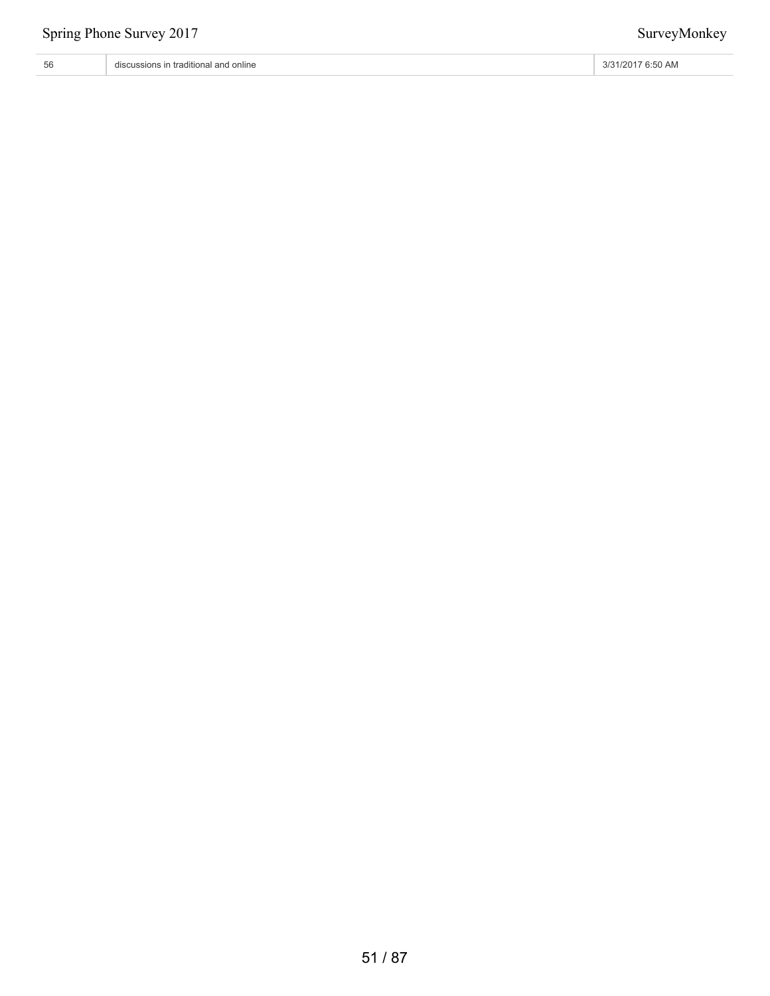# 56 discussions in traditional and online 3/31/2017 6:50 AM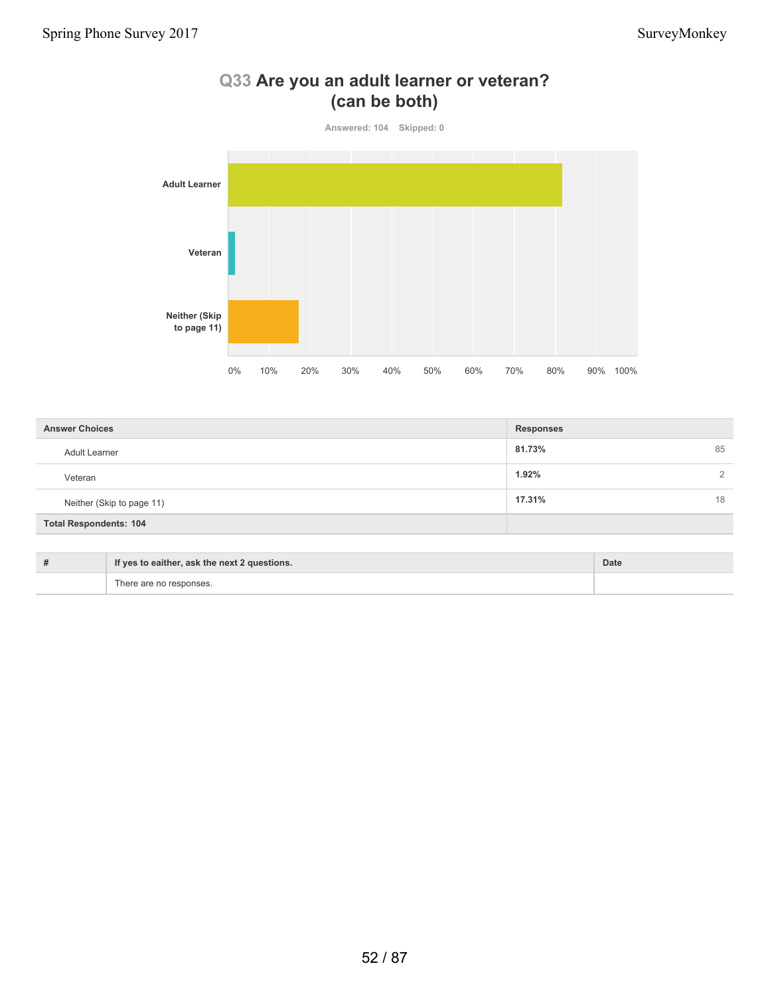

## **Q33 Are you an adult learner or veteran? (can be both)**

| <b>Answer Choices</b>         | <b>Responses</b> |
|-------------------------------|------------------|
| Adult Learner                 | 81.73%<br>85     |
| Veteran                       | 1.92%            |
| Neither (Skip to page 11)     | 17.31%<br>18     |
| <b>Total Respondents: 104</b> |                  |

| If yes to eaither, ask the next 2 questions. | Date |
|----------------------------------------------|------|
| There are no responses.                      |      |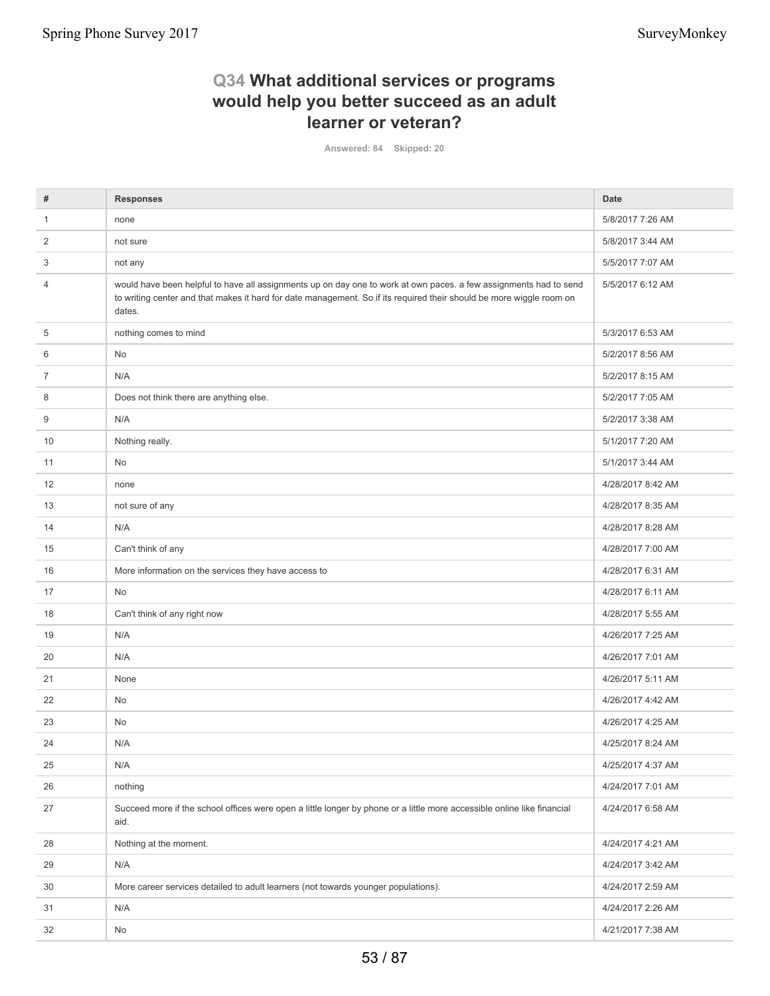## **Q34 What additional services or programs would help you better succeed as an adult learner or veteran?**

**Answered: 84 Skipped: 20**

| #  | <b>Responses</b>                                                                                                                                                                                                                                    | <b>Date</b>       |
|----|-----------------------------------------------------------------------------------------------------------------------------------------------------------------------------------------------------------------------------------------------------|-------------------|
| 1  | none                                                                                                                                                                                                                                                | 5/8/2017 7:26 AM  |
| 2  | not sure                                                                                                                                                                                                                                            | 5/8/2017 3:44 AM  |
| 3  | not any                                                                                                                                                                                                                                             | 5/5/2017 7:07 AM  |
| 4  | would have been helpful to have all assignments up on day one to work at own paces. a few assignments had to send<br>to writing center and that makes it hard for date management. So if its required their should be more wiggle room on<br>dates. | 5/5/2017 6:12 AM  |
| 5  | nothing comes to mind                                                                                                                                                                                                                               | 5/3/2017 6:53 AM  |
| 6  | No                                                                                                                                                                                                                                                  | 5/2/2017 8:56 AM  |
| 7  | N/A                                                                                                                                                                                                                                                 | 5/2/2017 8:15 AM  |
| 8  | Does not think there are anything else.                                                                                                                                                                                                             | 5/2/2017 7:05 AM  |
| 9  | N/A                                                                                                                                                                                                                                                 | 5/2/2017 3:38 AM  |
| 10 | Nothing really.                                                                                                                                                                                                                                     | 5/1/2017 7:20 AM  |
| 11 | No                                                                                                                                                                                                                                                  | 5/1/2017 3:44 AM  |
| 12 | none                                                                                                                                                                                                                                                | 4/28/2017 8:42 AM |
| 13 | not sure of any                                                                                                                                                                                                                                     | 4/28/2017 8:35 AM |
| 14 | N/A                                                                                                                                                                                                                                                 | 4/28/2017 8:28 AM |
| 15 | Can't think of any                                                                                                                                                                                                                                  | 4/28/2017 7:00 AM |
| 16 | More information on the services they have access to                                                                                                                                                                                                | 4/28/2017 6:31 AM |
| 17 | No                                                                                                                                                                                                                                                  | 4/28/2017 6:11 AM |
| 18 | Can't think of any right now                                                                                                                                                                                                                        | 4/28/2017 5:55 AM |
| 19 | N/A                                                                                                                                                                                                                                                 | 4/26/2017 7:25 AM |
| 20 | N/A                                                                                                                                                                                                                                                 | 4/26/2017 7:01 AM |
| 21 | None                                                                                                                                                                                                                                                | 4/26/2017 5:11 AM |
| 22 | No                                                                                                                                                                                                                                                  | 4/26/2017 4:42 AM |
| 23 | No                                                                                                                                                                                                                                                  | 4/26/2017 4:25 AM |
| 24 | N/A                                                                                                                                                                                                                                                 | 4/25/2017 8:24 AM |
| 25 | N/A                                                                                                                                                                                                                                                 | 4/25/2017 4:37 AM |
| 26 | nothing                                                                                                                                                                                                                                             | 4/24/2017 7:01 AM |
| 27 | Succeed more if the school offices were open a little longer by phone or a little more accessible online like financial<br>aid.                                                                                                                     | 4/24/2017 6:58 AM |
| 28 | Nothing at the moment.                                                                                                                                                                                                                              | 4/24/2017 4:21 AM |
| 29 | N/A                                                                                                                                                                                                                                                 | 4/24/2017 3:42 AM |
| 30 | More career services detailed to adult learners (not towards younger populations).                                                                                                                                                                  | 4/24/2017 2:59 AM |
| 31 | N/A                                                                                                                                                                                                                                                 | 4/24/2017 2:26 AM |
| 32 | No                                                                                                                                                                                                                                                  | 4/21/2017 7:38 AM |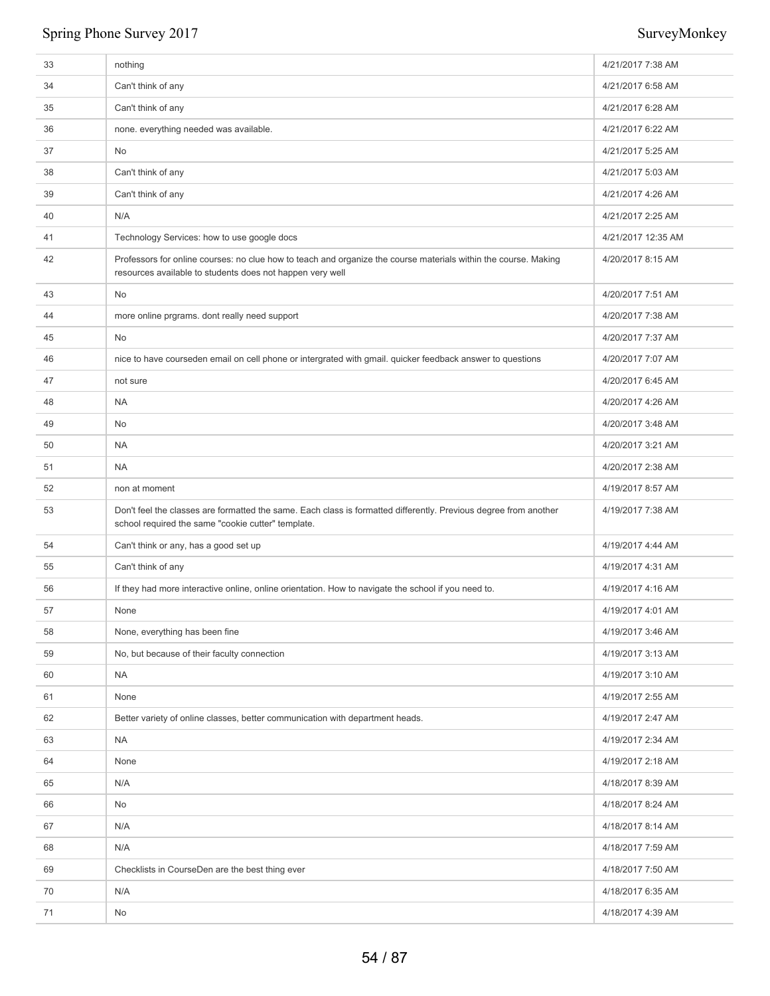| 33 | nothing                                                                                                                                                                      | 4/21/2017 7:38 AM  |
|----|------------------------------------------------------------------------------------------------------------------------------------------------------------------------------|--------------------|
| 34 | Can't think of any                                                                                                                                                           | 4/21/2017 6:58 AM  |
| 35 | Can't think of any                                                                                                                                                           | 4/21/2017 6:28 AM  |
| 36 | none. everything needed was available.                                                                                                                                       | 4/21/2017 6:22 AM  |
| 37 | No                                                                                                                                                                           | 4/21/2017 5:25 AM  |
| 38 | Can't think of any                                                                                                                                                           | 4/21/2017 5:03 AM  |
| 39 | Can't think of any                                                                                                                                                           | 4/21/2017 4:26 AM  |
| 40 | N/A                                                                                                                                                                          | 4/21/2017 2:25 AM  |
| 41 | Technology Services: how to use google docs                                                                                                                                  | 4/21/2017 12:35 AM |
| 42 | Professors for online courses: no clue how to teach and organize the course materials within the course. Making<br>resources available to students does not happen very well | 4/20/2017 8:15 AM  |
| 43 | No                                                                                                                                                                           | 4/20/2017 7:51 AM  |
| 44 | more online prgrams. dont really need support                                                                                                                                | 4/20/2017 7:38 AM  |
| 45 | No                                                                                                                                                                           | 4/20/2017 7:37 AM  |
| 46 | nice to have courseden email on cell phone or intergrated with gmail. quicker feedback answer to questions                                                                   | 4/20/2017 7:07 AM  |
| 47 | not sure                                                                                                                                                                     | 4/20/2017 6:45 AM  |
| 48 | <b>NA</b>                                                                                                                                                                    | 4/20/2017 4:26 AM  |
| 49 | No                                                                                                                                                                           | 4/20/2017 3:48 AM  |
| 50 | <b>NA</b>                                                                                                                                                                    | 4/20/2017 3:21 AM  |
| 51 | <b>NA</b>                                                                                                                                                                    | 4/20/2017 2:38 AM  |
| 52 | non at moment                                                                                                                                                                | 4/19/2017 8:57 AM  |
| 53 | Don't feel the classes are formatted the same. Each class is formatted differently. Previous degree from another<br>school required the same "cookie cutter" template.       | 4/19/2017 7:38 AM  |
| 54 | Can't think or any, has a good set up                                                                                                                                        | 4/19/2017 4:44 AM  |
| 55 | Can't think of any                                                                                                                                                           | 4/19/2017 4:31 AM  |
| 56 | If they had more interactive online, online orientation. How to navigate the school if you need to.                                                                          | 4/19/2017 4:16 AM  |
| 57 | None                                                                                                                                                                         | 4/19/2017 4:01 AM  |
| 58 | None, everything has been fine                                                                                                                                               | 4/19/2017 3:46 AM  |
| 59 | No, but because of their faculty connection                                                                                                                                  | 4/19/2017 3:13 AM  |
| 60 | <b>NA</b>                                                                                                                                                                    | 4/19/2017 3:10 AM  |
| 61 | None                                                                                                                                                                         | 4/19/2017 2:55 AM  |
| 62 | Better variety of online classes, better communication with department heads.                                                                                                | 4/19/2017 2:47 AM  |
| 63 | <b>NA</b>                                                                                                                                                                    | 4/19/2017 2:34 AM  |
| 64 | None                                                                                                                                                                         | 4/19/2017 2:18 AM  |
| 65 | N/A                                                                                                                                                                          | 4/18/2017 8:39 AM  |
| 66 | No                                                                                                                                                                           | 4/18/2017 8:24 AM  |
| 67 | N/A                                                                                                                                                                          | 4/18/2017 8:14 AM  |
| 68 | N/A                                                                                                                                                                          | 4/18/2017 7:59 AM  |
| 69 | Checklists in CourseDen are the best thing ever                                                                                                                              | 4/18/2017 7:50 AM  |
| 70 | N/A                                                                                                                                                                          | 4/18/2017 6:35 AM  |
| 71 | No                                                                                                                                                                           | 4/18/2017 4:39 AM  |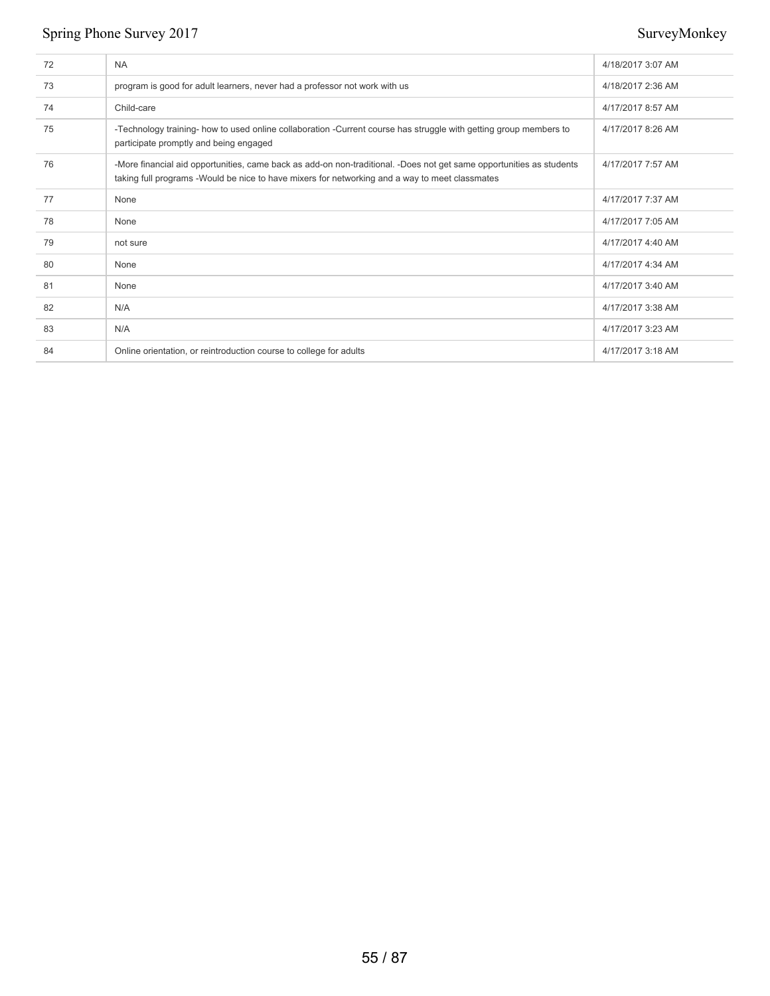| 72 | <b>NA</b>                                                                                                                                                                                                               | 4/18/2017 3:07 AM |
|----|-------------------------------------------------------------------------------------------------------------------------------------------------------------------------------------------------------------------------|-------------------|
| 73 | program is good for adult learners, never had a professor not work with us                                                                                                                                              | 4/18/2017 2:36 AM |
| 74 | Child-care                                                                                                                                                                                                              | 4/17/2017 8:57 AM |
| 75 | -Technology training- how to used online collaboration -Current course has struggle with getting group members to<br>participate promptly and being engaged                                                             | 4/17/2017 8:26 AM |
| 76 | -More financial aid opportunities, came back as add-on non-traditional. -Does not get same opportunities as students<br>taking full programs - Would be nice to have mixers for networking and a way to meet classmates | 4/17/2017 7:57 AM |
| 77 | None                                                                                                                                                                                                                    | 4/17/2017 7:37 AM |
| 78 | None                                                                                                                                                                                                                    | 4/17/2017 7:05 AM |
| 79 | not sure                                                                                                                                                                                                                | 4/17/2017 4:40 AM |
| 80 | None                                                                                                                                                                                                                    | 4/17/2017 4:34 AM |
| 81 | None                                                                                                                                                                                                                    | 4/17/2017 3:40 AM |
| 82 | N/A                                                                                                                                                                                                                     | 4/17/2017 3:38 AM |
| 83 | N/A                                                                                                                                                                                                                     | 4/17/2017 3:23 AM |
| 84 | Online orientation, or reintroduction course to college for adults                                                                                                                                                      | 4/17/2017 3:18 AM |
|    |                                                                                                                                                                                                                         |                   |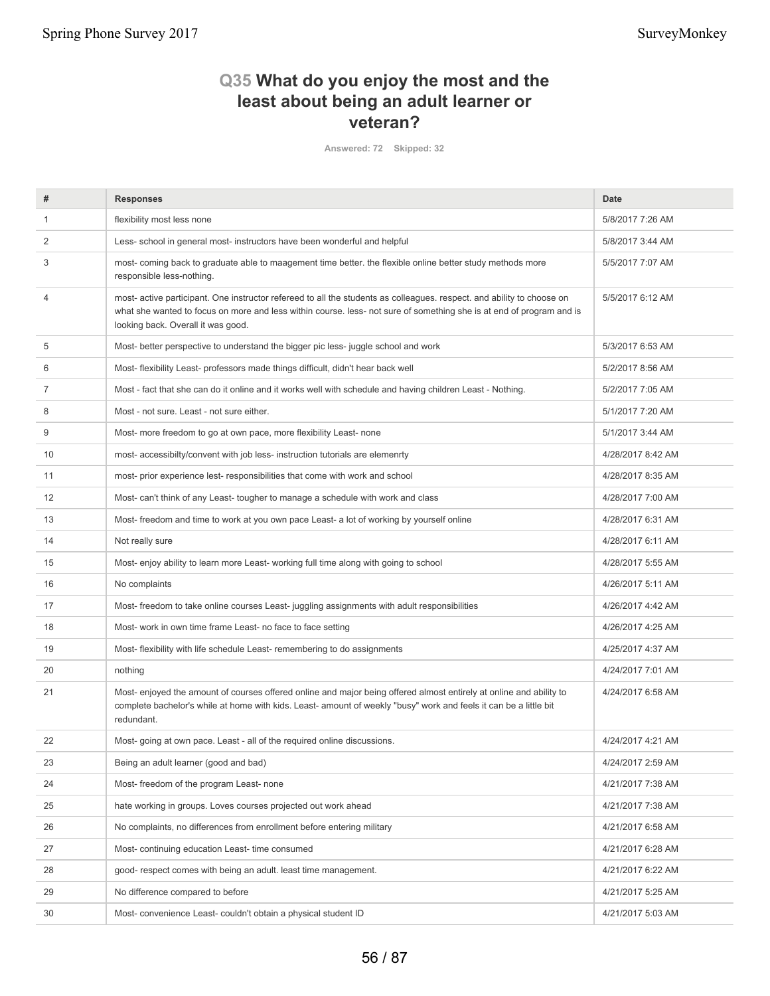## **Q35 What do you enjoy the most and the least about being an adult learner or veteran?**

**Answered: 72 Skipped: 32**

| flexibility most less none<br>5/8/2017 7:26 AM<br>1<br>2<br>Less- school in general most- instructors have been wonderful and helpful<br>5/8/2017 3:44 AM<br>3<br>most-coming back to graduate able to maagement time better, the flexible online better study methods more<br>5/5/2017 7:07 AM<br>responsible less-nothing.<br>$\overline{4}$<br>most- active participant. One instructor refereed to all the students as colleagues. respect. and ability to choose on<br>5/5/2017 6:12 AM<br>what she wanted to focus on more and less within course. less- not sure of something she is at end of program and is<br>looking back. Overall it was good.<br>5/3/2017 6:53 AM<br>5<br>Most- better perspective to understand the bigger pic less- juggle school and work<br>6<br>Most-flexibility Least- professors made things difficult, didn't hear back well<br>5/2/2017 8:56 AM<br>7<br>Most - fact that she can do it online and it works well with schedule and having children Least - Nothing.<br>5/2/2017 7:05 AM<br>8<br>5/1/2017 7:20 AM<br>Most - not sure. Least - not sure either.<br>9<br>Most- more freedom to go at own pace, more flexibility Least- none<br>5/1/2017 3:44 AM<br>most- accessibilty/convent with job less- instruction tutorials are elemenrty<br>4/28/2017 8:42 AM<br>10<br>11<br>most- prior experience lest- responsibilities that come with work and school<br>4/28/2017 8:35 AM<br>Most-can't think of any Least-tougher to manage a schedule with work and class<br>12<br>4/28/2017 7:00 AM<br>13<br>Most-freedom and time to work at you own pace Least- a lot of working by yourself online<br>4/28/2017 6:31 AM<br>14<br>Not really sure<br>4/28/2017 6:11 AM<br>15<br>Most-enjoy ability to learn more Least- working full time along with going to school<br>4/28/2017 5:55 AM<br>16<br>No complaints<br>4/26/2017 5:11 AM<br>Most- freedom to take online courses Least- juggling assignments with adult responsibilities<br>4/26/2017 4:42 AM<br>17<br>18<br>Most- work in own time frame Least- no face to face setting<br>4/26/2017 4:25 AM<br>19<br>Most-flexibility with life schedule Least- remembering to do assignments<br>4/25/2017 4:37 AM<br>20<br>nothing<br>4/24/2017 7:01 AM<br>Most- enjoyed the amount of courses offered online and major being offered almost entirely at online and ability to<br>21<br>4/24/2017 6:58 AM<br>complete bachelor's while at home with kids. Least- amount of weekly "busy" work and feels it can be a little bit<br>redundant.<br>4/24/2017 4:21 AM<br>22<br>Most-going at own pace. Least - all of the required online discussions.<br>Being an adult learner (good and bad)<br>23<br>4/24/2017 2:59 AM<br>Most- freedom of the program Least- none<br>24<br>4/21/2017 7:38 AM<br>25<br>hate working in groups. Loves courses projected out work ahead<br>4/21/2017 7:38 AM<br>26<br>No complaints, no differences from enrollment before entering military<br>4/21/2017 6:58 AM<br>27<br>Most-continuing education Least-time consumed<br>4/21/2017 6:28 AM<br>28<br>good- respect comes with being an adult. least time management.<br>4/21/2017 6:22 AM<br>29<br>No difference compared to before<br>4/21/2017 5:25 AM<br>Most-convenience Least-couldn't obtain a physical student ID<br>30<br>4/21/2017 5:03 AM | # | <b>Responses</b> | <b>Date</b> |
|-------------------------------------------------------------------------------------------------------------------------------------------------------------------------------------------------------------------------------------------------------------------------------------------------------------------------------------------------------------------------------------------------------------------------------------------------------------------------------------------------------------------------------------------------------------------------------------------------------------------------------------------------------------------------------------------------------------------------------------------------------------------------------------------------------------------------------------------------------------------------------------------------------------------------------------------------------------------------------------------------------------------------------------------------------------------------------------------------------------------------------------------------------------------------------------------------------------------------------------------------------------------------------------------------------------------------------------------------------------------------------------------------------------------------------------------------------------------------------------------------------------------------------------------------------------------------------------------------------------------------------------------------------------------------------------------------------------------------------------------------------------------------------------------------------------------------------------------------------------------------------------------------------------------------------------------------------------------------------------------------------------------------------------------------------------------------------------------------------------------------------------------------------------------------------------------------------------------------------------------------------------------------------------------------------------------------------------------------------------------------------------------------------------------------------------------------------------------------------------------------------------------------------------------------------------------------------------------------------------------------------------------------------------------------------------------------------------------------------------------------------------------------------------------------------------------------------------------------------------------------------------------------------------------------------------------------------------------------------------------------------------------------------------------------------------------------------------------------------------------------------------------------------------------------------------------------------------------------------------------------------------------------------------------------------------------------|---|------------------|-------------|
|                                                                                                                                                                                                                                                                                                                                                                                                                                                                                                                                                                                                                                                                                                                                                                                                                                                                                                                                                                                                                                                                                                                                                                                                                                                                                                                                                                                                                                                                                                                                                                                                                                                                                                                                                                                                                                                                                                                                                                                                                                                                                                                                                                                                                                                                                                                                                                                                                                                                                                                                                                                                                                                                                                                                                                                                                                                                                                                                                                                                                                                                                                                                                                                                                                                                                                                         |   |                  |             |
|                                                                                                                                                                                                                                                                                                                                                                                                                                                                                                                                                                                                                                                                                                                                                                                                                                                                                                                                                                                                                                                                                                                                                                                                                                                                                                                                                                                                                                                                                                                                                                                                                                                                                                                                                                                                                                                                                                                                                                                                                                                                                                                                                                                                                                                                                                                                                                                                                                                                                                                                                                                                                                                                                                                                                                                                                                                                                                                                                                                                                                                                                                                                                                                                                                                                                                                         |   |                  |             |
|                                                                                                                                                                                                                                                                                                                                                                                                                                                                                                                                                                                                                                                                                                                                                                                                                                                                                                                                                                                                                                                                                                                                                                                                                                                                                                                                                                                                                                                                                                                                                                                                                                                                                                                                                                                                                                                                                                                                                                                                                                                                                                                                                                                                                                                                                                                                                                                                                                                                                                                                                                                                                                                                                                                                                                                                                                                                                                                                                                                                                                                                                                                                                                                                                                                                                                                         |   |                  |             |
|                                                                                                                                                                                                                                                                                                                                                                                                                                                                                                                                                                                                                                                                                                                                                                                                                                                                                                                                                                                                                                                                                                                                                                                                                                                                                                                                                                                                                                                                                                                                                                                                                                                                                                                                                                                                                                                                                                                                                                                                                                                                                                                                                                                                                                                                                                                                                                                                                                                                                                                                                                                                                                                                                                                                                                                                                                                                                                                                                                                                                                                                                                                                                                                                                                                                                                                         |   |                  |             |
|                                                                                                                                                                                                                                                                                                                                                                                                                                                                                                                                                                                                                                                                                                                                                                                                                                                                                                                                                                                                                                                                                                                                                                                                                                                                                                                                                                                                                                                                                                                                                                                                                                                                                                                                                                                                                                                                                                                                                                                                                                                                                                                                                                                                                                                                                                                                                                                                                                                                                                                                                                                                                                                                                                                                                                                                                                                                                                                                                                                                                                                                                                                                                                                                                                                                                                                         |   |                  |             |
|                                                                                                                                                                                                                                                                                                                                                                                                                                                                                                                                                                                                                                                                                                                                                                                                                                                                                                                                                                                                                                                                                                                                                                                                                                                                                                                                                                                                                                                                                                                                                                                                                                                                                                                                                                                                                                                                                                                                                                                                                                                                                                                                                                                                                                                                                                                                                                                                                                                                                                                                                                                                                                                                                                                                                                                                                                                                                                                                                                                                                                                                                                                                                                                                                                                                                                                         |   |                  |             |
|                                                                                                                                                                                                                                                                                                                                                                                                                                                                                                                                                                                                                                                                                                                                                                                                                                                                                                                                                                                                                                                                                                                                                                                                                                                                                                                                                                                                                                                                                                                                                                                                                                                                                                                                                                                                                                                                                                                                                                                                                                                                                                                                                                                                                                                                                                                                                                                                                                                                                                                                                                                                                                                                                                                                                                                                                                                                                                                                                                                                                                                                                                                                                                                                                                                                                                                         |   |                  |             |
|                                                                                                                                                                                                                                                                                                                                                                                                                                                                                                                                                                                                                                                                                                                                                                                                                                                                                                                                                                                                                                                                                                                                                                                                                                                                                                                                                                                                                                                                                                                                                                                                                                                                                                                                                                                                                                                                                                                                                                                                                                                                                                                                                                                                                                                                                                                                                                                                                                                                                                                                                                                                                                                                                                                                                                                                                                                                                                                                                                                                                                                                                                                                                                                                                                                                                                                         |   |                  |             |
|                                                                                                                                                                                                                                                                                                                                                                                                                                                                                                                                                                                                                                                                                                                                                                                                                                                                                                                                                                                                                                                                                                                                                                                                                                                                                                                                                                                                                                                                                                                                                                                                                                                                                                                                                                                                                                                                                                                                                                                                                                                                                                                                                                                                                                                                                                                                                                                                                                                                                                                                                                                                                                                                                                                                                                                                                                                                                                                                                                                                                                                                                                                                                                                                                                                                                                                         |   |                  |             |
|                                                                                                                                                                                                                                                                                                                                                                                                                                                                                                                                                                                                                                                                                                                                                                                                                                                                                                                                                                                                                                                                                                                                                                                                                                                                                                                                                                                                                                                                                                                                                                                                                                                                                                                                                                                                                                                                                                                                                                                                                                                                                                                                                                                                                                                                                                                                                                                                                                                                                                                                                                                                                                                                                                                                                                                                                                                                                                                                                                                                                                                                                                                                                                                                                                                                                                                         |   |                  |             |
|                                                                                                                                                                                                                                                                                                                                                                                                                                                                                                                                                                                                                                                                                                                                                                                                                                                                                                                                                                                                                                                                                                                                                                                                                                                                                                                                                                                                                                                                                                                                                                                                                                                                                                                                                                                                                                                                                                                                                                                                                                                                                                                                                                                                                                                                                                                                                                                                                                                                                                                                                                                                                                                                                                                                                                                                                                                                                                                                                                                                                                                                                                                                                                                                                                                                                                                         |   |                  |             |
|                                                                                                                                                                                                                                                                                                                                                                                                                                                                                                                                                                                                                                                                                                                                                                                                                                                                                                                                                                                                                                                                                                                                                                                                                                                                                                                                                                                                                                                                                                                                                                                                                                                                                                                                                                                                                                                                                                                                                                                                                                                                                                                                                                                                                                                                                                                                                                                                                                                                                                                                                                                                                                                                                                                                                                                                                                                                                                                                                                                                                                                                                                                                                                                                                                                                                                                         |   |                  |             |
|                                                                                                                                                                                                                                                                                                                                                                                                                                                                                                                                                                                                                                                                                                                                                                                                                                                                                                                                                                                                                                                                                                                                                                                                                                                                                                                                                                                                                                                                                                                                                                                                                                                                                                                                                                                                                                                                                                                                                                                                                                                                                                                                                                                                                                                                                                                                                                                                                                                                                                                                                                                                                                                                                                                                                                                                                                                                                                                                                                                                                                                                                                                                                                                                                                                                                                                         |   |                  |             |
|                                                                                                                                                                                                                                                                                                                                                                                                                                                                                                                                                                                                                                                                                                                                                                                                                                                                                                                                                                                                                                                                                                                                                                                                                                                                                                                                                                                                                                                                                                                                                                                                                                                                                                                                                                                                                                                                                                                                                                                                                                                                                                                                                                                                                                                                                                                                                                                                                                                                                                                                                                                                                                                                                                                                                                                                                                                                                                                                                                                                                                                                                                                                                                                                                                                                                                                         |   |                  |             |
|                                                                                                                                                                                                                                                                                                                                                                                                                                                                                                                                                                                                                                                                                                                                                                                                                                                                                                                                                                                                                                                                                                                                                                                                                                                                                                                                                                                                                                                                                                                                                                                                                                                                                                                                                                                                                                                                                                                                                                                                                                                                                                                                                                                                                                                                                                                                                                                                                                                                                                                                                                                                                                                                                                                                                                                                                                                                                                                                                                                                                                                                                                                                                                                                                                                                                                                         |   |                  |             |
|                                                                                                                                                                                                                                                                                                                                                                                                                                                                                                                                                                                                                                                                                                                                                                                                                                                                                                                                                                                                                                                                                                                                                                                                                                                                                                                                                                                                                                                                                                                                                                                                                                                                                                                                                                                                                                                                                                                                                                                                                                                                                                                                                                                                                                                                                                                                                                                                                                                                                                                                                                                                                                                                                                                                                                                                                                                                                                                                                                                                                                                                                                                                                                                                                                                                                                                         |   |                  |             |
|                                                                                                                                                                                                                                                                                                                                                                                                                                                                                                                                                                                                                                                                                                                                                                                                                                                                                                                                                                                                                                                                                                                                                                                                                                                                                                                                                                                                                                                                                                                                                                                                                                                                                                                                                                                                                                                                                                                                                                                                                                                                                                                                                                                                                                                                                                                                                                                                                                                                                                                                                                                                                                                                                                                                                                                                                                                                                                                                                                                                                                                                                                                                                                                                                                                                                                                         |   |                  |             |
|                                                                                                                                                                                                                                                                                                                                                                                                                                                                                                                                                                                                                                                                                                                                                                                                                                                                                                                                                                                                                                                                                                                                                                                                                                                                                                                                                                                                                                                                                                                                                                                                                                                                                                                                                                                                                                                                                                                                                                                                                                                                                                                                                                                                                                                                                                                                                                                                                                                                                                                                                                                                                                                                                                                                                                                                                                                                                                                                                                                                                                                                                                                                                                                                                                                                                                                         |   |                  |             |
|                                                                                                                                                                                                                                                                                                                                                                                                                                                                                                                                                                                                                                                                                                                                                                                                                                                                                                                                                                                                                                                                                                                                                                                                                                                                                                                                                                                                                                                                                                                                                                                                                                                                                                                                                                                                                                                                                                                                                                                                                                                                                                                                                                                                                                                                                                                                                                                                                                                                                                                                                                                                                                                                                                                                                                                                                                                                                                                                                                                                                                                                                                                                                                                                                                                                                                                         |   |                  |             |
|                                                                                                                                                                                                                                                                                                                                                                                                                                                                                                                                                                                                                                                                                                                                                                                                                                                                                                                                                                                                                                                                                                                                                                                                                                                                                                                                                                                                                                                                                                                                                                                                                                                                                                                                                                                                                                                                                                                                                                                                                                                                                                                                                                                                                                                                                                                                                                                                                                                                                                                                                                                                                                                                                                                                                                                                                                                                                                                                                                                                                                                                                                                                                                                                                                                                                                                         |   |                  |             |
|                                                                                                                                                                                                                                                                                                                                                                                                                                                                                                                                                                                                                                                                                                                                                                                                                                                                                                                                                                                                                                                                                                                                                                                                                                                                                                                                                                                                                                                                                                                                                                                                                                                                                                                                                                                                                                                                                                                                                                                                                                                                                                                                                                                                                                                                                                                                                                                                                                                                                                                                                                                                                                                                                                                                                                                                                                                                                                                                                                                                                                                                                                                                                                                                                                                                                                                         |   |                  |             |
|                                                                                                                                                                                                                                                                                                                                                                                                                                                                                                                                                                                                                                                                                                                                                                                                                                                                                                                                                                                                                                                                                                                                                                                                                                                                                                                                                                                                                                                                                                                                                                                                                                                                                                                                                                                                                                                                                                                                                                                                                                                                                                                                                                                                                                                                                                                                                                                                                                                                                                                                                                                                                                                                                                                                                                                                                                                                                                                                                                                                                                                                                                                                                                                                                                                                                                                         |   |                  |             |
|                                                                                                                                                                                                                                                                                                                                                                                                                                                                                                                                                                                                                                                                                                                                                                                                                                                                                                                                                                                                                                                                                                                                                                                                                                                                                                                                                                                                                                                                                                                                                                                                                                                                                                                                                                                                                                                                                                                                                                                                                                                                                                                                                                                                                                                                                                                                                                                                                                                                                                                                                                                                                                                                                                                                                                                                                                                                                                                                                                                                                                                                                                                                                                                                                                                                                                                         |   |                  |             |
|                                                                                                                                                                                                                                                                                                                                                                                                                                                                                                                                                                                                                                                                                                                                                                                                                                                                                                                                                                                                                                                                                                                                                                                                                                                                                                                                                                                                                                                                                                                                                                                                                                                                                                                                                                                                                                                                                                                                                                                                                                                                                                                                                                                                                                                                                                                                                                                                                                                                                                                                                                                                                                                                                                                                                                                                                                                                                                                                                                                                                                                                                                                                                                                                                                                                                                                         |   |                  |             |
|                                                                                                                                                                                                                                                                                                                                                                                                                                                                                                                                                                                                                                                                                                                                                                                                                                                                                                                                                                                                                                                                                                                                                                                                                                                                                                                                                                                                                                                                                                                                                                                                                                                                                                                                                                                                                                                                                                                                                                                                                                                                                                                                                                                                                                                                                                                                                                                                                                                                                                                                                                                                                                                                                                                                                                                                                                                                                                                                                                                                                                                                                                                                                                                                                                                                                                                         |   |                  |             |
|                                                                                                                                                                                                                                                                                                                                                                                                                                                                                                                                                                                                                                                                                                                                                                                                                                                                                                                                                                                                                                                                                                                                                                                                                                                                                                                                                                                                                                                                                                                                                                                                                                                                                                                                                                                                                                                                                                                                                                                                                                                                                                                                                                                                                                                                                                                                                                                                                                                                                                                                                                                                                                                                                                                                                                                                                                                                                                                                                                                                                                                                                                                                                                                                                                                                                                                         |   |                  |             |
|                                                                                                                                                                                                                                                                                                                                                                                                                                                                                                                                                                                                                                                                                                                                                                                                                                                                                                                                                                                                                                                                                                                                                                                                                                                                                                                                                                                                                                                                                                                                                                                                                                                                                                                                                                                                                                                                                                                                                                                                                                                                                                                                                                                                                                                                                                                                                                                                                                                                                                                                                                                                                                                                                                                                                                                                                                                                                                                                                                                                                                                                                                                                                                                                                                                                                                                         |   |                  |             |
|                                                                                                                                                                                                                                                                                                                                                                                                                                                                                                                                                                                                                                                                                                                                                                                                                                                                                                                                                                                                                                                                                                                                                                                                                                                                                                                                                                                                                                                                                                                                                                                                                                                                                                                                                                                                                                                                                                                                                                                                                                                                                                                                                                                                                                                                                                                                                                                                                                                                                                                                                                                                                                                                                                                                                                                                                                                                                                                                                                                                                                                                                                                                                                                                                                                                                                                         |   |                  |             |
|                                                                                                                                                                                                                                                                                                                                                                                                                                                                                                                                                                                                                                                                                                                                                                                                                                                                                                                                                                                                                                                                                                                                                                                                                                                                                                                                                                                                                                                                                                                                                                                                                                                                                                                                                                                                                                                                                                                                                                                                                                                                                                                                                                                                                                                                                                                                                                                                                                                                                                                                                                                                                                                                                                                                                                                                                                                                                                                                                                                                                                                                                                                                                                                                                                                                                                                         |   |                  |             |
|                                                                                                                                                                                                                                                                                                                                                                                                                                                                                                                                                                                                                                                                                                                                                                                                                                                                                                                                                                                                                                                                                                                                                                                                                                                                                                                                                                                                                                                                                                                                                                                                                                                                                                                                                                                                                                                                                                                                                                                                                                                                                                                                                                                                                                                                                                                                                                                                                                                                                                                                                                                                                                                                                                                                                                                                                                                                                                                                                                                                                                                                                                                                                                                                                                                                                                                         |   |                  |             |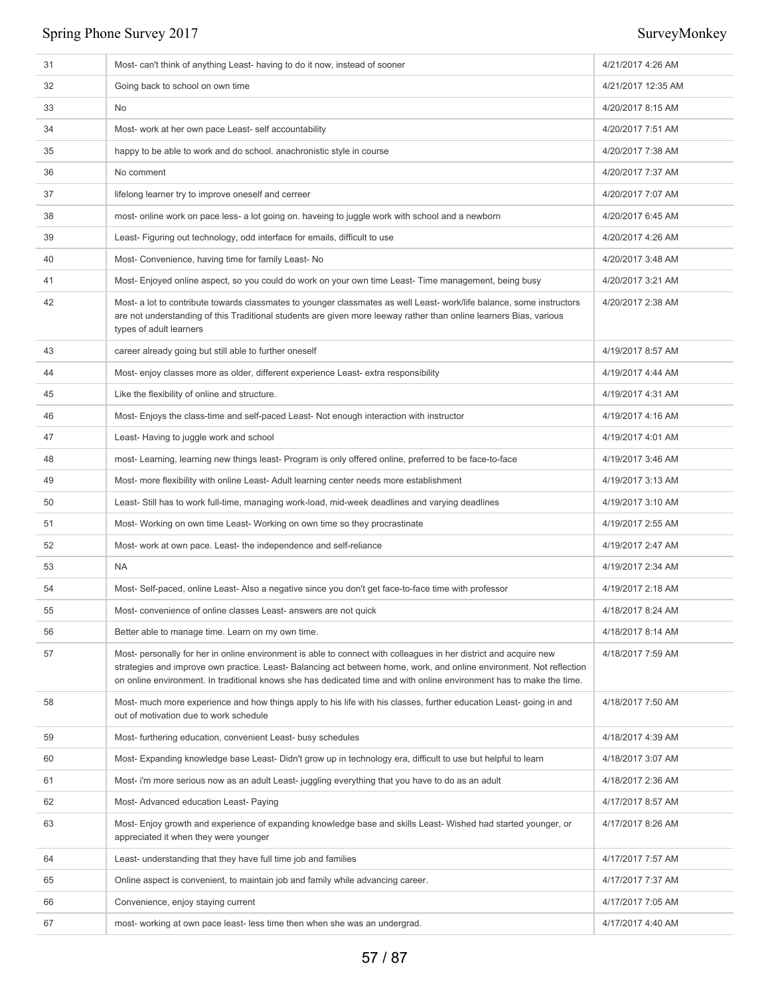| 31 | Most-can't think of anything Least-having to do it now, instead of sooner                                                                                                                                                                                                                                                                                        | 4/21/2017 4:26 AM  |
|----|------------------------------------------------------------------------------------------------------------------------------------------------------------------------------------------------------------------------------------------------------------------------------------------------------------------------------------------------------------------|--------------------|
| 32 | Going back to school on own time                                                                                                                                                                                                                                                                                                                                 | 4/21/2017 12:35 AM |
| 33 | No                                                                                                                                                                                                                                                                                                                                                               | 4/20/2017 8:15 AM  |
| 34 | Most- work at her own pace Least- self accountability                                                                                                                                                                                                                                                                                                            | 4/20/2017 7:51 AM  |
| 35 | happy to be able to work and do school. anachronistic style in course                                                                                                                                                                                                                                                                                            | 4/20/2017 7:38 AM  |
| 36 | No comment                                                                                                                                                                                                                                                                                                                                                       | 4/20/2017 7:37 AM  |
| 37 | lifelong learner try to improve oneself and cerreer                                                                                                                                                                                                                                                                                                              | 4/20/2017 7:07 AM  |
| 38 | most- online work on pace less- a lot going on. haveing to juggle work with school and a newborn                                                                                                                                                                                                                                                                 | 4/20/2017 6:45 AM  |
| 39 | Least- Figuring out technology, odd interface for emails, difficult to use                                                                                                                                                                                                                                                                                       | 4/20/2017 4:26 AM  |
| 40 | Most- Convenience, having time for family Least- No                                                                                                                                                                                                                                                                                                              | 4/20/2017 3:48 AM  |
| 41 | Most- Enjoyed online aspect, so you could do work on your own time Least- Time management, being busy                                                                                                                                                                                                                                                            | 4/20/2017 3:21 AM  |
| 42 | Most- a lot to contribute towards classmates to younger classmates as well Least- work/life balance, some instructors<br>are not understanding of this Traditional students are given more leeway rather than online learners Bias, various<br>types of adult learners                                                                                           | 4/20/2017 2:38 AM  |
| 43 | career already going but still able to further oneself                                                                                                                                                                                                                                                                                                           | 4/19/2017 8:57 AM  |
| 44 | Most-enjoy classes more as older, different experience Least-extra responsibility                                                                                                                                                                                                                                                                                | 4/19/2017 4:44 AM  |
| 45 | Like the flexibility of online and structure.                                                                                                                                                                                                                                                                                                                    | 4/19/2017 4:31 AM  |
| 46 | Most-Enjoys the class-time and self-paced Least-Not enough interaction with instructor                                                                                                                                                                                                                                                                           | 4/19/2017 4:16 AM  |
| 47 | Least- Having to juggle work and school                                                                                                                                                                                                                                                                                                                          | 4/19/2017 4:01 AM  |
| 48 | most-Learning, learning new things least-Program is only offered online, preferred to be face-to-face                                                                                                                                                                                                                                                            | 4/19/2017 3:46 AM  |
| 49 | Most- more flexibility with online Least- Adult learning center needs more establishment                                                                                                                                                                                                                                                                         | 4/19/2017 3:13 AM  |
| 50 | Least-Still has to work full-time, managing work-load, mid-week deadlines and varying deadlines                                                                                                                                                                                                                                                                  | 4/19/2017 3:10 AM  |
| 51 | Most-Working on own time Least-Working on own time so they procrastinate                                                                                                                                                                                                                                                                                         | 4/19/2017 2:55 AM  |
| 52 | Most- work at own pace. Least- the independence and self-reliance                                                                                                                                                                                                                                                                                                | 4/19/2017 2:47 AM  |
| 53 | <b>NA</b>                                                                                                                                                                                                                                                                                                                                                        | 4/19/2017 2:34 AM  |
| 54 | Most-Self-paced, online Least-Also a negative since you don't get face-to-face time with professor                                                                                                                                                                                                                                                               | 4/19/2017 2:18 AM  |
| 55 | Most-convenience of online classes Least-answers are not quick                                                                                                                                                                                                                                                                                                   | 4/18/2017 8:24 AM  |
| 56 | Better able to manage time. Learn on my own time.                                                                                                                                                                                                                                                                                                                | 4/18/2017 8:14 AM  |
| 57 | Most- personally for her in online environment is able to connect with colleagues in her district and acquire new<br>strategies and improve own practice. Least-Balancing act between home, work, and online environment. Not reflection<br>on online environment. In traditional knows she has dedicated time and with online environment has to make the time. | 4/18/2017 7:59 AM  |
| 58 | Most- much more experience and how things apply to his life with his classes, further education Least-going in and<br>out of motivation due to work schedule                                                                                                                                                                                                     | 4/18/2017 7:50 AM  |
| 59 | Most- furthering education, convenient Least- busy schedules                                                                                                                                                                                                                                                                                                     | 4/18/2017 4:39 AM  |
| 60 | Most-Expanding knowledge base Least-Didn't grow up in technology era, difficult to use but helpful to learn                                                                                                                                                                                                                                                      | 4/18/2017 3:07 AM  |
| 61 | Most- i'm more serious now as an adult Least- juggling everything that you have to do as an adult                                                                                                                                                                                                                                                                | 4/18/2017 2:36 AM  |
| 62 | Most- Advanced education Least- Paying                                                                                                                                                                                                                                                                                                                           | 4/17/2017 8:57 AM  |
| 63 | Most- Enjoy growth and experience of expanding knowledge base and skills Least-Wished had started younger, or<br>appreciated it when they were younger                                                                                                                                                                                                           | 4/17/2017 8:26 AM  |
| 64 | Least- understanding that they have full time job and families                                                                                                                                                                                                                                                                                                   | 4/17/2017 7:57 AM  |
| 65 | Online aspect is convenient, to maintain job and family while advancing career.                                                                                                                                                                                                                                                                                  | 4/17/2017 7:37 AM  |
| 66 | Convenience, enjoy staying current                                                                                                                                                                                                                                                                                                                               | 4/17/2017 7:05 AM  |
| 67 | most- working at own pace least- less time then when she was an undergrad.                                                                                                                                                                                                                                                                                       | 4/17/2017 4:40 AM  |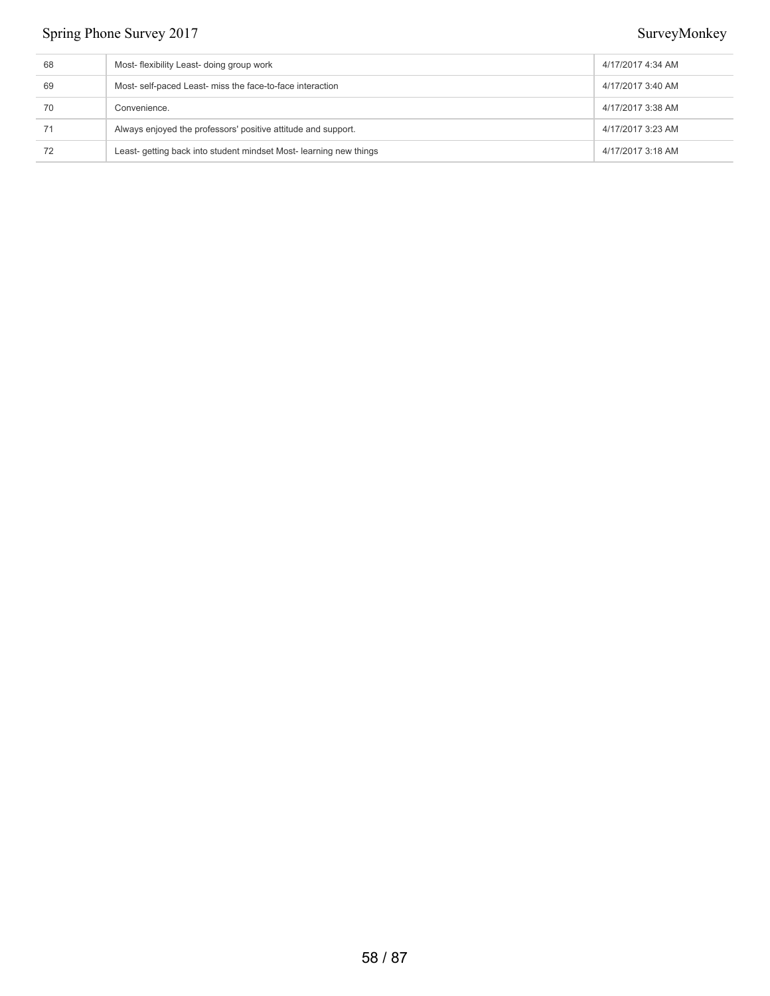| 68 | Most-flexibility Least- doing group work                           | 4/17/2017 4:34 AM |
|----|--------------------------------------------------------------------|-------------------|
| 69 | Most- self-paced Least- miss the face-to-face interaction          | 4/17/2017 3:40 AM |
| 70 | Convenience.                                                       | 4/17/2017 3:38 AM |
|    | Always enjoyed the professors' positive attitude and support.      | 4/17/2017 3:23 AM |
| 72 | Least- getting back into student mindset Most- learning new things | 4/17/2017 3:18 AM |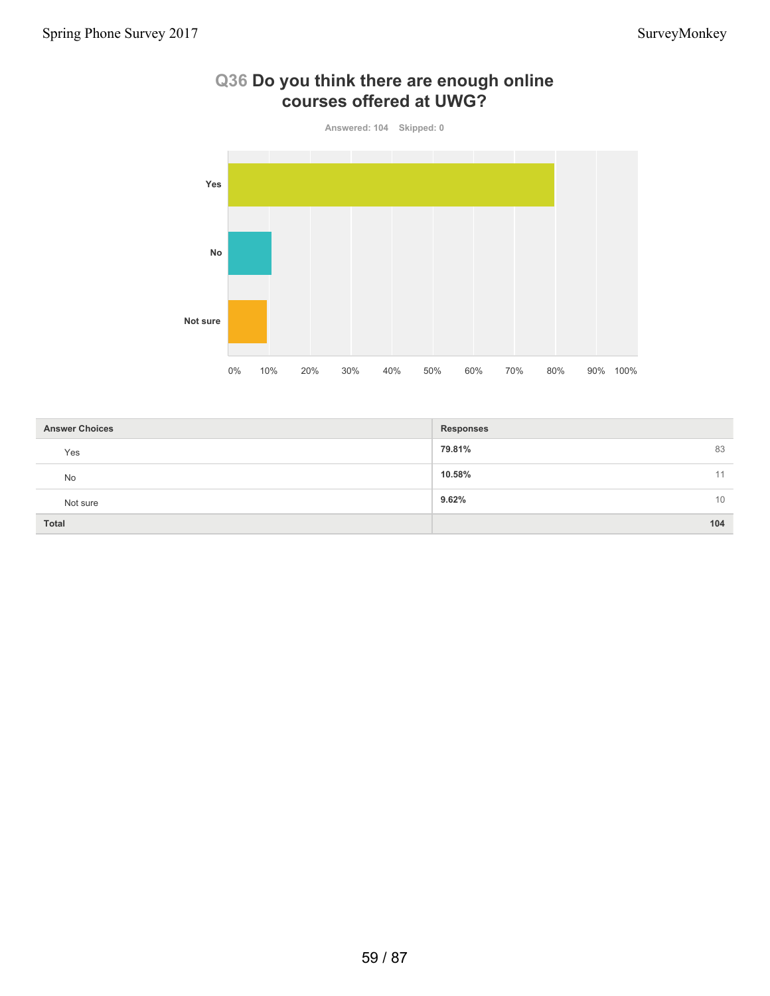

### **Q36 Do you think there are enough online courses offered at UWG?**

| <b>Answer Choices</b> | <b>Responses</b> |
|-----------------------|------------------|
| Yes                   | 83<br>79.81%     |
| No                    | 10.58%<br>11     |
| Not sure              | 9.62%<br>10      |
| <b>Total</b>          | 104              |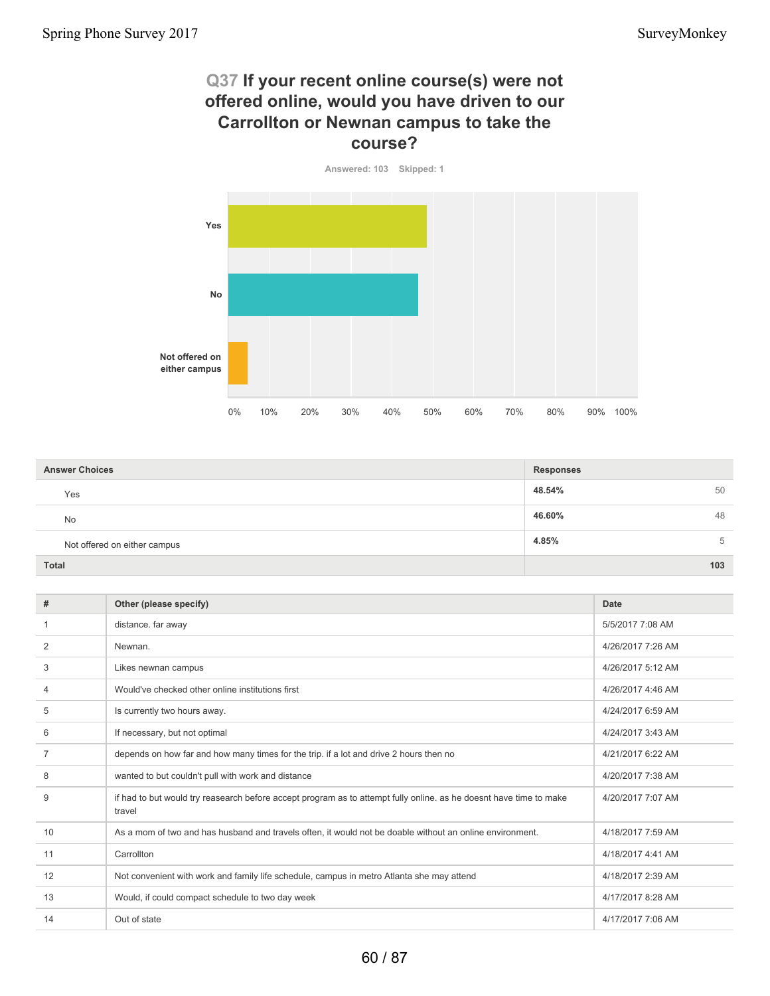### **Q37 If your recent online course(s) were not offered online, would you have driven to our Carrollton or Newnan campus to take the course?**



| <b>Answer Choices</b>        | <b>Responses</b> |     |
|------------------------------|------------------|-----|
| Yes                          | 48.54%           | 50  |
| No                           | 46.60%           | 48  |
| Not offered on either campus | 4.85%            | 5   |
| <b>Total</b>                 |                  | 103 |

| #  | Other (please specify)                                                                                                       | Date              |
|----|------------------------------------------------------------------------------------------------------------------------------|-------------------|
|    | distance. far away                                                                                                           | 5/5/2017 7:08 AM  |
| 2  | Newnan.                                                                                                                      | 4/26/2017 7:26 AM |
| 3  | Likes newnan campus                                                                                                          | 4/26/2017 5:12 AM |
| 4  | Would've checked other online institutions first                                                                             | 4/26/2017 4:46 AM |
| 5  | Is currently two hours away.                                                                                                 | 4/24/2017 6:59 AM |
| 6  | If necessary, but not optimal                                                                                                | 4/24/2017 3:43 AM |
| 7  | depends on how far and how many times for the trip. if a lot and drive 2 hours then no                                       | 4/21/2017 6:22 AM |
| 8  | wanted to but couldn't pull with work and distance                                                                           | 4/20/2017 7:38 AM |
| 9  | if had to but would try reasearch before accept program as to attempt fully online, as he doesnt have time to make<br>travel | 4/20/2017 7:07 AM |
| 10 | As a mom of two and has husband and travels often, it would not be doable without an online environment.                     | 4/18/2017 7:59 AM |
| 11 | Carrollton                                                                                                                   | 4/18/2017 4:41 AM |
| 12 | Not convenient with work and family life schedule, campus in metro Atlanta she may attend                                    | 4/18/2017 2:39 AM |
| 13 | Would, if could compact schedule to two day week                                                                             | 4/17/2017 8:28 AM |
| 14 | Out of state                                                                                                                 | 4/17/2017 7:06 AM |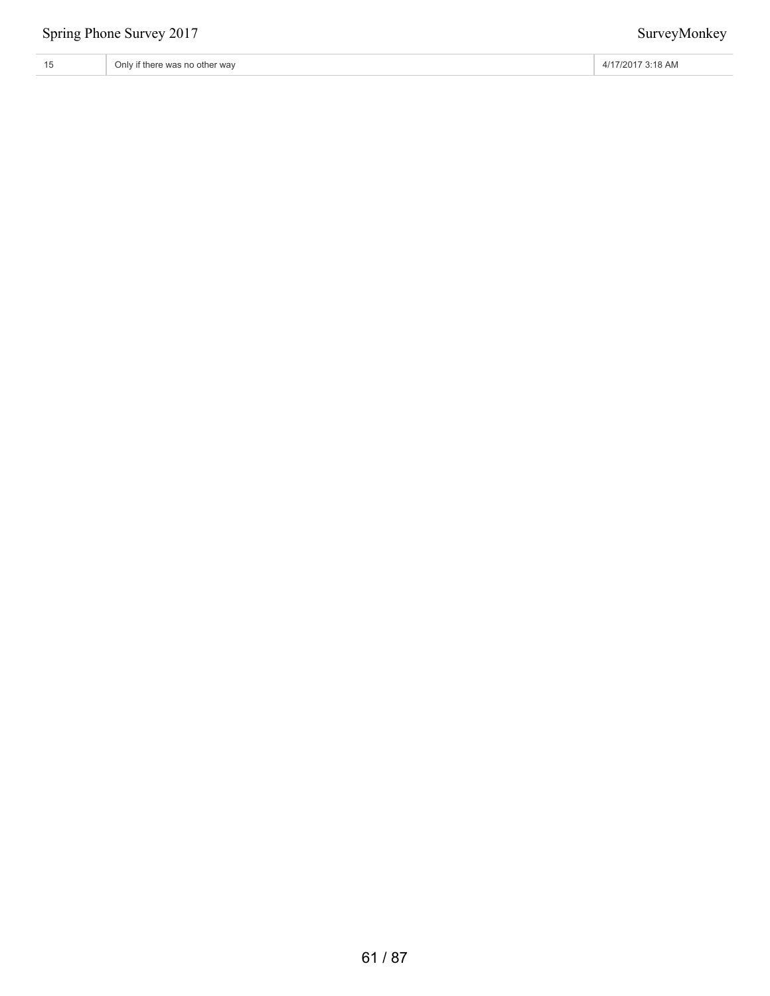| 15<br>∣∪ | $\cdots$<br>Only if there was no other way | ' 3:18 AM<br>17/2017<br>$\cdots$ |
|----------|--------------------------------------------|----------------------------------|
|----------|--------------------------------------------|----------------------------------|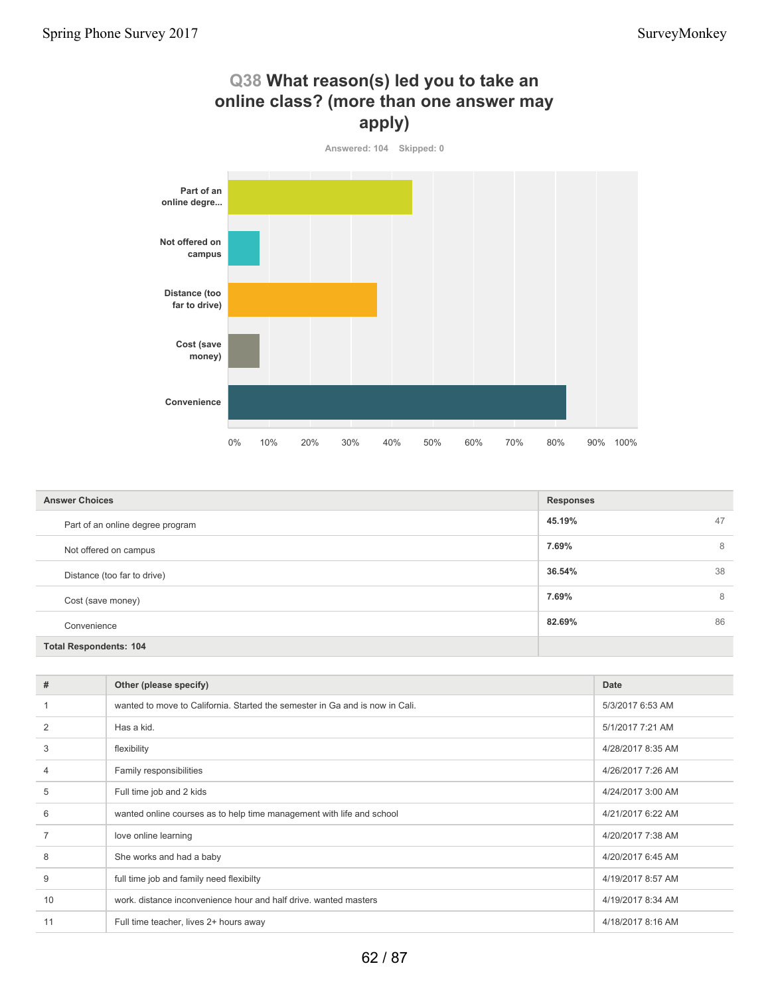

| <b>Answer Choices</b>            | <b>Responses</b> |    |
|----------------------------------|------------------|----|
| Part of an online degree program | 45.19%           | 47 |
| Not offered on campus            | 7.69%            | 8  |
| Distance (too far to drive)      | 36.54%           | 38 |
| Cost (save money)                | 7.69%            | 8  |
| Convenience                      | 82.69%           | 86 |
| <b>Total Respondents: 104</b>    |                  |    |

| #  | Other (please specify)                                                       | Date              |
|----|------------------------------------------------------------------------------|-------------------|
|    | wanted to move to California. Started the semester in Ga and is now in Cali. | 5/3/2017 6:53 AM  |
| 2  | Has a kid.                                                                   | 5/1/2017 7:21 AM  |
| 3  | flexibility                                                                  | 4/28/2017 8:35 AM |
| 4  | Family responsibilities                                                      | 4/26/2017 7:26 AM |
| 5  | Full time job and 2 kids                                                     | 4/24/2017 3:00 AM |
| 6  | wanted online courses as to help time management with life and school        | 4/21/2017 6:22 AM |
|    | love online learning                                                         | 4/20/2017 7:38 AM |
| 8  | She works and had a baby                                                     | 4/20/2017 6:45 AM |
| 9  | full time job and family need flexibilty                                     | 4/19/2017 8:57 AM |
| 10 | work. distance inconvenience hour and half drive. wanted masters             | 4/19/2017 8:34 AM |
| 11 | Full time teacher, lives 2+ hours away                                       | 4/18/2017 8:16 AM |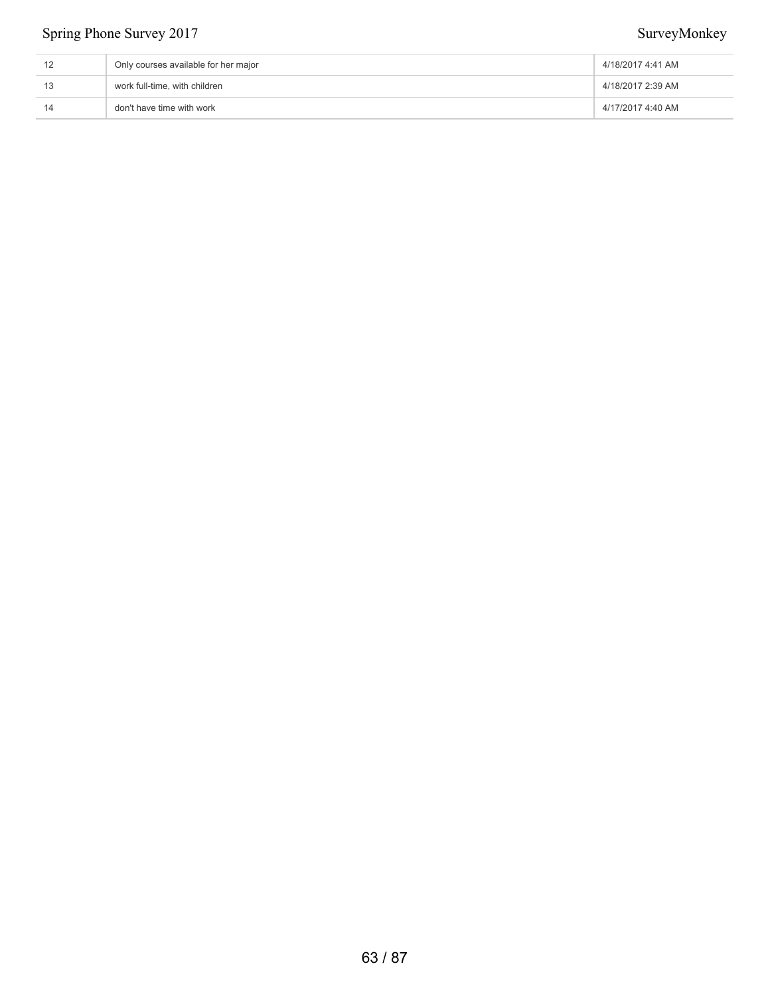| Only courses available for her major | 4/18/2017 4:41 AM |
|--------------------------------------|-------------------|
| work full-time, with children        | 4/18/2017 2:39 AM |
| don't have time with work            | 4/17/2017 4:40 AM |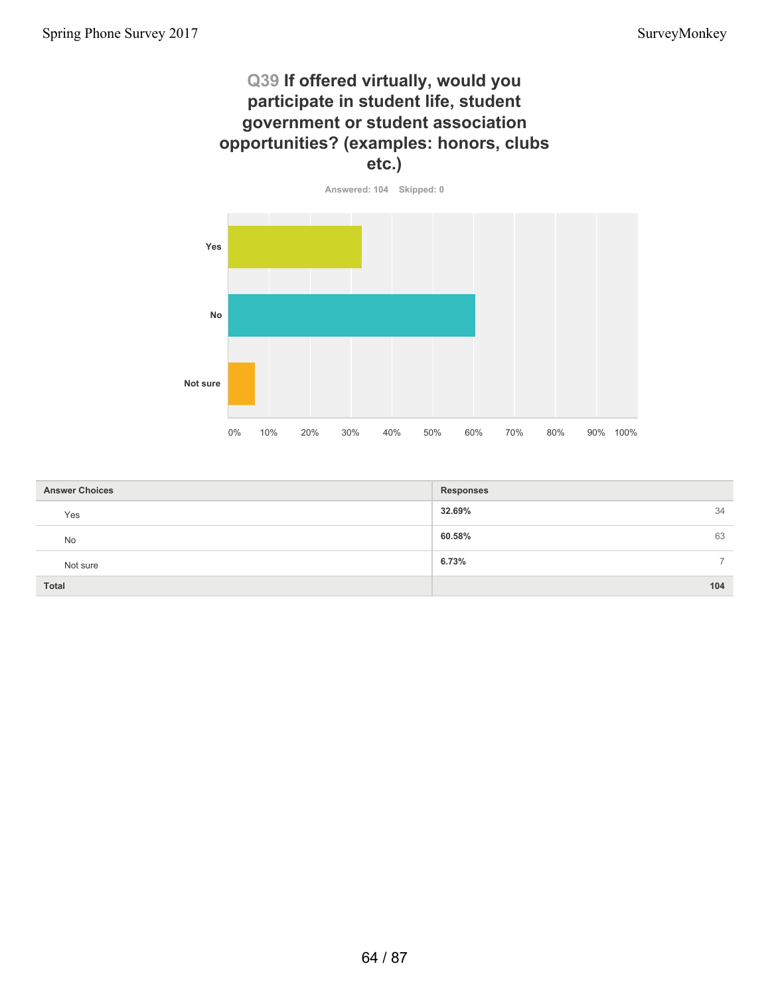### **Q39 If offered virtually, would you participate in student life, student government or student association opportunities? (examples: honors, clubs etc.)**



| <b>Answer Choices</b> | <b>Responses</b>       |
|-----------------------|------------------------|
| Yes                   | 32.69%<br>34           |
| <b>No</b>             | 60.58%<br>63           |
| Not sure              | 6.73%<br>$\rightarrow$ |
| <b>Total</b>          | 104                    |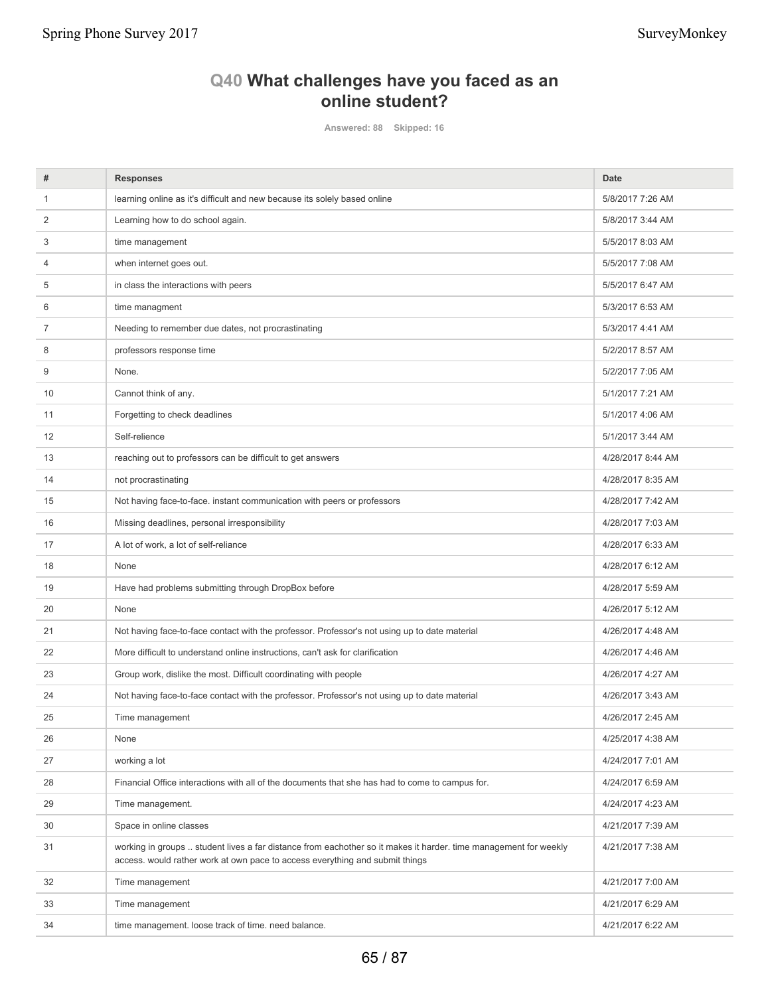## **Q40 What challenges have you faced as an online student?**

**Answered: 88 Skipped: 16**

| #  | <b>Responses</b>                                                                                                                                                                                 | Date              |
|----|--------------------------------------------------------------------------------------------------------------------------------------------------------------------------------------------------|-------------------|
| 1  | learning online as it's difficult and new because its solely based online                                                                                                                        | 5/8/2017 7:26 AM  |
| 2  | Learning how to do school again.                                                                                                                                                                 | 5/8/2017 3:44 AM  |
| 3  | time management                                                                                                                                                                                  | 5/5/2017 8:03 AM  |
| 4  | when internet goes out.                                                                                                                                                                          | 5/5/2017 7:08 AM  |
| 5  | in class the interactions with peers                                                                                                                                                             | 5/5/2017 6:47 AM  |
| 6  | time managment                                                                                                                                                                                   | 5/3/2017 6:53 AM  |
| 7  | Needing to remember due dates, not procrastinating                                                                                                                                               | 5/3/2017 4:41 AM  |
| 8  | professors response time                                                                                                                                                                         | 5/2/2017 8:57 AM  |
| 9  | None.                                                                                                                                                                                            | 5/2/2017 7:05 AM  |
| 10 | Cannot think of any.                                                                                                                                                                             | 5/1/2017 7:21 AM  |
| 11 | Forgetting to check deadlines                                                                                                                                                                    | 5/1/2017 4:06 AM  |
| 12 | Self-relience                                                                                                                                                                                    | 5/1/2017 3:44 AM  |
| 13 | reaching out to professors can be difficult to get answers                                                                                                                                       | 4/28/2017 8:44 AM |
| 14 | not procrastinating                                                                                                                                                                              | 4/28/2017 8:35 AM |
| 15 | Not having face-to-face. instant communication with peers or professors                                                                                                                          | 4/28/2017 7:42 AM |
| 16 | Missing deadlines, personal irresponsibility                                                                                                                                                     | 4/28/2017 7:03 AM |
| 17 | A lot of work, a lot of self-reliance                                                                                                                                                            | 4/28/2017 6:33 AM |
| 18 | None                                                                                                                                                                                             | 4/28/2017 6:12 AM |
| 19 | Have had problems submitting through DropBox before                                                                                                                                              | 4/28/2017 5:59 AM |
| 20 | None                                                                                                                                                                                             | 4/26/2017 5:12 AM |
| 21 | Not having face-to-face contact with the professor. Professor's not using up to date material                                                                                                    | 4/26/2017 4:48 AM |
| 22 | More difficult to understand online instructions, can't ask for clarification                                                                                                                    | 4/26/2017 4:46 AM |
| 23 | Group work, dislike the most. Difficult coordinating with people                                                                                                                                 | 4/26/2017 4:27 AM |
| 24 | Not having face-to-face contact with the professor. Professor's not using up to date material                                                                                                    | 4/26/2017 3:43 AM |
| 25 | Time management                                                                                                                                                                                  | 4/26/2017 2:45 AM |
| 26 | None                                                                                                                                                                                             | 4/25/2017 4:38 AM |
| 27 | working a lot                                                                                                                                                                                    | 4/24/2017 7:01 AM |
| 28 | Financial Office interactions with all of the documents that she has had to come to campus for.                                                                                                  | 4/24/2017 6:59 AM |
| 29 | Time management.                                                                                                                                                                                 | 4/24/2017 4:23 AM |
| 30 | Space in online classes                                                                                                                                                                          | 4/21/2017 7:39 AM |
| 31 | working in groups  student lives a far distance from eachother so it makes it harder. time management for weekly<br>access. would rather work at own pace to access everything and submit things | 4/21/2017 7:38 AM |
| 32 | Time management                                                                                                                                                                                  | 4/21/2017 7:00 AM |
| 33 | Time management                                                                                                                                                                                  | 4/21/2017 6:29 AM |
| 34 | time management. loose track of time. need balance.                                                                                                                                              | 4/21/2017 6:22 AM |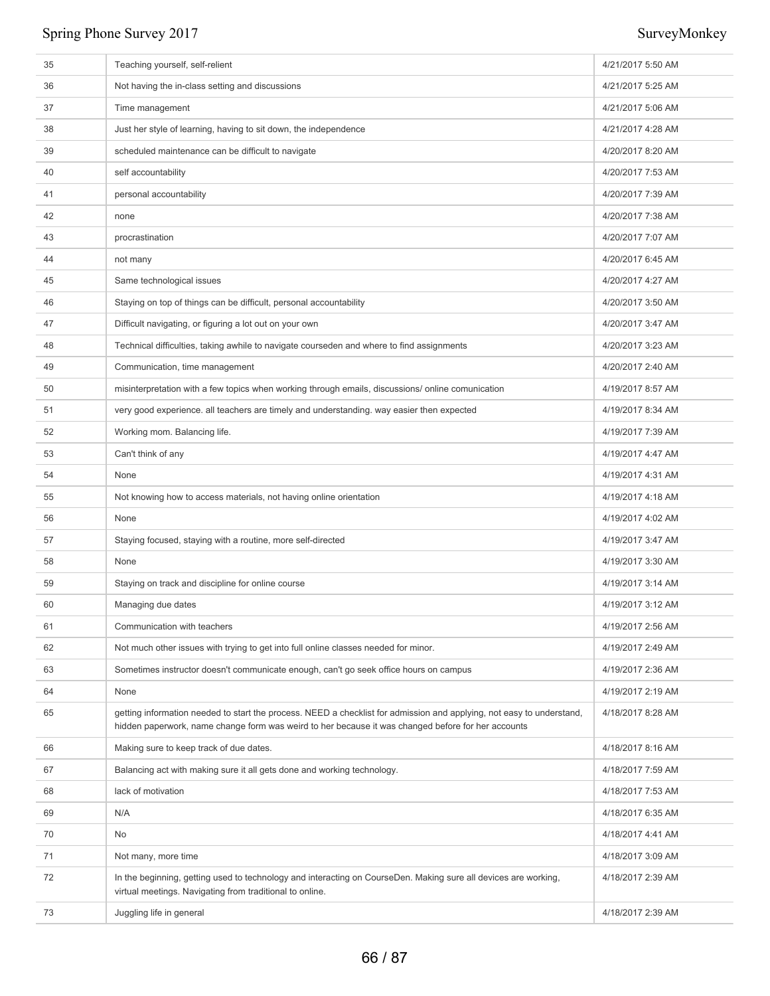| 35 | Teaching yourself, self-relient                                                                                                                                                                                             | 4/21/2017 5:50 AM |
|----|-----------------------------------------------------------------------------------------------------------------------------------------------------------------------------------------------------------------------------|-------------------|
| 36 | Not having the in-class setting and discussions                                                                                                                                                                             | 4/21/2017 5:25 AM |
| 37 | Time management                                                                                                                                                                                                             | 4/21/2017 5:06 AM |
| 38 | Just her style of learning, having to sit down, the independence                                                                                                                                                            | 4/21/2017 4:28 AM |
| 39 | scheduled maintenance can be difficult to navigate                                                                                                                                                                          | 4/20/2017 8:20 AM |
| 40 | self accountability                                                                                                                                                                                                         | 4/20/2017 7:53 AM |
| 41 | personal accountability                                                                                                                                                                                                     | 4/20/2017 7:39 AM |
| 42 | none                                                                                                                                                                                                                        | 4/20/2017 7:38 AM |
| 43 | procrastination                                                                                                                                                                                                             | 4/20/2017 7:07 AM |
| 44 | not many                                                                                                                                                                                                                    | 4/20/2017 6:45 AM |
| 45 | Same technological issues                                                                                                                                                                                                   | 4/20/2017 4:27 AM |
| 46 | Staying on top of things can be difficult, personal accountability                                                                                                                                                          | 4/20/2017 3:50 AM |
| 47 | Difficult navigating, or figuring a lot out on your own                                                                                                                                                                     | 4/20/2017 3:47 AM |
| 48 | Technical difficulties, taking awhile to navigate courseden and where to find assignments                                                                                                                                   | 4/20/2017 3:23 AM |
| 49 | Communication, time management                                                                                                                                                                                              | 4/20/2017 2:40 AM |
| 50 | misinterpretation with a few topics when working through emails, discussions/online comunication                                                                                                                            | 4/19/2017 8:57 AM |
| 51 | very good experience. all teachers are timely and understanding. way easier then expected                                                                                                                                   | 4/19/2017 8:34 AM |
| 52 | Working mom. Balancing life.                                                                                                                                                                                                | 4/19/2017 7:39 AM |
| 53 | Can't think of any                                                                                                                                                                                                          | 4/19/2017 4:47 AM |
| 54 | None                                                                                                                                                                                                                        | 4/19/2017 4:31 AM |
| 55 | Not knowing how to access materials, not having online orientation                                                                                                                                                          | 4/19/2017 4:18 AM |
| 56 | None                                                                                                                                                                                                                        | 4/19/2017 4:02 AM |
| 57 | Staying focused, staying with a routine, more self-directed                                                                                                                                                                 | 4/19/2017 3:47 AM |
| 58 | None                                                                                                                                                                                                                        | 4/19/2017 3:30 AM |
| 59 | Staying on track and discipline for online course                                                                                                                                                                           | 4/19/2017 3:14 AM |
| 60 | Managing due dates                                                                                                                                                                                                          | 4/19/2017 3:12 AM |
| 61 | Communication with teachers                                                                                                                                                                                                 | 4/19/2017 2:56 AM |
| 62 | Not much other issues with trying to get into full online classes needed for minor.                                                                                                                                         | 4/19/2017 2:49 AM |
| 63 | Sometimes instructor doesn't communicate enough, can't go seek office hours on campus                                                                                                                                       | 4/19/2017 2:36 AM |
| 64 | None                                                                                                                                                                                                                        | 4/19/2017 2:19 AM |
| 65 | getting information needed to start the process. NEED a checklist for admission and applying, not easy to understand,<br>hidden paperwork, name change form was weird to her because it was changed before for her accounts | 4/18/2017 8:28 AM |
| 66 | Making sure to keep track of due dates.                                                                                                                                                                                     | 4/18/2017 8:16 AM |
| 67 | Balancing act with making sure it all gets done and working technology.                                                                                                                                                     | 4/18/2017 7:59 AM |
| 68 | lack of motivation                                                                                                                                                                                                          | 4/18/2017 7:53 AM |
| 69 | N/A                                                                                                                                                                                                                         | 4/18/2017 6:35 AM |
| 70 | No                                                                                                                                                                                                                          | 4/18/2017 4:41 AM |
| 71 | Not many, more time                                                                                                                                                                                                         | 4/18/2017 3:09 AM |
| 72 | In the beginning, getting used to technology and interacting on CourseDen. Making sure all devices are working,<br>virtual meetings. Navigating from traditional to online.                                                 | 4/18/2017 2:39 AM |
| 73 | Juggling life in general                                                                                                                                                                                                    | 4/18/2017 2:39 AM |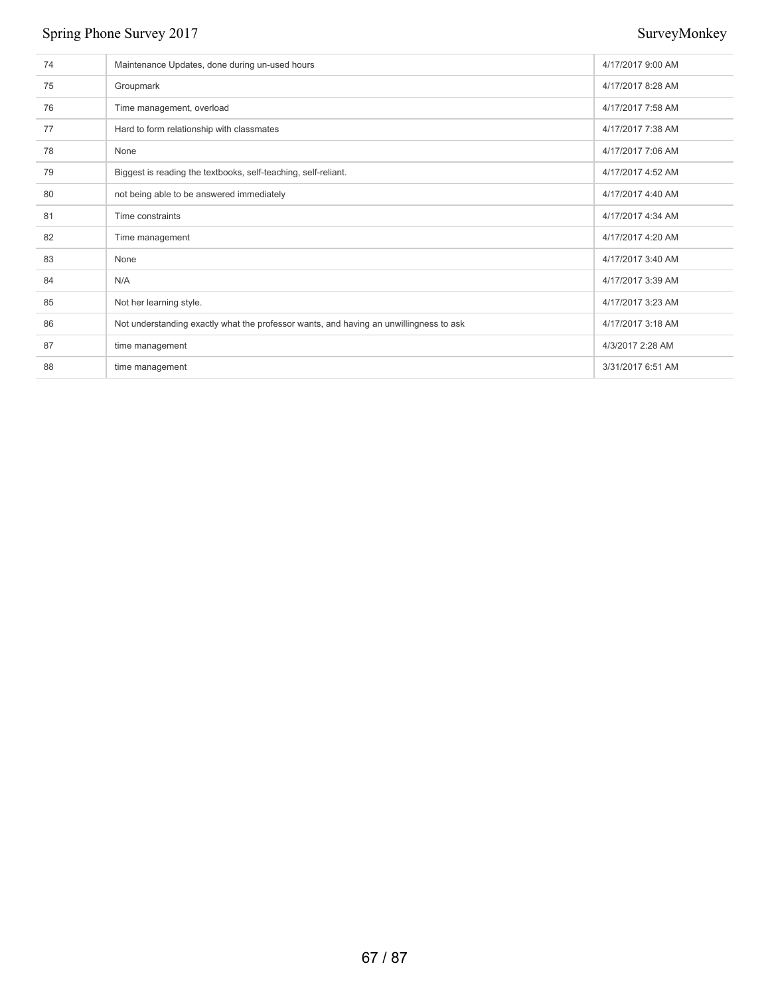| 74 | Maintenance Updates, done during un-used hours                                         | 4/17/2017 9:00 AM |
|----|----------------------------------------------------------------------------------------|-------------------|
| 75 | Groupmark                                                                              | 4/17/2017 8:28 AM |
| 76 | Time management, overload                                                              | 4/17/2017 7:58 AM |
| 77 | Hard to form relationship with classmates                                              | 4/17/2017 7:38 AM |
| 78 | None                                                                                   | 4/17/2017 7:06 AM |
| 79 | Biggest is reading the textbooks, self-teaching, self-reliant.                         | 4/17/2017 4:52 AM |
| 80 | not being able to be answered immediately                                              | 4/17/2017 4:40 AM |
| 81 | Time constraints                                                                       | 4/17/2017 4:34 AM |
| 82 | Time management                                                                        | 4/17/2017 4:20 AM |
| 83 | None                                                                                   | 4/17/2017 3:40 AM |
| 84 | N/A                                                                                    | 4/17/2017 3:39 AM |
| 85 | Not her learning style.                                                                | 4/17/2017 3:23 AM |
| 86 | Not understanding exactly what the professor wants, and having an unwillingness to ask | 4/17/2017 3:18 AM |
| 87 | time management                                                                        | 4/3/2017 2:28 AM  |
| 88 | time management                                                                        | 3/31/2017 6:51 AM |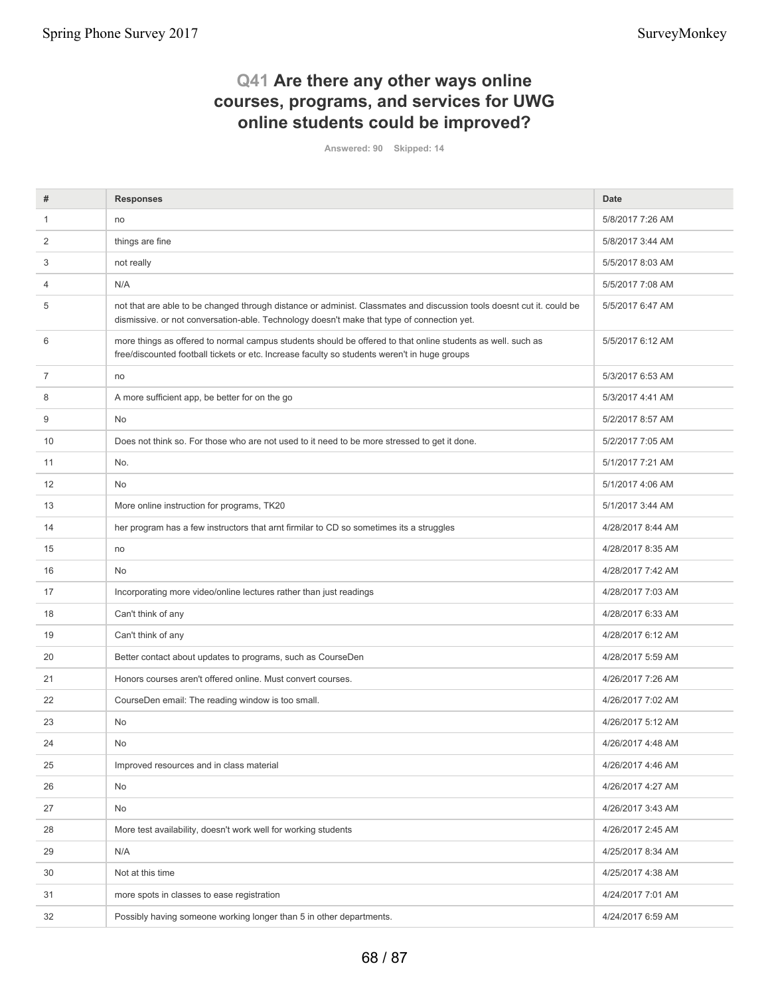## **Q41 Are there any other ways online courses, programs, and services for UWG online students could be improved?**

**Answered: 90 Skipped: 14**

| #            | <b>Responses</b>                                                                                                                                                                                                    | Date              |
|--------------|---------------------------------------------------------------------------------------------------------------------------------------------------------------------------------------------------------------------|-------------------|
| $\mathbf{1}$ | no                                                                                                                                                                                                                  | 5/8/2017 7:26 AM  |
| 2            | things are fine                                                                                                                                                                                                     | 5/8/2017 3:44 AM  |
| 3            | not really                                                                                                                                                                                                          | 5/5/2017 8:03 AM  |
| 4            | N/A                                                                                                                                                                                                                 | 5/5/2017 7:08 AM  |
| 5            | not that are able to be changed through distance or administ. Classmates and discussion tools doesnt cut it. could be<br>dismissive. or not conversation-able. Technology doesn't make that type of connection yet. | 5/5/2017 6:47 AM  |
| 6            | more things as offered to normal campus students should be offered to that online students as well. such as<br>free/discounted football tickets or etc. Increase faculty so students weren't in huge groups         | 5/5/2017 6:12 AM  |
| 7            | no                                                                                                                                                                                                                  | 5/3/2017 6:53 AM  |
| 8            | A more sufficient app, be better for on the go                                                                                                                                                                      | 5/3/2017 4:41 AM  |
| 9            | No                                                                                                                                                                                                                  | 5/2/2017 8:57 AM  |
| 10           | Does not think so. For those who are not used to it need to be more stressed to get it done.                                                                                                                        | 5/2/2017 7:05 AM  |
| 11           | No.                                                                                                                                                                                                                 | 5/1/2017 7:21 AM  |
| 12           | <b>No</b>                                                                                                                                                                                                           | 5/1/2017 4:06 AM  |
| 13           | More online instruction for programs, TK20                                                                                                                                                                          | 5/1/2017 3:44 AM  |
| 14           | her program has a few instructors that arnt firmilar to CD so sometimes its a struggles                                                                                                                             | 4/28/2017 8:44 AM |
| 15           | no                                                                                                                                                                                                                  | 4/28/2017 8:35 AM |
| 16           | <b>No</b>                                                                                                                                                                                                           | 4/28/2017 7:42 AM |
| 17           | Incorporating more video/online lectures rather than just readings                                                                                                                                                  | 4/28/2017 7:03 AM |
| 18           | Can't think of any                                                                                                                                                                                                  | 4/28/2017 6:33 AM |
| 19           | Can't think of any                                                                                                                                                                                                  | 4/28/2017 6:12 AM |
| 20           | Better contact about updates to programs, such as CourseDen                                                                                                                                                         | 4/28/2017 5:59 AM |
| 21           | Honors courses aren't offered online. Must convert courses.                                                                                                                                                         | 4/26/2017 7:26 AM |
| 22           | CourseDen email: The reading window is too small.                                                                                                                                                                   | 4/26/2017 7:02 AM |
| 23           | <b>No</b>                                                                                                                                                                                                           | 4/26/2017 5:12 AM |
| 24           | No                                                                                                                                                                                                                  | 4/26/2017 4:48 AM |
| 25           | Improved resources and in class material                                                                                                                                                                            | 4/26/2017 4:46 AM |
| 26           | No                                                                                                                                                                                                                  | 4/26/2017 4:27 AM |
| 27           | No                                                                                                                                                                                                                  | 4/26/2017 3:43 AM |
| 28           | More test availability, doesn't work well for working students                                                                                                                                                      | 4/26/2017 2:45 AM |
| 29           | N/A                                                                                                                                                                                                                 | 4/25/2017 8:34 AM |
| 30           | Not at this time                                                                                                                                                                                                    | 4/25/2017 4:38 AM |
| 31           | more spots in classes to ease registration                                                                                                                                                                          | 4/24/2017 7:01 AM |
| 32           | Possibly having someone working longer than 5 in other departments.                                                                                                                                                 | 4/24/2017 6:59 AM |
|              |                                                                                                                                                                                                                     |                   |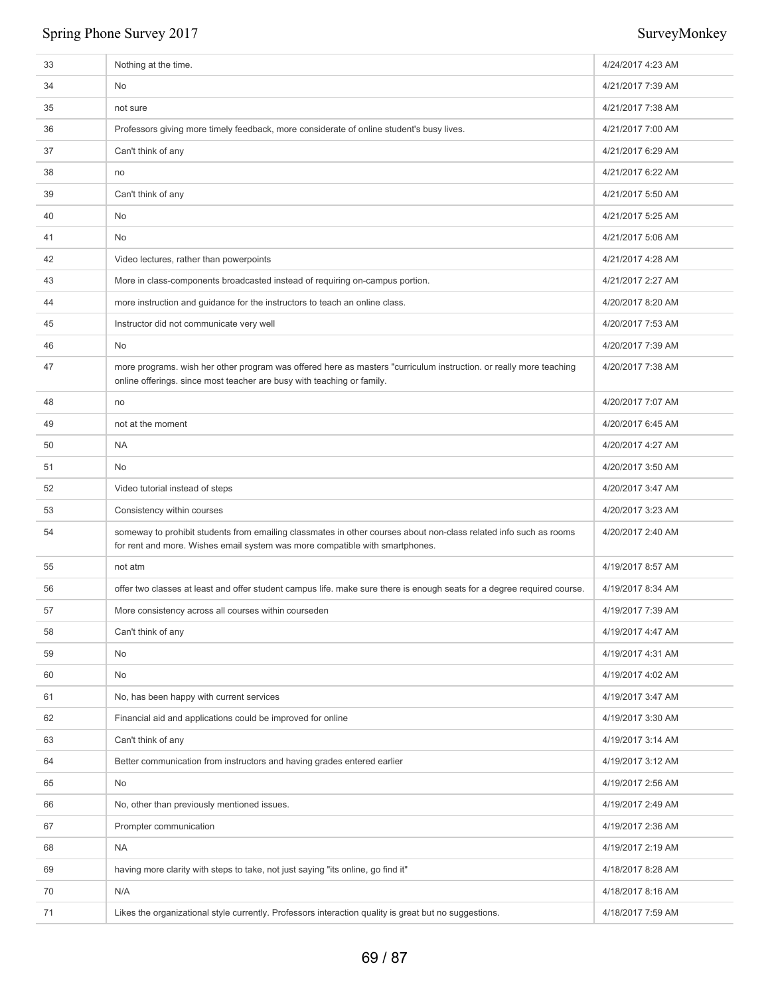| 33 | Nothing at the time.                                                                                                                                                                              | 4/24/2017 4:23 AM |
|----|---------------------------------------------------------------------------------------------------------------------------------------------------------------------------------------------------|-------------------|
| 34 | No                                                                                                                                                                                                | 4/21/2017 7:39 AM |
| 35 | not sure                                                                                                                                                                                          | 4/21/2017 7:38 AM |
| 36 | Professors giving more timely feedback, more considerate of online student's busy lives.                                                                                                          | 4/21/2017 7:00 AM |
| 37 | Can't think of any                                                                                                                                                                                | 4/21/2017 6:29 AM |
| 38 | no                                                                                                                                                                                                | 4/21/2017 6:22 AM |
| 39 | Can't think of any                                                                                                                                                                                | 4/21/2017 5:50 AM |
| 40 | No                                                                                                                                                                                                | 4/21/2017 5:25 AM |
| 41 | No                                                                                                                                                                                                | 4/21/2017 5:06 AM |
| 42 | Video lectures, rather than powerpoints                                                                                                                                                           | 4/21/2017 4:28 AM |
| 43 | More in class-components broadcasted instead of requiring on-campus portion.                                                                                                                      | 4/21/2017 2:27 AM |
| 44 | more instruction and guidance for the instructors to teach an online class.                                                                                                                       | 4/20/2017 8:20 AM |
| 45 | Instructor did not communicate very well                                                                                                                                                          | 4/20/2017 7:53 AM |
| 46 | No                                                                                                                                                                                                | 4/20/2017 7:39 AM |
| 47 | more programs. wish her other program was offered here as masters "curriculum instruction. or really more teaching<br>online offerings. since most teacher are busy with teaching or family.      | 4/20/2017 7:38 AM |
| 48 | no                                                                                                                                                                                                | 4/20/2017 7:07 AM |
| 49 | not at the moment                                                                                                                                                                                 | 4/20/2017 6:45 AM |
| 50 | <b>NA</b>                                                                                                                                                                                         | 4/20/2017 4:27 AM |
| 51 | No                                                                                                                                                                                                | 4/20/2017 3:50 AM |
| 52 | Video tutorial instead of steps                                                                                                                                                                   | 4/20/2017 3:47 AM |
| 53 | Consistency within courses                                                                                                                                                                        | 4/20/2017 3:23 AM |
| 54 | someway to prohibit students from emailing classmates in other courses about non-class related info such as rooms<br>for rent and more. Wishes email system was more compatible with smartphones. | 4/20/2017 2:40 AM |
| 55 | not atm                                                                                                                                                                                           | 4/19/2017 8:57 AM |
| 56 | offer two classes at least and offer student campus life. make sure there is enough seats for a degree required course.                                                                           | 4/19/2017 8:34 AM |
| 57 | More consistency across all courses within courseden                                                                                                                                              | 4/19/2017 7:39 AM |
| 58 | Can't think of any                                                                                                                                                                                | 4/19/2017 4:47 AM |
| 59 | No                                                                                                                                                                                                | 4/19/2017 4:31 AM |
| 60 | No                                                                                                                                                                                                | 4/19/2017 4:02 AM |
| 61 | No, has been happy with current services                                                                                                                                                          | 4/19/2017 3:47 AM |
| 62 | Financial aid and applications could be improved for online                                                                                                                                       | 4/19/2017 3:30 AM |
| 63 | Can't think of any                                                                                                                                                                                | 4/19/2017 3:14 AM |
| 64 | Better communication from instructors and having grades entered earlier                                                                                                                           | 4/19/2017 3:12 AM |
| 65 | No                                                                                                                                                                                                | 4/19/2017 2:56 AM |
| 66 | No, other than previously mentioned issues.                                                                                                                                                       | 4/19/2017 2:49 AM |
| 67 | Prompter communication                                                                                                                                                                            | 4/19/2017 2:36 AM |
| 68 | <b>NA</b>                                                                                                                                                                                         | 4/19/2017 2:19 AM |
| 69 | having more clarity with steps to take, not just saying "its online, go find it"                                                                                                                  | 4/18/2017 8:28 AM |
| 70 | N/A                                                                                                                                                                                               | 4/18/2017 8:16 AM |
| 71 | Likes the organizational style currently. Professors interaction quality is great but no suggestions.                                                                                             | 4/18/2017 7:59 AM |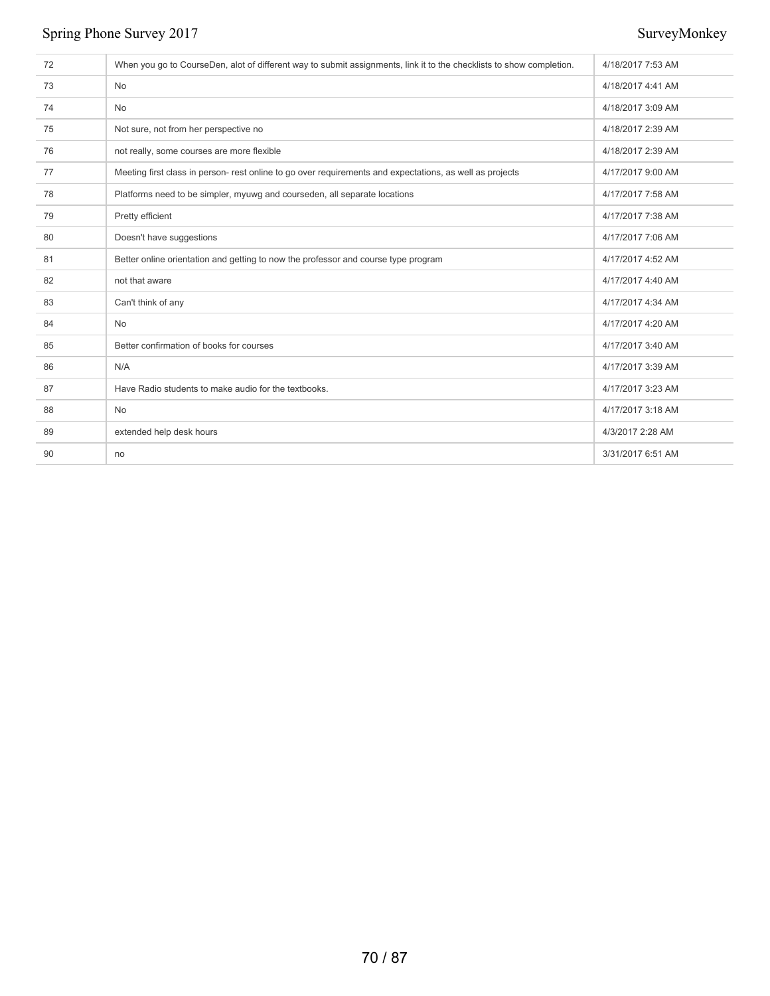| 72 | When you go to CourseDen, alot of different way to submit assignments, link it to the checklists to show completion. | 4/18/2017 7:53 AM |
|----|----------------------------------------------------------------------------------------------------------------------|-------------------|
| 73 | No                                                                                                                   | 4/18/2017 4:41 AM |
| 74 | <b>No</b>                                                                                                            | 4/18/2017 3:09 AM |
| 75 | Not sure, not from her perspective no                                                                                | 4/18/2017 2:39 AM |
| 76 | not really, some courses are more flexible                                                                           | 4/18/2017 2:39 AM |
| 77 | Meeting first class in person- rest online to go over requirements and expectations, as well as projects             | 4/17/2017 9:00 AM |
| 78 | Platforms need to be simpler, myuwg and courseden, all separate locations                                            | 4/17/2017 7:58 AM |
| 79 | Pretty efficient                                                                                                     | 4/17/2017 7:38 AM |
| 80 | Doesn't have suggestions                                                                                             | 4/17/2017 7:06 AM |
| 81 | Better online orientation and getting to now the professor and course type program                                   | 4/17/2017 4:52 AM |
| 82 | not that aware                                                                                                       | 4/17/2017 4:40 AM |
| 83 | Can't think of any                                                                                                   | 4/17/2017 4:34 AM |
| 84 | No                                                                                                                   | 4/17/2017 4:20 AM |
| 85 | Better confirmation of books for courses                                                                             | 4/17/2017 3:40 AM |
| 86 | N/A                                                                                                                  | 4/17/2017 3:39 AM |
| 87 | Have Radio students to make audio for the textbooks.                                                                 | 4/17/2017 3:23 AM |
| 88 | <b>No</b>                                                                                                            | 4/17/2017 3:18 AM |
| 89 | extended help desk hours                                                                                             | 4/3/2017 2:28 AM  |
| 90 | no                                                                                                                   | 3/31/2017 6:51 AM |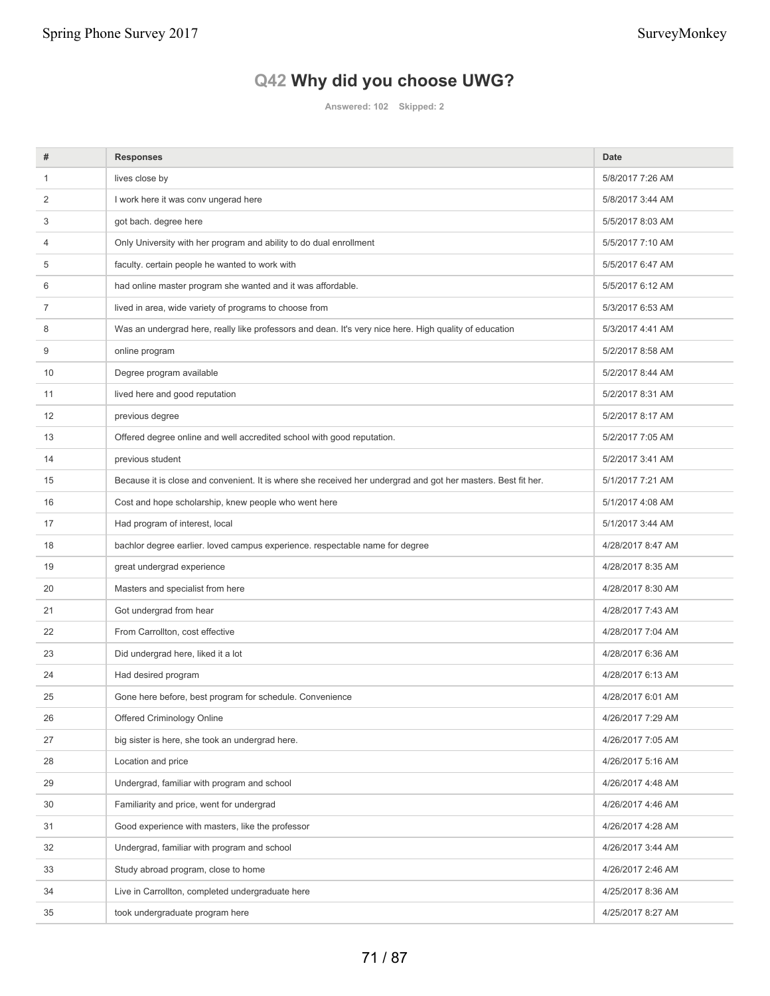# **Q42 Why did you choose UWG?**

**Answered: 102 Skipped: 2**

| #            | <b>Responses</b>                                                                                              | Date              |
|--------------|---------------------------------------------------------------------------------------------------------------|-------------------|
| $\mathbf{1}$ | lives close by                                                                                                | 5/8/2017 7:26 AM  |
| 2            | I work here it was conv ungerad here                                                                          | 5/8/2017 3:44 AM  |
| 3            | got bach. degree here                                                                                         | 5/5/2017 8:03 AM  |
| 4            | Only University with her program and ability to do dual enrollment                                            | 5/5/2017 7:10 AM  |
| 5            | faculty. certain people he wanted to work with                                                                | 5/5/2017 6:47 AM  |
| 6            | had online master program she wanted and it was affordable.                                                   | 5/5/2017 6:12 AM  |
| 7            | lived in area, wide variety of programs to choose from                                                        | 5/3/2017 6:53 AM  |
| 8            | Was an undergrad here, really like professors and dean. It's very nice here. High quality of education        | 5/3/2017 4:41 AM  |
| 9            | online program                                                                                                | 5/2/2017 8:58 AM  |
| 10           | Degree program available                                                                                      | 5/2/2017 8:44 AM  |
| 11           | lived here and good reputation                                                                                | 5/2/2017 8:31 AM  |
| 12           | previous degree                                                                                               | 5/2/2017 8:17 AM  |
| 13           | Offered degree online and well accredited school with good reputation.                                        | 5/2/2017 7:05 AM  |
| 14           | previous student                                                                                              | 5/2/2017 3:41 AM  |
| 15           | Because it is close and convenient. It is where she received her undergrad and got her masters. Best fit her. | 5/1/2017 7:21 AM  |
| 16           | Cost and hope scholarship, knew people who went here                                                          | 5/1/2017 4:08 AM  |
| 17           | Had program of interest, local                                                                                | 5/1/2017 3:44 AM  |
| 18           | bachlor degree earlier. loved campus experience. respectable name for degree                                  | 4/28/2017 8:47 AM |
| 19           | great undergrad experience                                                                                    | 4/28/2017 8:35 AM |
| 20           | Masters and specialist from here                                                                              | 4/28/2017 8:30 AM |
| 21           | Got undergrad from hear                                                                                       | 4/28/2017 7:43 AM |
| 22           | From Carrollton, cost effective                                                                               | 4/28/2017 7:04 AM |
| 23           | Did undergrad here, liked it a lot                                                                            | 4/28/2017 6:36 AM |
| 24           | Had desired program                                                                                           | 4/28/2017 6:13 AM |
| 25           | Gone here before, best program for schedule. Convenience                                                      | 4/28/2017 6:01 AM |
| 26           | Offered Criminology Online                                                                                    | 4/26/2017 7:29 AM |
| 27           | big sister is here, she took an undergrad here.                                                               | 4/26/2017 7:05 AM |
| 28           | Location and price                                                                                            | 4/26/2017 5:16 AM |
| 29           | Undergrad, familiar with program and school                                                                   | 4/26/2017 4:48 AM |
| 30           | Familiarity and price, went for undergrad                                                                     | 4/26/2017 4:46 AM |
| 31           | Good experience with masters, like the professor                                                              | 4/26/2017 4:28 AM |
| 32           | Undergrad, familiar with program and school                                                                   | 4/26/2017 3:44 AM |
| 33           | Study abroad program, close to home                                                                           | 4/26/2017 2:46 AM |
| 34           | Live in Carrollton, completed undergraduate here                                                              | 4/25/2017 8:36 AM |
| 35           | took undergraduate program here                                                                               | 4/25/2017 8:27 AM |
|              |                                                                                                               |                   |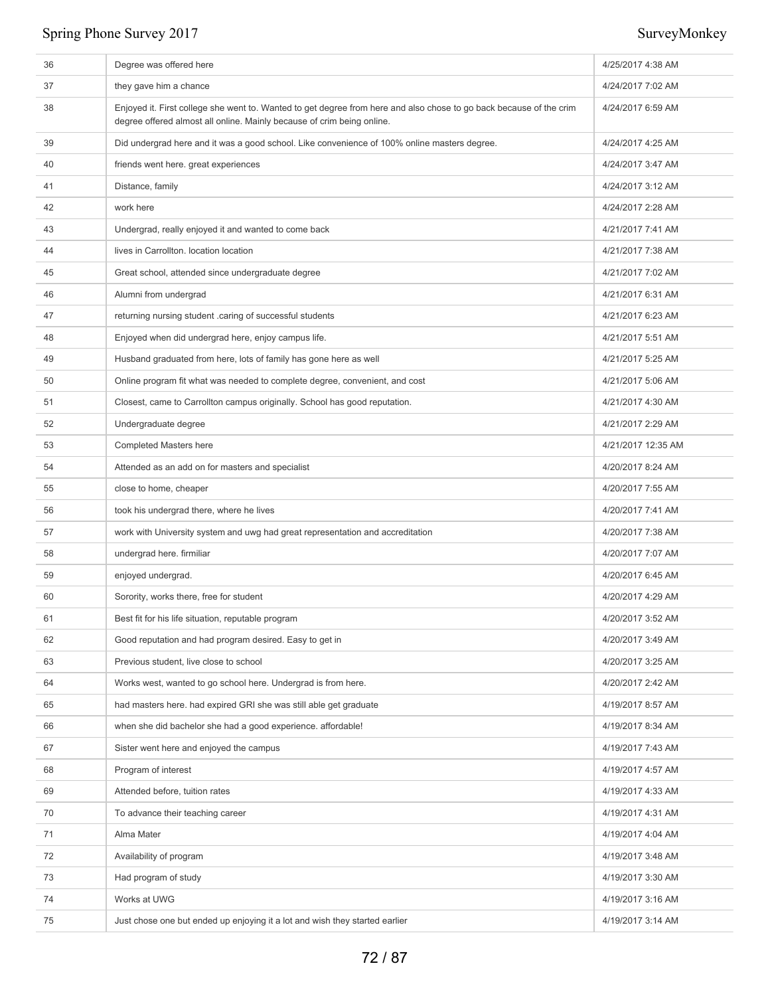| 36 | Degree was offered here                                                                                                                                                                       | 4/25/2017 4:38 AM  |
|----|-----------------------------------------------------------------------------------------------------------------------------------------------------------------------------------------------|--------------------|
| 37 | they gave him a chance                                                                                                                                                                        | 4/24/2017 7:02 AM  |
| 38 | Enjoyed it. First college she went to. Wanted to get degree from here and also chose to go back because of the crim<br>degree offered almost all online. Mainly because of crim being online. | 4/24/2017 6:59 AM  |
| 39 | Did undergrad here and it was a good school. Like convenience of 100% online masters degree.                                                                                                  | 4/24/2017 4:25 AM  |
| 40 | friends went here. great experiences                                                                                                                                                          | 4/24/2017 3:47 AM  |
| 41 | Distance, family                                                                                                                                                                              | 4/24/2017 3:12 AM  |
| 42 | work here                                                                                                                                                                                     | 4/24/2017 2:28 AM  |
| 43 | Undergrad, really enjoyed it and wanted to come back                                                                                                                                          | 4/21/2017 7:41 AM  |
| 44 | lives in Carrollton. location location                                                                                                                                                        | 4/21/2017 7:38 AM  |
| 45 | Great school, attended since undergraduate degree                                                                                                                                             | 4/21/2017 7:02 AM  |
| 46 | Alumni from undergrad                                                                                                                                                                         | 4/21/2017 6:31 AM  |
| 47 | returning nursing student .caring of successful students                                                                                                                                      | 4/21/2017 6:23 AM  |
| 48 | Enjoyed when did undergrad here, enjoy campus life.                                                                                                                                           | 4/21/2017 5:51 AM  |
| 49 | Husband graduated from here, lots of family has gone here as well                                                                                                                             | 4/21/2017 5:25 AM  |
| 50 | Online program fit what was needed to complete degree, convenient, and cost                                                                                                                   | 4/21/2017 5:06 AM  |
| 51 | Closest, came to Carrollton campus originally. School has good reputation.                                                                                                                    | 4/21/2017 4:30 AM  |
| 52 | Undergraduate degree                                                                                                                                                                          | 4/21/2017 2:29 AM  |
| 53 | <b>Completed Masters here</b>                                                                                                                                                                 | 4/21/2017 12:35 AM |
| 54 | Attended as an add on for masters and specialist                                                                                                                                              | 4/20/2017 8:24 AM  |
| 55 | close to home, cheaper                                                                                                                                                                        | 4/20/2017 7:55 AM  |
| 56 | took his undergrad there, where he lives                                                                                                                                                      | 4/20/2017 7:41 AM  |
| 57 | work with University system and uwg had great representation and accreditation                                                                                                                | 4/20/2017 7:38 AM  |
| 58 | undergrad here. firmiliar                                                                                                                                                                     | 4/20/2017 7:07 AM  |
| 59 | enjoyed undergrad.                                                                                                                                                                            | 4/20/2017 6:45 AM  |
| 60 | Sorority, works there, free for student                                                                                                                                                       | 4/20/2017 4:29 AM  |
| 61 | Best fit for his life situation, reputable program                                                                                                                                            | 4/20/2017 3:52 AM  |
| 62 | Good reputation and had program desired. Easy to get in                                                                                                                                       | 4/20/2017 3:49 AM  |
| 63 | Previous student, live close to school                                                                                                                                                        | 4/20/2017 3:25 AM  |
| 64 | Works west, wanted to go school here. Undergrad is from here.                                                                                                                                 | 4/20/2017 2:42 AM  |
| 65 | had masters here. had expired GRI she was still able get graduate                                                                                                                             | 4/19/2017 8:57 AM  |
| 66 | when she did bachelor she had a good experience. affordable!                                                                                                                                  | 4/19/2017 8:34 AM  |
| 67 | Sister went here and enjoyed the campus                                                                                                                                                       | 4/19/2017 7:43 AM  |
| 68 | Program of interest                                                                                                                                                                           | 4/19/2017 4:57 AM  |
| 69 | Attended before, tuition rates                                                                                                                                                                | 4/19/2017 4:33 AM  |
| 70 | To advance their teaching career                                                                                                                                                              | 4/19/2017 4:31 AM  |
| 71 | Alma Mater                                                                                                                                                                                    | 4/19/2017 4:04 AM  |
| 72 | Availability of program                                                                                                                                                                       | 4/19/2017 3:48 AM  |
| 73 | Had program of study                                                                                                                                                                          | 4/19/2017 3:30 AM  |
| 74 | Works at UWG                                                                                                                                                                                  | 4/19/2017 3:16 AM  |
| 75 | Just chose one but ended up enjoying it a lot and wish they started earlier                                                                                                                   | 4/19/2017 3:14 AM  |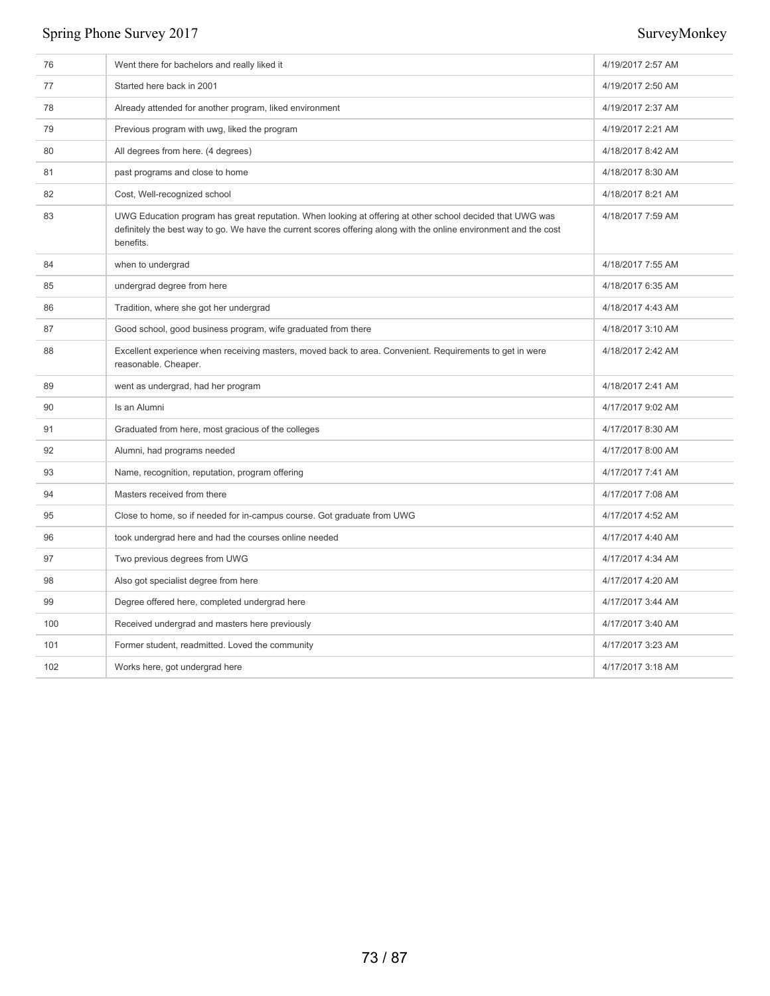| 76  | Went there for bachelors and really liked it                                                                                                                                                                                                | 4/19/2017 2:57 AM |
|-----|---------------------------------------------------------------------------------------------------------------------------------------------------------------------------------------------------------------------------------------------|-------------------|
| 77  | Started here back in 2001                                                                                                                                                                                                                   | 4/19/2017 2:50 AM |
| 78  | Already attended for another program, liked environment                                                                                                                                                                                     | 4/19/2017 2:37 AM |
| 79  | Previous program with uwg, liked the program                                                                                                                                                                                                | 4/19/2017 2:21 AM |
| 80  | All degrees from here. (4 degrees)                                                                                                                                                                                                          | 4/18/2017 8:42 AM |
| 81  | past programs and close to home                                                                                                                                                                                                             | 4/18/2017 8:30 AM |
| 82  | Cost, Well-recognized school                                                                                                                                                                                                                | 4/18/2017 8:21 AM |
| 83  | UWG Education program has great reputation. When looking at offering at other school decided that UWG was<br>definitely the best way to go. We have the current scores offering along with the online environment and the cost<br>benefits. | 4/18/2017 7:59 AM |
| 84  | when to undergrad                                                                                                                                                                                                                           | 4/18/2017 7:55 AM |
| 85  | undergrad degree from here                                                                                                                                                                                                                  | 4/18/2017 6:35 AM |
| 86  | Tradition, where she got her undergrad                                                                                                                                                                                                      | 4/18/2017 4:43 AM |
| 87  | Good school, good business program, wife graduated from there                                                                                                                                                                               | 4/18/2017 3:10 AM |
| 88  | Excellent experience when receiving masters, moved back to area. Convenient. Requirements to get in were<br>reasonable. Cheaper.                                                                                                            | 4/18/2017 2:42 AM |
| 89  | went as undergrad, had her program                                                                                                                                                                                                          | 4/18/2017 2:41 AM |
| 90  | Is an Alumni                                                                                                                                                                                                                                | 4/17/2017 9:02 AM |
| 91  | Graduated from here, most gracious of the colleges                                                                                                                                                                                          | 4/17/2017 8:30 AM |
| 92  | Alumni, had programs needed                                                                                                                                                                                                                 | 4/17/2017 8:00 AM |
| 93  | Name, recognition, reputation, program offering                                                                                                                                                                                             | 4/17/2017 7:41 AM |
| 94  | Masters received from there                                                                                                                                                                                                                 | 4/17/2017 7:08 AM |
| 95  | Close to home, so if needed for in-campus course. Got graduate from UWG                                                                                                                                                                     | 4/17/2017 4:52 AM |
| 96  | took undergrad here and had the courses online needed                                                                                                                                                                                       | 4/17/2017 4:40 AM |
| 97  | Two previous degrees from UWG                                                                                                                                                                                                               | 4/17/2017 4:34 AM |
| 98  | Also got specialist degree from here                                                                                                                                                                                                        | 4/17/2017 4:20 AM |
| 99  | Degree offered here, completed undergrad here                                                                                                                                                                                               | 4/17/2017 3:44 AM |
| 100 | Received undergrad and masters here previously                                                                                                                                                                                              | 4/17/2017 3:40 AM |
| 101 | Former student, readmitted. Loved the community                                                                                                                                                                                             | 4/17/2017 3:23 AM |
| 102 | Works here, got undergrad here                                                                                                                                                                                                              | 4/17/2017 3:18 AM |
|     |                                                                                                                                                                                                                                             |                   |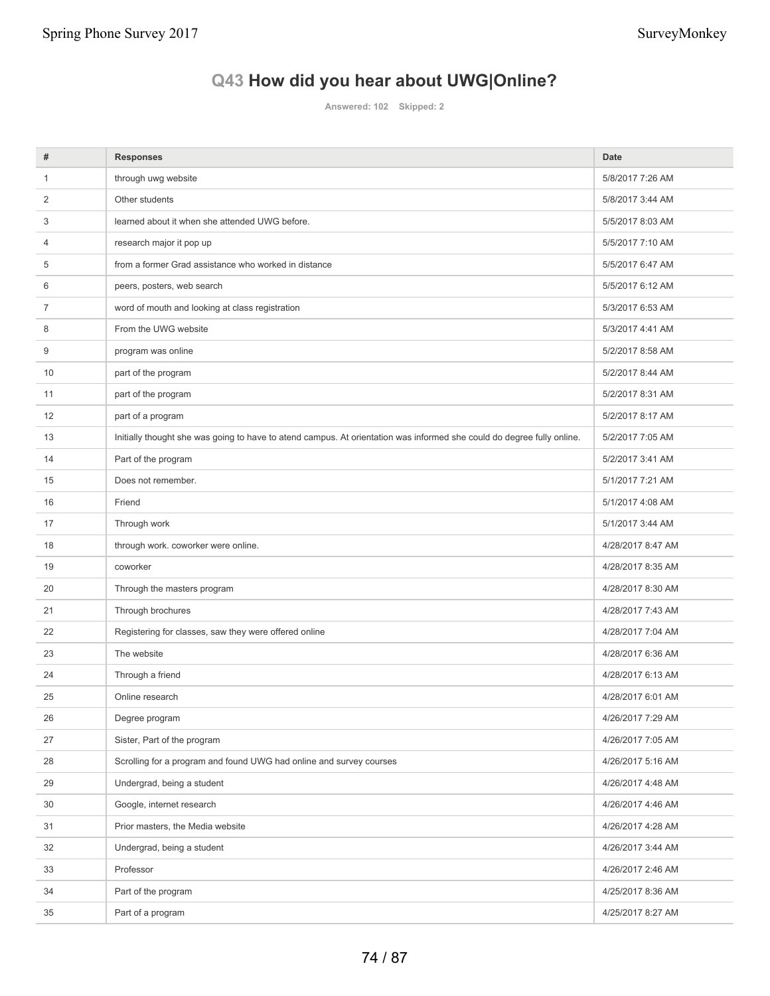# **Q43 How did you hear about UWG|Online?**

**Answered: 102 Skipped: 2**

| #              | <b>Responses</b>                                                                                                       | <b>Date</b>       |
|----------------|------------------------------------------------------------------------------------------------------------------------|-------------------|
| $\mathbf{1}$   | through uwg website                                                                                                    | 5/8/2017 7:26 AM  |
| 2              | Other students                                                                                                         | 5/8/2017 3:44 AM  |
| 3              | learned about it when she attended UWG before.                                                                         | 5/5/2017 8:03 AM  |
| 4              | research major it pop up                                                                                               | 5/5/2017 7:10 AM  |
| 5              | from a former Grad assistance who worked in distance                                                                   | 5/5/2017 6:47 AM  |
| 6              | peers, posters, web search                                                                                             | 5/5/2017 6:12 AM  |
| $\overline{7}$ | word of mouth and looking at class registration                                                                        | 5/3/2017 6:53 AM  |
| 8              | From the UWG website                                                                                                   | 5/3/2017 4:41 AM  |
| 9              | program was online                                                                                                     | 5/2/2017 8:58 AM  |
| 10             | part of the program                                                                                                    | 5/2/2017 8:44 AM  |
| 11             | part of the program                                                                                                    | 5/2/2017 8:31 AM  |
| 12             | part of a program                                                                                                      | 5/2/2017 8:17 AM  |
| 13             | Initially thought she was going to have to atend campus. At orientation was informed she could do degree fully online. | 5/2/2017 7:05 AM  |
| 14             | Part of the program                                                                                                    | 5/2/2017 3:41 AM  |
| 15             | Does not remember.                                                                                                     | 5/1/2017 7:21 AM  |
| 16             | Friend                                                                                                                 | 5/1/2017 4:08 AM  |
| 17             | Through work                                                                                                           | 5/1/2017 3:44 AM  |
| 18             | through work. coworker were online.                                                                                    | 4/28/2017 8:47 AM |
| 19             | coworker                                                                                                               | 4/28/2017 8:35 AM |
| 20             | Through the masters program                                                                                            | 4/28/2017 8:30 AM |
| 21             | Through brochures                                                                                                      | 4/28/2017 7:43 AM |
| 22             | Registering for classes, saw they were offered online                                                                  | 4/28/2017 7:04 AM |
| 23             | The website                                                                                                            | 4/28/2017 6:36 AM |
| 24             | Through a friend                                                                                                       | 4/28/2017 6:13 AM |
| 25             | Online research                                                                                                        | 4/28/2017 6:01 AM |
| 26             | Degree program                                                                                                         | 4/26/2017 7:29 AM |
| 27             | Sister, Part of the program                                                                                            | 4/26/2017 7:05 AM |
| 28             | Scrolling for a program and found UWG had online and survey courses                                                    | 4/26/2017 5:16 AM |
| 29             | Undergrad, being a student                                                                                             | 4/26/2017 4:48 AM |
| 30             | Google, internet research                                                                                              | 4/26/2017 4:46 AM |
| 31             | Prior masters, the Media website                                                                                       | 4/26/2017 4:28 AM |
| 32             | Undergrad, being a student                                                                                             | 4/26/2017 3:44 AM |
| 33             | Professor                                                                                                              | 4/26/2017 2:46 AM |
| 34             | Part of the program                                                                                                    | 4/25/2017 8:36 AM |
| 35             | Part of a program                                                                                                      | 4/25/2017 8:27 AM |
|                |                                                                                                                        |                   |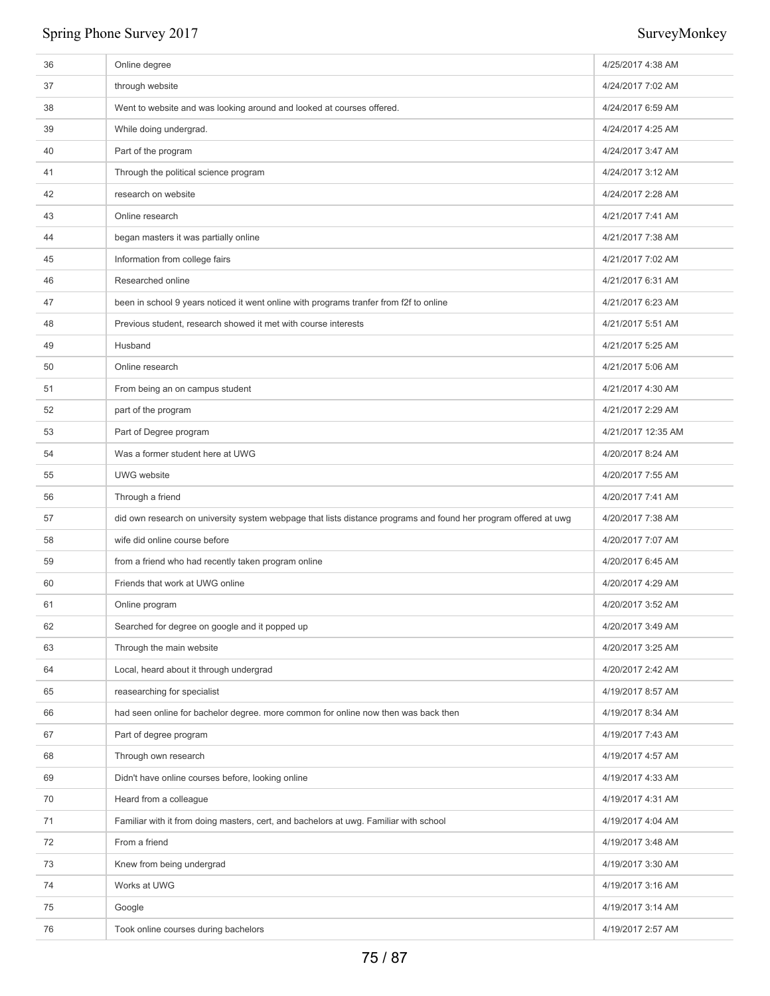| 36 | Online degree                                                                                                   | 4/25/2017 4:38 AM  |
|----|-----------------------------------------------------------------------------------------------------------------|--------------------|
| 37 | through website                                                                                                 | 4/24/2017 7:02 AM  |
| 38 | Went to website and was looking around and looked at courses offered.                                           | 4/24/2017 6:59 AM  |
| 39 | While doing undergrad.                                                                                          | 4/24/2017 4:25 AM  |
| 40 | Part of the program                                                                                             | 4/24/2017 3:47 AM  |
| 41 | Through the political science program                                                                           | 4/24/2017 3:12 AM  |
| 42 | research on website                                                                                             | 4/24/2017 2:28 AM  |
| 43 | Online research                                                                                                 | 4/21/2017 7:41 AM  |
| 44 | began masters it was partially online                                                                           | 4/21/2017 7:38 AM  |
| 45 | Information from college fairs                                                                                  | 4/21/2017 7:02 AM  |
| 46 | Researched online                                                                                               | 4/21/2017 6:31 AM  |
| 47 | been in school 9 years noticed it went online with programs tranfer from f2f to online                          | 4/21/2017 6:23 AM  |
| 48 | Previous student, research showed it met with course interests                                                  | 4/21/2017 5:51 AM  |
| 49 | Husband                                                                                                         | 4/21/2017 5:25 AM  |
| 50 | Online research                                                                                                 | 4/21/2017 5:06 AM  |
| 51 | From being an on campus student                                                                                 | 4/21/2017 4:30 AM  |
| 52 | part of the program                                                                                             | 4/21/2017 2:29 AM  |
| 53 | Part of Degree program                                                                                          | 4/21/2017 12:35 AM |
| 54 | Was a former student here at UWG                                                                                | 4/20/2017 8:24 AM  |
| 55 | <b>UWG</b> website                                                                                              | 4/20/2017 7:55 AM  |
| 56 | Through a friend                                                                                                | 4/20/2017 7:41 AM  |
| 57 | did own research on university system webpage that lists distance programs and found her program offered at uwg | 4/20/2017 7:38 AM  |
| 58 | wife did online course before                                                                                   | 4/20/2017 7:07 AM  |
| 59 | from a friend who had recently taken program online                                                             | 4/20/2017 6:45 AM  |
| 60 | Friends that work at UWG online                                                                                 | 4/20/2017 4:29 AM  |
| 61 | Online program                                                                                                  | 4/20/2017 3:52 AM  |
| 62 | Searched for degree on google and it popped up                                                                  | 4/20/2017 3:49 AM  |
| 63 | Through the main website                                                                                        | 4/20/2017 3:25 AM  |
| 64 | Local, heard about it through undergrad                                                                         | 4/20/2017 2:42 AM  |
| 65 | reasearching for specialist                                                                                     | 4/19/2017 8:57 AM  |
| 66 | had seen online for bachelor degree. more common for online now then was back then                              | 4/19/2017 8:34 AM  |
| 67 | Part of degree program                                                                                          | 4/19/2017 7:43 AM  |
| 68 | Through own research                                                                                            | 4/19/2017 4:57 AM  |
| 69 | Didn't have online courses before, looking online                                                               | 4/19/2017 4:33 AM  |
| 70 | Heard from a colleague                                                                                          | 4/19/2017 4:31 AM  |
| 71 | Familiar with it from doing masters, cert, and bachelors at uwg. Familiar with school                           | 4/19/2017 4:04 AM  |
| 72 | From a friend                                                                                                   | 4/19/2017 3:48 AM  |
| 73 | Knew from being undergrad                                                                                       | 4/19/2017 3:30 AM  |
| 74 | Works at UWG                                                                                                    | 4/19/2017 3:16 AM  |
|    |                                                                                                                 |                    |
| 75 | Google                                                                                                          | 4/19/2017 3:14 AM  |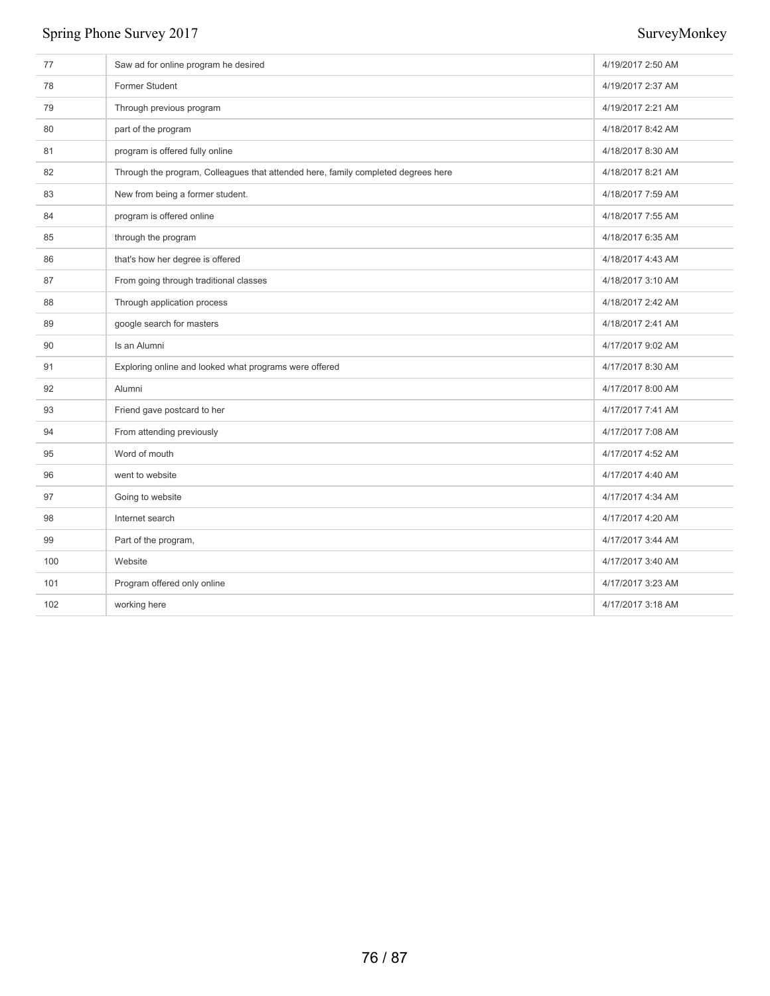| 77  | Saw ad for online program he desired                                              | 4/19/2017 2:50 AM |
|-----|-----------------------------------------------------------------------------------|-------------------|
| 78  | Former Student                                                                    | 4/19/2017 2:37 AM |
| 79  | Through previous program                                                          | 4/19/2017 2:21 AM |
| 80  | part of the program                                                               | 4/18/2017 8:42 AM |
| 81  | program is offered fully online                                                   | 4/18/2017 8:30 AM |
| 82  | Through the program, Colleagues that attended here, family completed degrees here | 4/18/2017 8:21 AM |
| 83  | New from being a former student.                                                  | 4/18/2017 7:59 AM |
| 84  | program is offered online                                                         | 4/18/2017 7:55 AM |
| 85  | through the program                                                               | 4/18/2017 6:35 AM |
| 86  | that's how her degree is offered                                                  | 4/18/2017 4:43 AM |
| 87  | From going through traditional classes                                            | 4/18/2017 3:10 AM |
| 88  | Through application process                                                       | 4/18/2017 2:42 AM |
| 89  | google search for masters                                                         | 4/18/2017 2:41 AM |
| 90  | Is an Alumni                                                                      | 4/17/2017 9:02 AM |
| 91  | Exploring online and looked what programs were offered                            | 4/17/2017 8:30 AM |
| 92  | Alumni                                                                            | 4/17/2017 8:00 AM |
| 93  | Friend gave postcard to her                                                       | 4/17/2017 7:41 AM |
| 94  | From attending previously                                                         | 4/17/2017 7:08 AM |
| 95  | Word of mouth                                                                     | 4/17/2017 4:52 AM |
| 96  | went to website                                                                   | 4/17/2017 4:40 AM |
| 97  | Going to website                                                                  | 4/17/2017 4:34 AM |
| 98  | Internet search                                                                   | 4/17/2017 4:20 AM |
| 99  | Part of the program,                                                              | 4/17/2017 3:44 AM |
| 100 | Website                                                                           | 4/17/2017 3:40 AM |
| 101 | Program offered only online                                                       | 4/17/2017 3:23 AM |
| 102 | working here                                                                      | 4/17/2017 3:18 AM |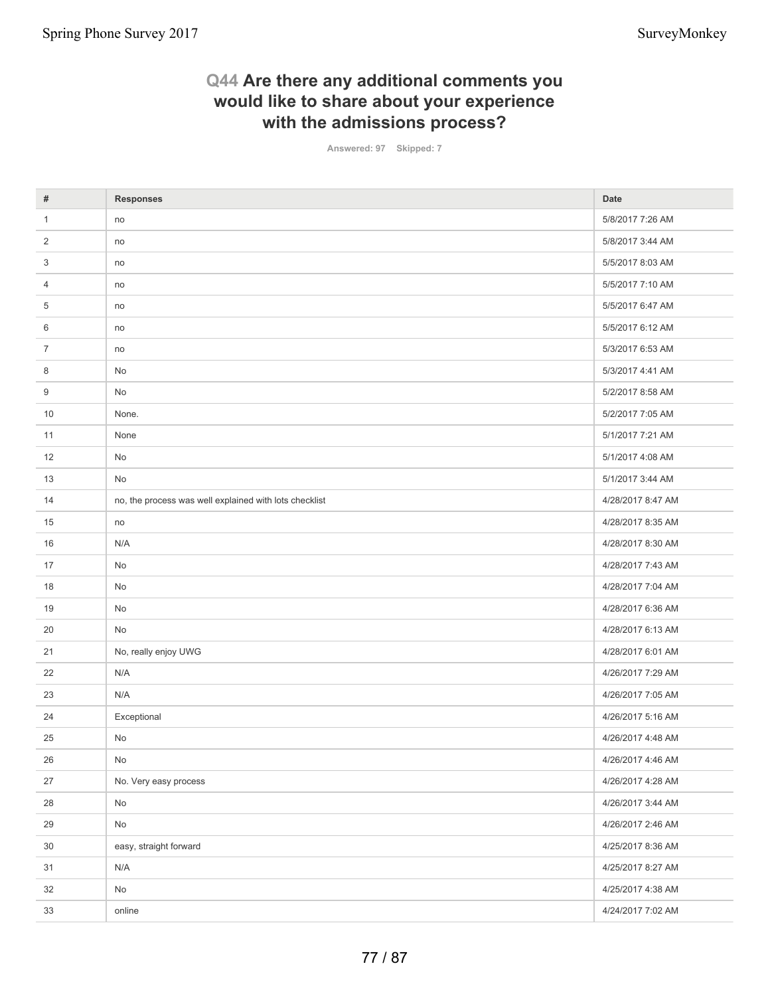## **Q44 Are there any additional comments you would like to share about your experience with the admissions process?**

**Answered: 97 Skipped: 7**

| #              | <b>Responses</b>                                       | <b>Date</b>       |
|----------------|--------------------------------------------------------|-------------------|
| $\mathbf{1}$   | no                                                     | 5/8/2017 7:26 AM  |
| 2              | no                                                     | 5/8/2017 3:44 AM  |
| 3              | no                                                     | 5/5/2017 8:03 AM  |
| $\overline{4}$ | no                                                     | 5/5/2017 7:10 AM  |
| 5              | no                                                     | 5/5/2017 6:47 AM  |
| 6              | no                                                     | 5/5/2017 6:12 AM  |
| $\overline{7}$ | no                                                     | 5/3/2017 6:53 AM  |
| 8              | No                                                     | 5/3/2017 4:41 AM  |
| 9              | No                                                     | 5/2/2017 8:58 AM  |
| 10             | None.                                                  | 5/2/2017 7:05 AM  |
| 11             | None                                                   | 5/1/2017 7:21 AM  |
| 12             | No                                                     | 5/1/2017 4:08 AM  |
| 13             | No                                                     | 5/1/2017 3:44 AM  |
| 14             | no, the process was well explained with lots checklist | 4/28/2017 8:47 AM |
| 15             | no                                                     | 4/28/2017 8:35 AM |
| 16             | N/A                                                    | 4/28/2017 8:30 AM |
| 17             | No                                                     | 4/28/2017 7:43 AM |
| 18             | No                                                     | 4/28/2017 7:04 AM |
| 19             | No                                                     | 4/28/2017 6:36 AM |
| 20             | No                                                     | 4/28/2017 6:13 AM |
| 21             | No, really enjoy UWG                                   | 4/28/2017 6:01 AM |
| 22             | N/A                                                    | 4/26/2017 7:29 AM |
| 23             | N/A                                                    | 4/26/2017 7:05 AM |
| 24             | Exceptional                                            | 4/26/2017 5:16 AM |
| 25             | No                                                     | 4/26/2017 4:48 AM |
| 26             | No                                                     | 4/26/2017 4:46 AM |
| 27             | No. Very easy process                                  | 4/26/2017 4:28 AM |
| 28             | No                                                     | 4/26/2017 3:44 AM |
| 29             | No                                                     | 4/26/2017 2:46 AM |
| 30             | easy, straight forward                                 | 4/25/2017 8:36 AM |
| 31             | N/A                                                    | 4/25/2017 8:27 AM |
| 32             | No                                                     | 4/25/2017 4:38 AM |
| 33             | online                                                 | 4/24/2017 7:02 AM |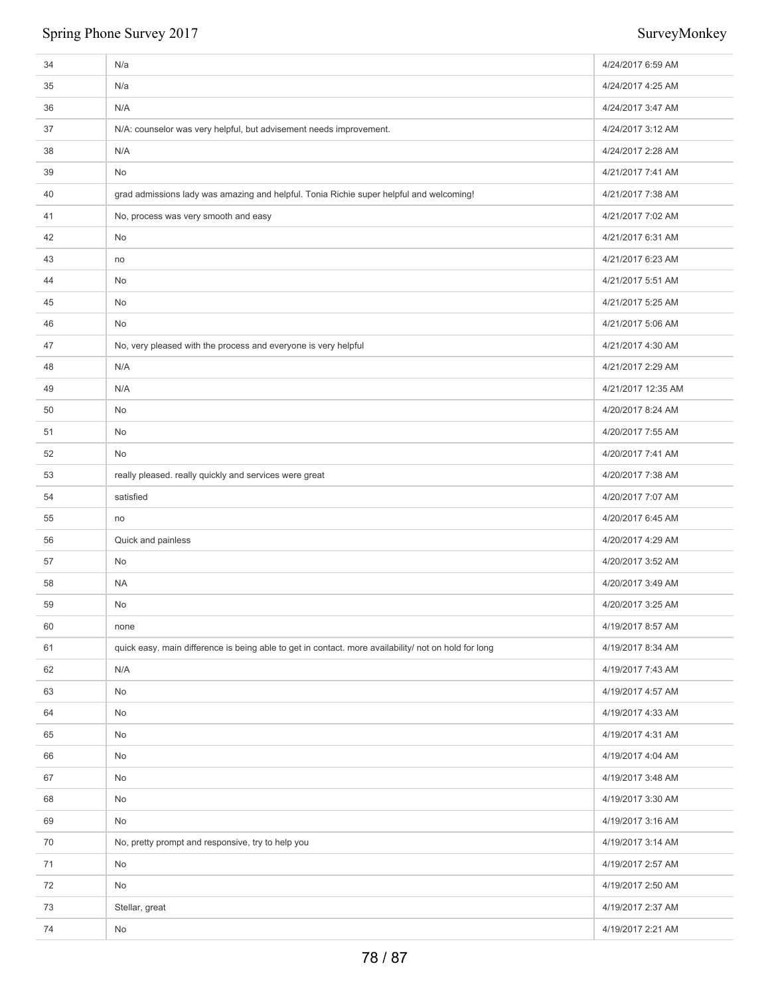| 34 | N/a                                                                                                  | 4/24/2017 6:59 AM  |
|----|------------------------------------------------------------------------------------------------------|--------------------|
| 35 | N/a                                                                                                  | 4/24/2017 4:25 AM  |
| 36 | N/A                                                                                                  | 4/24/2017 3:47 AM  |
| 37 | N/A: counselor was very helpful, but advisement needs improvement.                                   | 4/24/2017 3:12 AM  |
| 38 | N/A                                                                                                  | 4/24/2017 2:28 AM  |
| 39 | No                                                                                                   | 4/21/2017 7:41 AM  |
| 40 | grad admissions lady was amazing and helpful. Tonia Richie super helpful and welcoming!              | 4/21/2017 7:38 AM  |
| 41 | No, process was very smooth and easy                                                                 | 4/21/2017 7:02 AM  |
| 42 | No                                                                                                   | 4/21/2017 6:31 AM  |
| 43 | no                                                                                                   | 4/21/2017 6:23 AM  |
| 44 | No                                                                                                   | 4/21/2017 5:51 AM  |
| 45 | No                                                                                                   | 4/21/2017 5:25 AM  |
| 46 | No                                                                                                   | 4/21/2017 5:06 AM  |
| 47 | No, very pleased with the process and everyone is very helpful                                       | 4/21/2017 4:30 AM  |
| 48 | N/A                                                                                                  | 4/21/2017 2:29 AM  |
| 49 | N/A                                                                                                  | 4/21/2017 12:35 AM |
| 50 | No                                                                                                   | 4/20/2017 8:24 AM  |
| 51 | No                                                                                                   | 4/20/2017 7:55 AM  |
| 52 | No                                                                                                   | 4/20/2017 7:41 AM  |
| 53 | really pleased. really quickly and services were great                                               | 4/20/2017 7:38 AM  |
| 54 | satisfied                                                                                            | 4/20/2017 7:07 AM  |
| 55 | no                                                                                                   | 4/20/2017 6:45 AM  |
| 56 | Quick and painless                                                                                   | 4/20/2017 4:29 AM  |
| 57 | No                                                                                                   | 4/20/2017 3:52 AM  |
| 58 | <b>NA</b>                                                                                            | 4/20/2017 3:49 AM  |
| 59 | No                                                                                                   | 4/20/2017 3:25 AM  |
| 60 | none                                                                                                 | 4/19/2017 8:57 AM  |
| 61 | quick easy. main difference is being able to get in contact. more availability/ not on hold for long | 4/19/2017 8:34 AM  |
| 62 | N/A                                                                                                  | 4/19/2017 7:43 AM  |
| 63 | No                                                                                                   | 4/19/2017 4:57 AM  |
| 64 | No                                                                                                   | 4/19/2017 4:33 AM  |
| 65 | No                                                                                                   | 4/19/2017 4:31 AM  |
| 66 | No                                                                                                   | 4/19/2017 4:04 AM  |
| 67 | No                                                                                                   | 4/19/2017 3:48 AM  |
| 68 | No                                                                                                   | 4/19/2017 3:30 AM  |
| 69 | No                                                                                                   | 4/19/2017 3:16 AM  |
| 70 | No, pretty prompt and responsive, try to help you                                                    | 4/19/2017 3:14 AM  |
| 71 | No                                                                                                   | 4/19/2017 2:57 AM  |
| 72 | No                                                                                                   | 4/19/2017 2:50 AM  |
| 73 | Stellar, great                                                                                       | 4/19/2017 2:37 AM  |
| 74 | $\mathsf{No}$                                                                                        | 4/19/2017 2:21 AM  |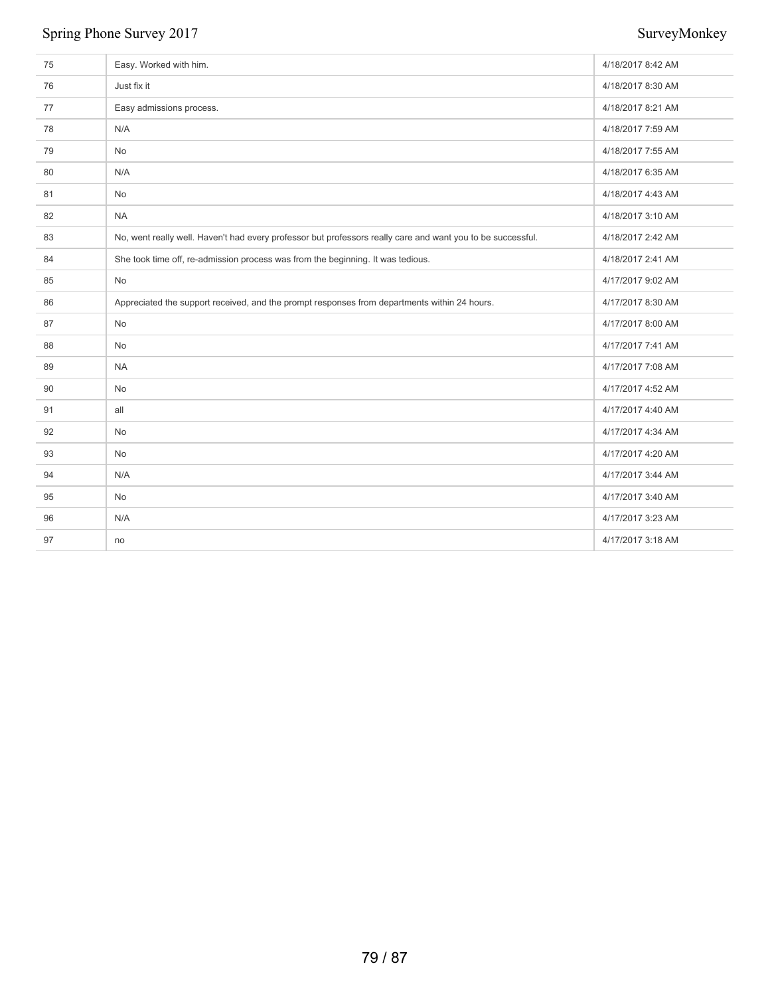| 75 | Easy. Worked with him.                                                                                      | 4/18/2017 8:42 AM |
|----|-------------------------------------------------------------------------------------------------------------|-------------------|
| 76 | Just fix it                                                                                                 | 4/18/2017 8:30 AM |
| 77 | Easy admissions process.                                                                                    | 4/18/2017 8:21 AM |
| 78 | N/A                                                                                                         | 4/18/2017 7:59 AM |
| 79 | No                                                                                                          | 4/18/2017 7:55 AM |
| 80 | N/A                                                                                                         | 4/18/2017 6:35 AM |
| 81 | No                                                                                                          | 4/18/2017 4:43 AM |
| 82 | <b>NA</b>                                                                                                   | 4/18/2017 3:10 AM |
| 83 | No, went really well. Haven't had every professor but professors really care and want you to be successful. | 4/18/2017 2:42 AM |
| 84 | She took time off, re-admission process was from the beginning. It was tedious.                             | 4/18/2017 2:41 AM |
| 85 | No                                                                                                          | 4/17/2017 9:02 AM |
| 86 | Appreciated the support received, and the prompt responses from departments within 24 hours.                | 4/17/2017 8:30 AM |
| 87 | No                                                                                                          | 4/17/2017 8:00 AM |
| 88 | No                                                                                                          | 4/17/2017 7:41 AM |
| 89 | <b>NA</b>                                                                                                   | 4/17/2017 7:08 AM |
| 90 | <b>No</b>                                                                                                   | 4/17/2017 4:52 AM |
| 91 | all                                                                                                         | 4/17/2017 4:40 AM |
| 92 | <b>No</b>                                                                                                   | 4/17/2017 4:34 AM |
| 93 | <b>No</b>                                                                                                   | 4/17/2017 4:20 AM |
| 94 | N/A                                                                                                         | 4/17/2017 3:44 AM |
| 95 | <b>No</b>                                                                                                   | 4/17/2017 3:40 AM |
| 96 | N/A                                                                                                         | 4/17/2017 3:23 AM |
| 97 | no                                                                                                          | 4/17/2017 3:18 AM |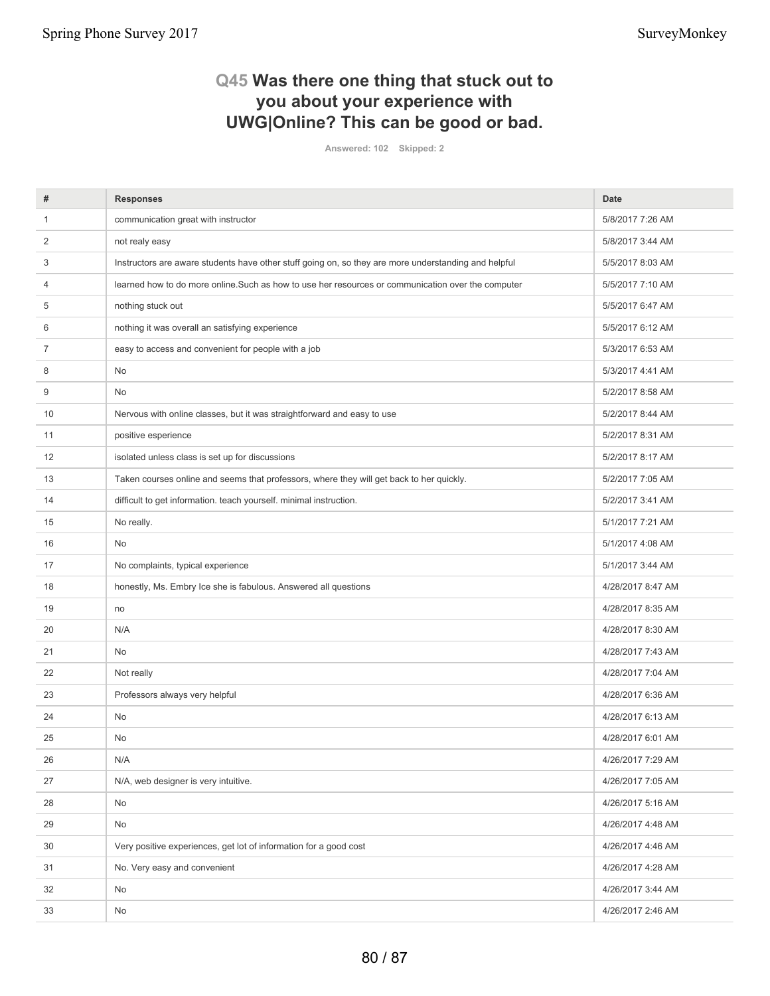## **Q45 Was there one thing that stuck out to you about your experience with UWG|Online? This can be good or bad.**

**Answered: 102 Skipped: 2**

| #  | <b>Responses</b>                                                                                     | <b>Date</b>       |
|----|------------------------------------------------------------------------------------------------------|-------------------|
| 1  | communication great with instructor                                                                  | 5/8/2017 7:26 AM  |
| 2  | not realy easy                                                                                       | 5/8/2017 3:44 AM  |
| 3  | Instructors are aware students have other stuff going on, so they are more understanding and helpful | 5/5/2017 8:03 AM  |
| 4  | learned how to do more online. Such as how to use her resources or communication over the computer   | 5/5/2017 7:10 AM  |
| 5  | nothing stuck out                                                                                    | 5/5/2017 6:47 AM  |
| 6  | nothing it was overall an satisfying experience                                                      | 5/5/2017 6:12 AM  |
| 7  | easy to access and convenient for people with a job                                                  | 5/3/2017 6:53 AM  |
| 8  | No                                                                                                   | 5/3/2017 4:41 AM  |
| 9  | No                                                                                                   | 5/2/2017 8:58 AM  |
| 10 | Nervous with online classes, but it was straightforward and easy to use                              | 5/2/2017 8:44 AM  |
| 11 | positive esperience                                                                                  | 5/2/2017 8:31 AM  |
| 12 | isolated unless class is set up for discussions                                                      | 5/2/2017 8:17 AM  |
| 13 | Taken courses online and seems that professors, where they will get back to her quickly.             | 5/2/2017 7:05 AM  |
| 14 | difficult to get information. teach yourself. minimal instruction.                                   | 5/2/2017 3:41 AM  |
| 15 | No really.                                                                                           | 5/1/2017 7:21 AM  |
| 16 | No.                                                                                                  | 5/1/2017 4:08 AM  |
| 17 | No complaints, typical experience                                                                    | 5/1/2017 3:44 AM  |
| 18 | honestly, Ms. Embry Ice she is fabulous. Answered all questions                                      | 4/28/2017 8:47 AM |
| 19 | no                                                                                                   | 4/28/2017 8:35 AM |
| 20 | N/A                                                                                                  | 4/28/2017 8:30 AM |
| 21 | No                                                                                                   | 4/28/2017 7:43 AM |
| 22 | Not really                                                                                           | 4/28/2017 7:04 AM |
| 23 | Professors always very helpful                                                                       | 4/28/2017 6:36 AM |
| 24 | No                                                                                                   | 4/28/2017 6:13 AM |
| 25 | <b>No</b>                                                                                            | 4/28/2017 6:01 AM |
| 26 | N/A                                                                                                  | 4/26/2017 7:29 AM |
| 27 | N/A, web designer is very intuitive.                                                                 | 4/26/2017 7:05 AM |
| 28 | No                                                                                                   | 4/26/2017 5:16 AM |
| 29 | No                                                                                                   | 4/26/2017 4:48 AM |
| 30 | Very positive experiences, get lot of information for a good cost                                    | 4/26/2017 4:46 AM |
| 31 | No. Very easy and convenient                                                                         | 4/26/2017 4:28 AM |
| 32 | No                                                                                                   | 4/26/2017 3:44 AM |
| 33 | No                                                                                                   | 4/26/2017 2:46 AM |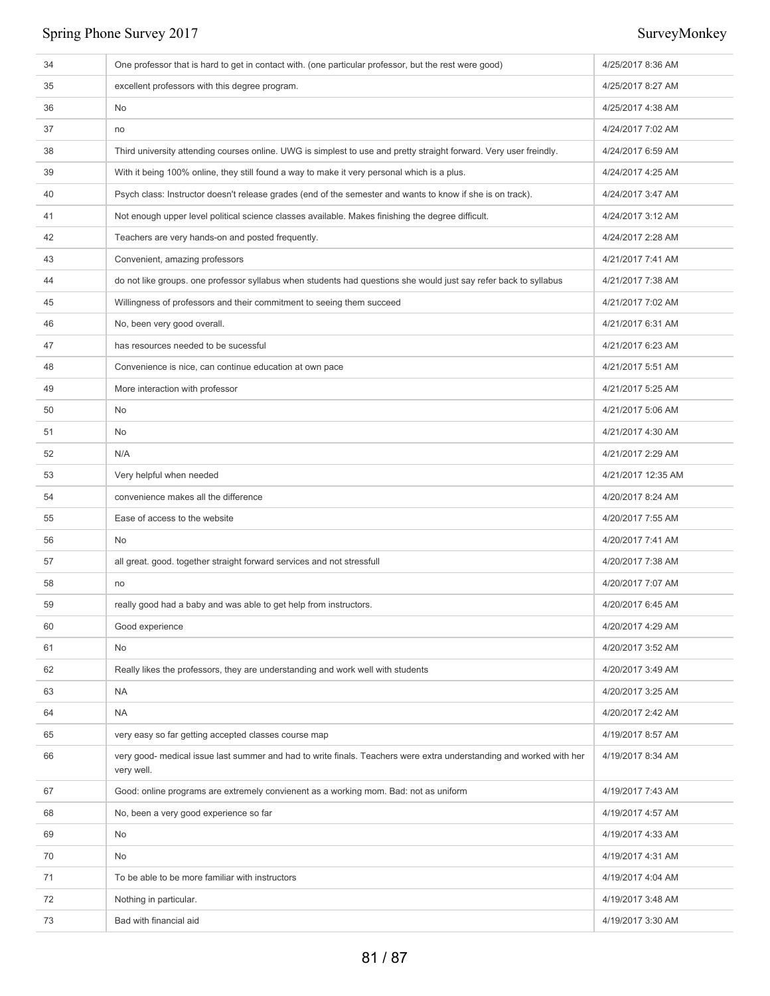| 34 | One professor that is hard to get in contact with. (one particular professor, but the rest were good)                             | 4/25/2017 8:36 AM  |
|----|-----------------------------------------------------------------------------------------------------------------------------------|--------------------|
| 35 | excellent professors with this degree program.                                                                                    | 4/25/2017 8:27 AM  |
| 36 | No                                                                                                                                | 4/25/2017 4:38 AM  |
| 37 | no                                                                                                                                | 4/24/2017 7:02 AM  |
| 38 | Third university attending courses online. UWG is simplest to use and pretty straight forward. Very user freindly.                | 4/24/2017 6:59 AM  |
| 39 | With it being 100% online, they still found a way to make it very personal which is a plus.                                       | 4/24/2017 4:25 AM  |
| 40 | Psych class: Instructor doesn't release grades (end of the semester and wants to know if she is on track).                        | 4/24/2017 3:47 AM  |
| 41 | Not enough upper level political science classes available. Makes finishing the degree difficult.                                 | 4/24/2017 3:12 AM  |
| 42 | Teachers are very hands-on and posted frequently.                                                                                 | 4/24/2017 2:28 AM  |
| 43 | Convenient, amazing professors                                                                                                    | 4/21/2017 7:41 AM  |
| 44 | do not like groups. one professor syllabus when students had questions she would just say refer back to syllabus                  | 4/21/2017 7:38 AM  |
| 45 | Willingness of professors and their commitment to seeing them succeed                                                             | 4/21/2017 7:02 AM  |
| 46 | No, been very good overall.                                                                                                       | 4/21/2017 6:31 AM  |
| 47 | has resources needed to be sucessful                                                                                              | 4/21/2017 6:23 AM  |
| 48 | Convenience is nice, can continue education at own pace                                                                           | 4/21/2017 5:51 AM  |
| 49 | More interaction with professor                                                                                                   | 4/21/2017 5:25 AM  |
| 50 | No                                                                                                                                | 4/21/2017 5:06 AM  |
| 51 | No                                                                                                                                | 4/21/2017 4:30 AM  |
| 52 | N/A                                                                                                                               | 4/21/2017 2:29 AM  |
| 53 | Very helpful when needed                                                                                                          | 4/21/2017 12:35 AM |
| 54 | convenience makes all the difference                                                                                              | 4/20/2017 8:24 AM  |
| 55 | Ease of access to the website                                                                                                     | 4/20/2017 7:55 AM  |
| 56 | No                                                                                                                                | 4/20/2017 7:41 AM  |
| 57 | all great. good. together straight forward services and not stressfull                                                            | 4/20/2017 7:38 AM  |
| 58 | no                                                                                                                                | 4/20/2017 7:07 AM  |
| 59 | really good had a baby and was able to get help from instructors.                                                                 | 4/20/2017 6:45 AM  |
| 60 | Good experience                                                                                                                   | 4/20/2017 4:29 AM  |
| 61 | No                                                                                                                                | 4/20/2017 3:52 AM  |
| 62 | Really likes the professors, they are understanding and work well with students                                                   | 4/20/2017 3:49 AM  |
| 63 | <b>NA</b>                                                                                                                         | 4/20/2017 3:25 AM  |
| 64 | <b>NA</b>                                                                                                                         | 4/20/2017 2:42 AM  |
| 65 | very easy so far getting accepted classes course map                                                                              | 4/19/2017 8:57 AM  |
| 66 | very good- medical issue last summer and had to write finals. Teachers were extra understanding and worked with her<br>very well. | 4/19/2017 8:34 AM  |
| 67 | Good: online programs are extremely convienent as a working mom. Bad: not as uniform                                              | 4/19/2017 7:43 AM  |
| 68 | No, been a very good experience so far                                                                                            | 4/19/2017 4:57 AM  |
| 69 | No                                                                                                                                | 4/19/2017 4:33 AM  |
| 70 | No                                                                                                                                | 4/19/2017 4:31 AM  |
| 71 | To be able to be more familiar with instructors                                                                                   | 4/19/2017 4:04 AM  |
| 72 | Nothing in particular.                                                                                                            | 4/19/2017 3:48 AM  |
| 73 | Bad with financial aid                                                                                                            | 4/19/2017 3:30 AM  |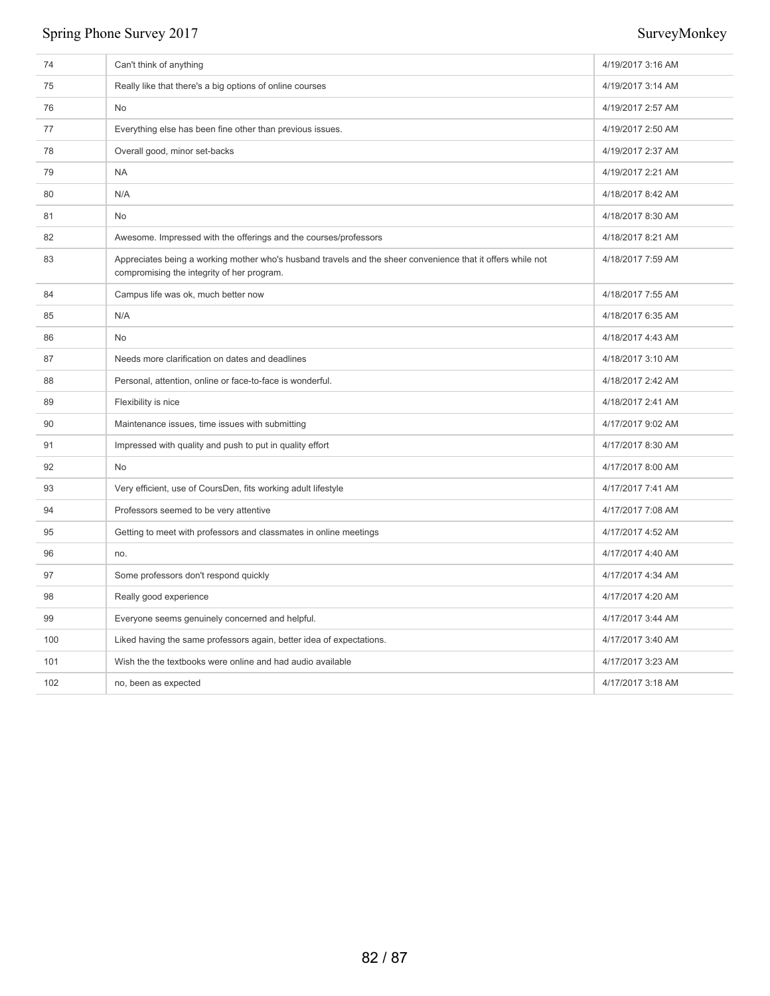| 74  | Can't think of anything                                                                                                                                   | 4/19/2017 3:16 AM |
|-----|-----------------------------------------------------------------------------------------------------------------------------------------------------------|-------------------|
| 75  | Really like that there's a big options of online courses                                                                                                  | 4/19/2017 3:14 AM |
| 76  | No                                                                                                                                                        | 4/19/2017 2:57 AM |
| 77  | Everything else has been fine other than previous issues.                                                                                                 | 4/19/2017 2:50 AM |
| 78  | Overall good, minor set-backs                                                                                                                             | 4/19/2017 2:37 AM |
| 79  | <b>NA</b>                                                                                                                                                 | 4/19/2017 2:21 AM |
| 80  | N/A                                                                                                                                                       | 4/18/2017 8:42 AM |
| 81  | <b>No</b>                                                                                                                                                 | 4/18/2017 8:30 AM |
| 82  | Awesome. Impressed with the offerings and the courses/professors                                                                                          | 4/18/2017 8:21 AM |
| 83  | Appreciates being a working mother who's husband travels and the sheer convenience that it offers while not<br>compromising the integrity of her program. | 4/18/2017 7:59 AM |
| 84  | Campus life was ok, much better now                                                                                                                       | 4/18/2017 7:55 AM |
| 85  | N/A                                                                                                                                                       | 4/18/2017 6:35 AM |
| 86  | No                                                                                                                                                        | 4/18/2017 4:43 AM |
| 87  | Needs more clarification on dates and deadlines                                                                                                           | 4/18/2017 3:10 AM |
| 88  | Personal, attention, online or face-to-face is wonderful.                                                                                                 | 4/18/2017 2:42 AM |
| 89  | Flexibility is nice                                                                                                                                       | 4/18/2017 2:41 AM |
| 90  | Maintenance issues, time issues with submitting                                                                                                           | 4/17/2017 9:02 AM |
| 91  | Impressed with quality and push to put in quality effort                                                                                                  | 4/17/2017 8:30 AM |
| 92  | No                                                                                                                                                        | 4/17/2017 8:00 AM |
| 93  | Very efficient, use of CoursDen, fits working adult lifestyle                                                                                             | 4/17/2017 7:41 AM |
| 94  | Professors seemed to be very attentive                                                                                                                    | 4/17/2017 7:08 AM |
| 95  | Getting to meet with professors and classmates in online meetings                                                                                         | 4/17/2017 4:52 AM |
| 96  | no.                                                                                                                                                       | 4/17/2017 4:40 AM |
| 97  | Some professors don't respond quickly                                                                                                                     | 4/17/2017 4:34 AM |
| 98  | Really good experience                                                                                                                                    | 4/17/2017 4:20 AM |
| 99  | Everyone seems genuinely concerned and helpful.                                                                                                           | 4/17/2017 3:44 AM |
| 100 | Liked having the same professors again, better idea of expectations.                                                                                      | 4/17/2017 3:40 AM |
| 101 | Wish the the textbooks were online and had audio available                                                                                                | 4/17/2017 3:23 AM |
| 102 | no, been as expected                                                                                                                                      | 4/17/2017 3:18 AM |
|     |                                                                                                                                                           |                   |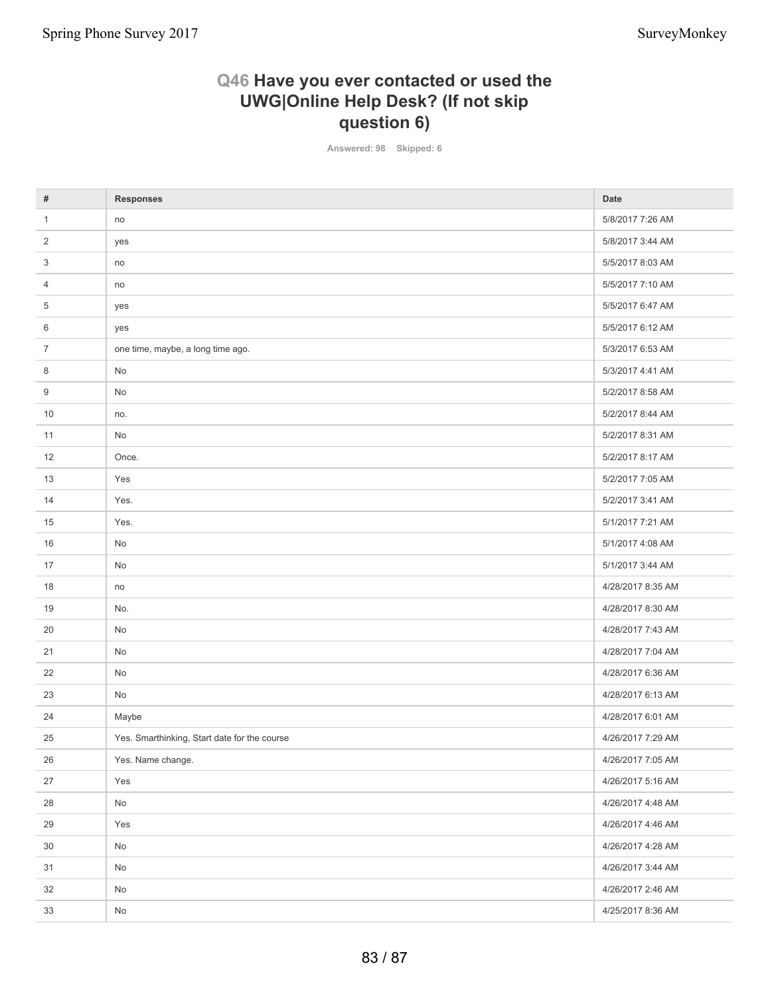## **Q46 Have you ever contacted or used the UWG|Online Help Desk? (If not skip question 6)**

**Answered: 98 Skipped: 6**

| #              | <b>Responses</b>                             | <b>Date</b>       |
|----------------|----------------------------------------------|-------------------|
| $\mathbf{1}$   | no                                           | 5/8/2017 7:26 AM  |
| 2              | yes                                          | 5/8/2017 3:44 AM  |
| 3              | no                                           | 5/5/2017 8:03 AM  |
| 4              | no                                           | 5/5/2017 7:10 AM  |
| 5              | yes                                          | 5/5/2017 6:47 AM  |
| 6              | yes                                          | 5/5/2017 6:12 AM  |
| $\overline{7}$ | one time, maybe, a long time ago.            | 5/3/2017 6:53 AM  |
| 8              | No                                           | 5/3/2017 4:41 AM  |
| 9              | No                                           | 5/2/2017 8:58 AM  |
| 10             | no.                                          | 5/2/2017 8:44 AM  |
| 11             | No                                           | 5/2/2017 8:31 AM  |
| 12             | Once.                                        | 5/2/2017 8:17 AM  |
| 13             | Yes                                          | 5/2/2017 7:05 AM  |
| 14             | Yes.                                         | 5/2/2017 3:41 AM  |
| 15             | Yes.                                         | 5/1/2017 7:21 AM  |
| 16             | No                                           | 5/1/2017 4:08 AM  |
| 17             | No                                           | 5/1/2017 3:44 AM  |
| 18             | no                                           | 4/28/2017 8:35 AM |
| 19             | No.                                          | 4/28/2017 8:30 AM |
| 20             | No                                           | 4/28/2017 7:43 AM |
| 21             | No                                           | 4/28/2017 7:04 AM |
| 22             | No                                           | 4/28/2017 6:36 AM |
| 23             | No                                           | 4/28/2017 6:13 AM |
| 24             | Maybe                                        | 4/28/2017 6:01 AM |
| 25             | Yes. Smarthinking, Start date for the course | 4/26/2017 7:29 AM |
| 26             | Yes. Name change.                            | 4/26/2017 7:05 AM |
| 27             | Yes                                          | 4/26/2017 5:16 AM |
| 28             | $\mathsf{No}$                                | 4/26/2017 4:48 AM |
| 29             | Yes                                          | 4/26/2017 4:46 AM |
| 30             | No                                           | 4/26/2017 4:28 AM |
| 31             | $\mathsf{No}$                                | 4/26/2017 3:44 AM |
| 32             | No                                           | 4/26/2017 2:46 AM |
| 33             | No                                           | 4/25/2017 8:36 AM |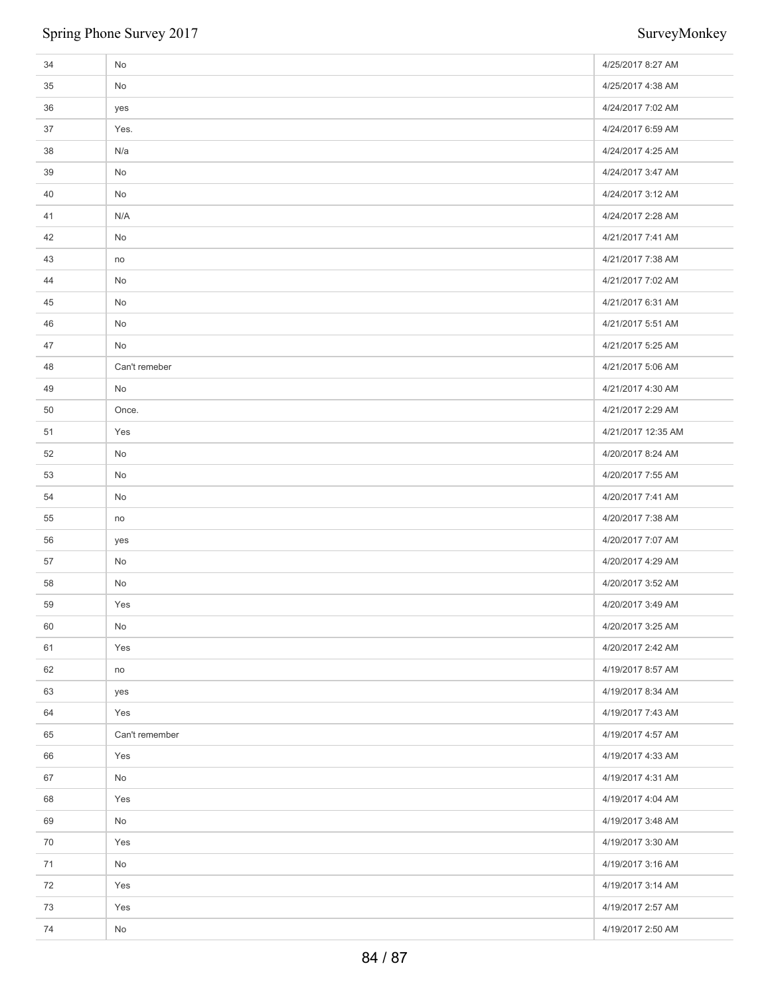| 34 | No             | 4/25/2017 8:27 AM  |
|----|----------------|--------------------|
| 35 | No             | 4/25/2017 4:38 AM  |
| 36 | yes            | 4/24/2017 7:02 AM  |
| 37 | Yes.           | 4/24/2017 6:59 AM  |
| 38 | N/a            | 4/24/2017 4:25 AM  |
| 39 | No             | 4/24/2017 3:47 AM  |
| 40 | No             | 4/24/2017 3:12 AM  |
| 41 | N/A            | 4/24/2017 2:28 AM  |
| 42 | No             | 4/21/2017 7:41 AM  |
| 43 | no             | 4/21/2017 7:38 AM  |
| 44 | No             | 4/21/2017 7:02 AM  |
| 45 | No             | 4/21/2017 6:31 AM  |
| 46 | No             | 4/21/2017 5:51 AM  |
| 47 | No             | 4/21/2017 5:25 AM  |
| 48 | Can't remeber  | 4/21/2017 5:06 AM  |
| 49 | No             | 4/21/2017 4:30 AM  |
| 50 | Once.          | 4/21/2017 2:29 AM  |
| 51 | Yes            | 4/21/2017 12:35 AM |
| 52 | No             | 4/20/2017 8:24 AM  |
| 53 | No             | 4/20/2017 7:55 AM  |
| 54 | No             | 4/20/2017 7:41 AM  |
| 55 | no             | 4/20/2017 7:38 AM  |
| 56 | yes            | 4/20/2017 7:07 AM  |
| 57 | No             | 4/20/2017 4:29 AM  |
| 58 | No             | 4/20/2017 3:52 AM  |
| 59 | Yes            | 4/20/2017 3:49 AM  |
| 60 | No             | 4/20/2017 3:25 AM  |
| 61 | Yes            | 4/20/2017 2:42 AM  |
| 62 | no             | 4/19/2017 8:57 AM  |
| 63 | yes            | 4/19/2017 8:34 AM  |
| 64 | Yes            | 4/19/2017 7:43 AM  |
| 65 | Can't remember | 4/19/2017 4:57 AM  |
| 66 | Yes            | 4/19/2017 4:33 AM  |
| 67 | No             | 4/19/2017 4:31 AM  |
| 68 | Yes            | 4/19/2017 4:04 AM  |
| 69 | No             | 4/19/2017 3:48 AM  |
| 70 | Yes            | 4/19/2017 3:30 AM  |
| 71 | No             | 4/19/2017 3:16 AM  |
| 72 | Yes            | 4/19/2017 3:14 AM  |
| 73 | Yes            | 4/19/2017 2:57 AM  |
| 74 | No             | 4/19/2017 2:50 AM  |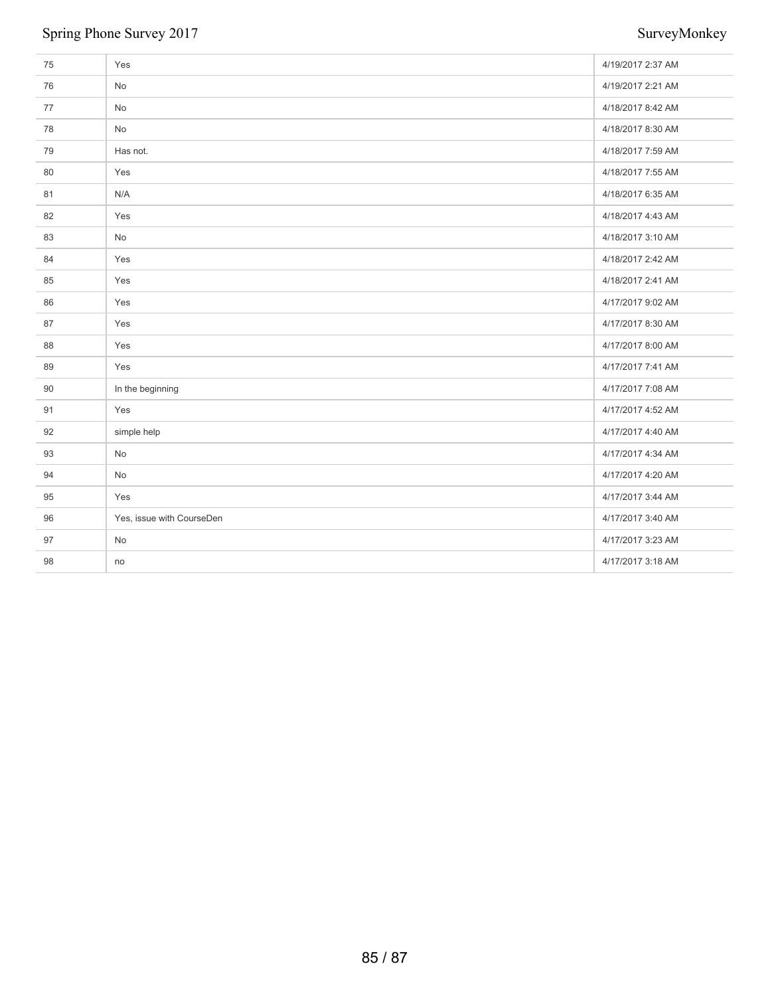| 75 | Yes                       | 4/19/2017 2:37 AM |
|----|---------------------------|-------------------|
| 76 | No                        | 4/19/2017 2:21 AM |
| 77 | No                        | 4/18/2017 8:42 AM |
| 78 | No                        | 4/18/2017 8:30 AM |
| 79 | Has not.                  | 4/18/2017 7:59 AM |
| 80 | Yes                       | 4/18/2017 7:55 AM |
| 81 | N/A                       | 4/18/2017 6:35 AM |
| 82 | Yes                       | 4/18/2017 4:43 AM |
| 83 | No                        | 4/18/2017 3:10 AM |
| 84 | Yes                       | 4/18/2017 2:42 AM |
| 85 | Yes                       | 4/18/2017 2:41 AM |
| 86 | Yes                       | 4/17/2017 9:02 AM |
| 87 | Yes                       | 4/17/2017 8:30 AM |
| 88 | Yes                       | 4/17/2017 8:00 AM |
| 89 | Yes                       | 4/17/2017 7:41 AM |
| 90 | In the beginning          | 4/17/2017 7:08 AM |
| 91 | Yes                       | 4/17/2017 4:52 AM |
| 92 | simple help               | 4/17/2017 4:40 AM |
| 93 | No                        | 4/17/2017 4:34 AM |
| 94 | No                        | 4/17/2017 4:20 AM |
| 95 | Yes                       | 4/17/2017 3:44 AM |
| 96 | Yes, issue with CourseDen | 4/17/2017 3:40 AM |
| 97 | No                        | 4/17/2017 3:23 AM |
| 98 | no                        | 4/17/2017 3:18 AM |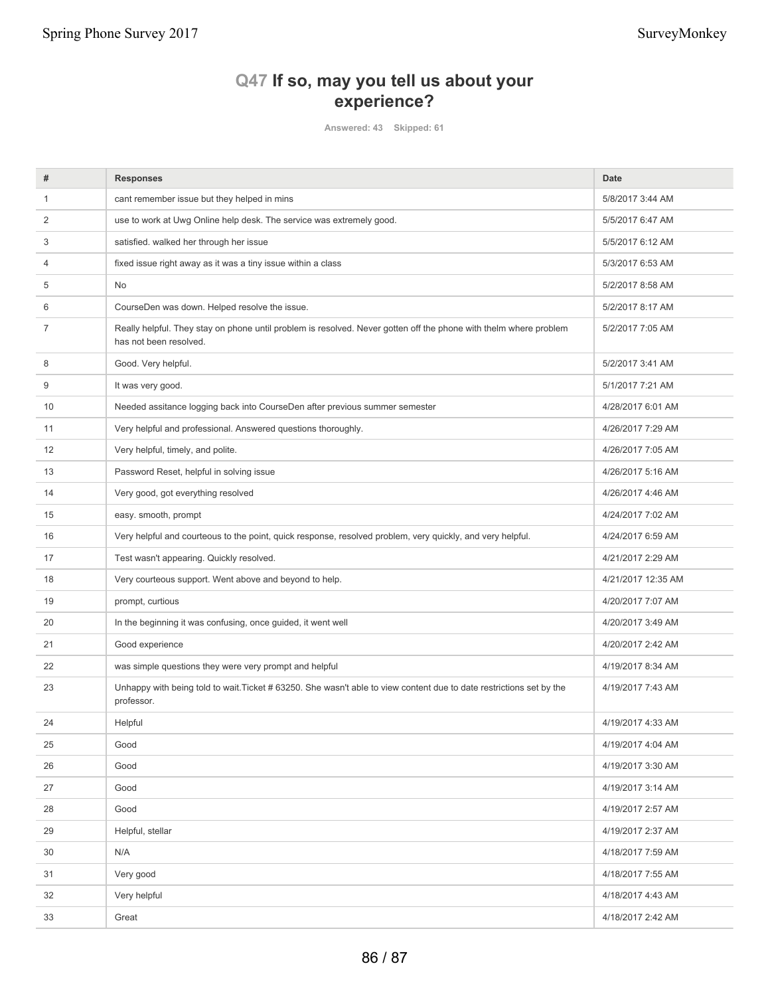Spring Phone Survey 2017 SurveyMonkey

## **Q47 If so, may you tell us about your experience?**

**Answered: 43 Skipped: 61**

| #              | <b>Responses</b>                                                                                                                            | <b>Date</b>        |
|----------------|---------------------------------------------------------------------------------------------------------------------------------------------|--------------------|
| 1              | cant remember issue but they helped in mins                                                                                                 | 5/8/2017 3:44 AM   |
| 2              | use to work at Uwg Online help desk. The service was extremely good.                                                                        | 5/5/2017 6:47 AM   |
| 3              | satisfied. walked her through her issue                                                                                                     | 5/5/2017 6:12 AM   |
| 4              | fixed issue right away as it was a tiny issue within a class                                                                                | 5/3/2017 6:53 AM   |
| 5              | No                                                                                                                                          | 5/2/2017 8:58 AM   |
| 6              | CourseDen was down. Helped resolve the issue.                                                                                               | 5/2/2017 8:17 AM   |
| $\overline{7}$ | Really helpful. They stay on phone until problem is resolved. Never gotten off the phone with thelm where problem<br>has not been resolved. | 5/2/2017 7:05 AM   |
| 8              | Good. Very helpful.                                                                                                                         | 5/2/2017 3:41 AM   |
| 9              | It was very good.                                                                                                                           | 5/1/2017 7:21 AM   |
| 10             | Needed assitance logging back into CourseDen after previous summer semester                                                                 | 4/28/2017 6:01 AM  |
| 11             | Very helpful and professional. Answered questions thoroughly.                                                                               | 4/26/2017 7:29 AM  |
| 12             | Very helpful, timely, and polite.                                                                                                           | 4/26/2017 7:05 AM  |
| 13             | Password Reset, helpful in solving issue                                                                                                    | 4/26/2017 5:16 AM  |
| 14             | Very good, got everything resolved                                                                                                          | 4/26/2017 4:46 AM  |
| 15             | easy. smooth, prompt                                                                                                                        | 4/24/2017 7:02 AM  |
| 16             | Very helpful and courteous to the point, quick response, resolved problem, very quickly, and very helpful.                                  | 4/24/2017 6:59 AM  |
| 17             | Test wasn't appearing. Quickly resolved.                                                                                                    | 4/21/2017 2:29 AM  |
| 18             | Very courteous support. Went above and beyond to help.                                                                                      | 4/21/2017 12:35 AM |
| 19             | prompt, curtious                                                                                                                            | 4/20/2017 7:07 AM  |
| 20             | In the beginning it was confusing, once guided, it went well                                                                                | 4/20/2017 3:49 AM  |
| 21             | Good experience                                                                                                                             | 4/20/2017 2:42 AM  |
| 22             | was simple questions they were very prompt and helpful                                                                                      | 4/19/2017 8:34 AM  |
| 23             | Unhappy with being told to wait. Ticket #63250. She wasn't able to view content due to date restrictions set by the<br>professor.           | 4/19/2017 7:43 AM  |
| 24             | Helpful                                                                                                                                     | 4/19/2017 4:33 AM  |
| 25             | Good                                                                                                                                        | 4/19/2017 4:04 AM  |
| 26             | Good                                                                                                                                        | 4/19/2017 3:30 AM  |
| 27             | Good                                                                                                                                        | 4/19/2017 3:14 AM  |
| 28             | Good                                                                                                                                        | 4/19/2017 2:57 AM  |
| 29             | Helpful, stellar                                                                                                                            | 4/19/2017 2:37 AM  |
| 30             | N/A                                                                                                                                         | 4/18/2017 7:59 AM  |
| 31             | Very good                                                                                                                                   | 4/18/2017 7:55 AM  |
| 32             | Very helpful                                                                                                                                | 4/18/2017 4:43 AM  |
| 33             | Great                                                                                                                                       | 4/18/2017 2:42 AM  |